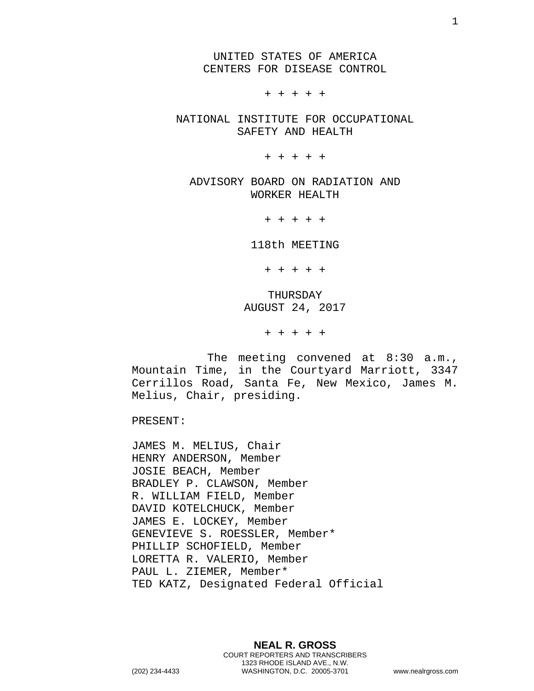UNITED STATES OF AMERICA CENTERS FOR DISEASE CONTROL

+ + + + +

NATIONAL INSTITUTE FOR OCCUPATIONAL SAFETY AND HEALTH

+ + + + +

ADVISORY BOARD ON RADIATION AND WORKER HEALTH

+ + + + +

118th MEETING

+ + + + +

THURSDAY AUGUST 24, 2017

+ + + + +

The meeting convened at 8:30 a.m., Mountain Time, in the Courtyard Marriott, 3347 Cerrillos Road, Santa Fe, New Mexico, James M. Melius, Chair, presiding.

PRESENT:

JAMES M. MELIUS, Chair HENRY ANDERSON, Member JOSIE BEACH, Member BRADLEY P. CLAWSON, Member R. WILLIAM FIELD, Member DAVID KOTELCHUCK, Member JAMES E. LOCKEY, Member GENEVIEVE S. ROESSLER, Member\* PHILLIP SCHOFIELD, Member LORETTA R. VALERIO, Member PAUL L. ZIEMER, Member\* TED KATZ, Designated Federal Official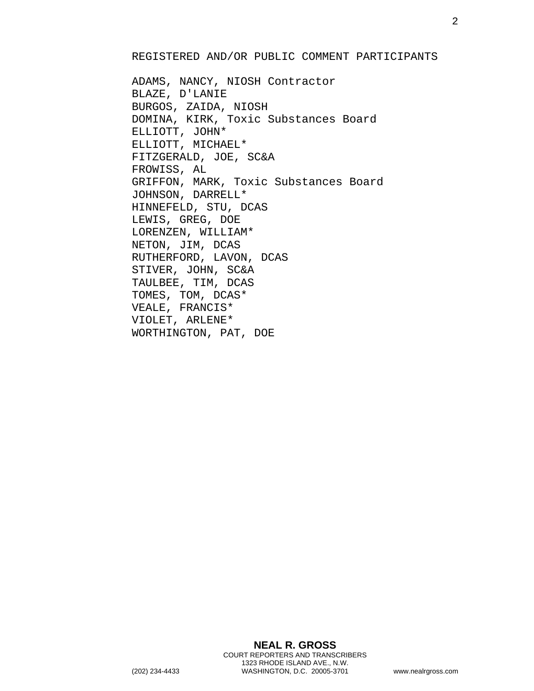## REGISTERED AND/OR PUBLIC COMMENT PARTICIPANTS

ADAMS, NANCY, NIOSH Contractor BLAZE, D'LANIE BURGOS, ZAIDA, NIOSH DOMINA, KIRK, Toxic Substances Board ELLIOTT, JOHN\* ELLIOTT, MICHAEL\* FITZGERALD, JOE, SC&A FROWISS, AL GRIFFON, MARK, Toxic Substances Board JOHNSON, DARRELL\* HINNEFELD, STU, DCAS LEWIS, GREG, DOE LORENZEN, WILLIAM\* NETON, JIM, DCAS RUTHERFORD, LAVON, DCAS STIVER, JOHN, SC&A TAULBEE, TIM, DCAS TOMES, TOM, DCAS\* VEALE, FRANCIS\* VIOLET, ARLENE\* WORTHINGTON, PAT, DOE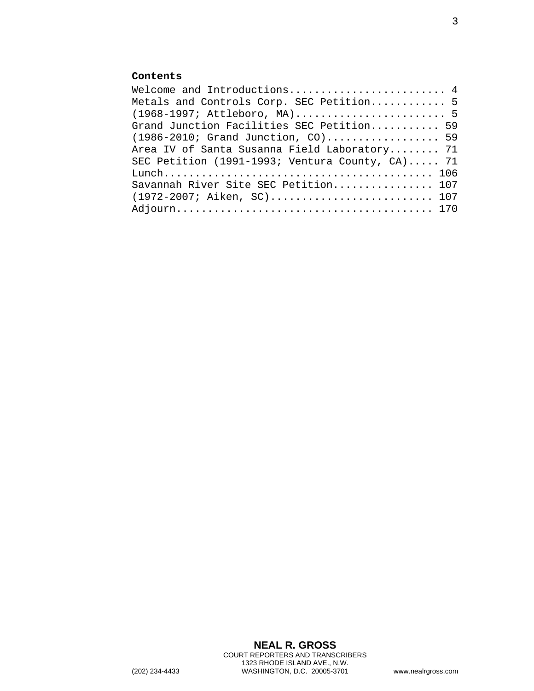## **Contents**

| Welcome and Introductions 4                     |  |
|-------------------------------------------------|--|
| Metals and Controls Corp. SEC Petition 5        |  |
| (1968-1997; Attleboro, MA) 5                    |  |
| Grand Junction Facilities SEC Petition 59       |  |
| $(1986 - 2010;$ Grand Junction, CO) 59          |  |
| Area IV of Santa Susanna Field Laboratory 71    |  |
| SEC Petition (1991-1993; Ventura County, CA) 71 |  |
|                                                 |  |
| Savannah River Site SEC Petition 107            |  |
| (1972-2007; Aiken, SC) 107                      |  |
|                                                 |  |
|                                                 |  |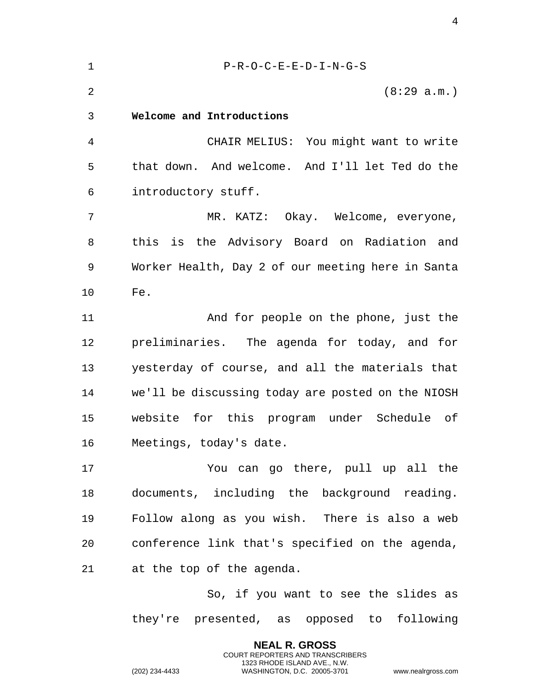<span id="page-3-0"></span>

| $\mathbf 1$    | $P-R-O-C-E-E-D-I-N-G-S$                           |
|----------------|---------------------------------------------------|
| $\overline{2}$ | (8:29 a.m.)                                       |
| 3              | Welcome and Introductions                         |
| 4              | CHAIR MELIUS: You might want to write             |
| 5              | that down. And welcome. And I'll let Ted do the   |
| 6              | introductory stuff.                               |
| 7              | MR. KATZ: Okay. Welcome, everyone,                |
| 8              | this is the Advisory Board on Radiation and       |
| 9              | Worker Health, Day 2 of our meeting here in Santa |
| 10             | Fe.                                               |
| 11             | And for people on the phone, just the             |
| 12             | preliminaries. The agenda for today, and for      |
| 13             | yesterday of course, and all the materials that   |
| 14             | we'll be discussing today are posted on the NIOSH |
| 15             | website for this program<br>under Schedule of     |
| 16             | Meetings, today's date.                           |
| 17             | You can go there, pull up all the                 |
| 18             | documents, including the background reading.      |
| 19             | Follow along as you wish. There is also a web     |
| 20             | conference link that's specified on the agenda,   |
| 21             | at the top of the agenda.                         |
|                | So, if you want to see the slides as              |

they're presented, as opposed to following

**NEAL R. GROSS** COURT REPORTERS AND TRANSCRIBERS 1323 RHODE ISLAND AVE., N.W.

(202) 234-4433 WASHINGTON, D.C. 20005-3701 www.nealrgross.com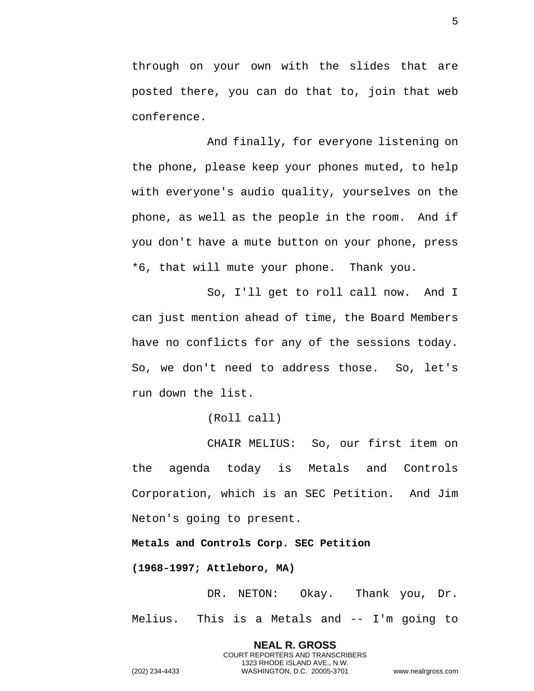through on your own with the slides that are posted there, you can do that to, join that web conference.

And finally, for everyone listening on the phone, please keep your phones muted, to help with everyone's audio quality, yourselves on the phone, as well as the people in the room. And if you don't have a mute button on your phone, press \*6, that will mute your phone. Thank you.

So, I'll get to roll call now. And I can just mention ahead of time, the Board Members have no conflicts for any of the sessions today. So, we don't need to address those. So, let's run down the list.

(Roll call)

CHAIR MELIUS: So, our first item on the agenda today is Metals and Controls Corporation, which is an SEC Petition. And Jim Neton's going to present.

<span id="page-4-0"></span>**Metals and Controls Corp. SEC Petition** 

<span id="page-4-1"></span>**(1968-1997; Attleboro, MA)** 

DR. NETON: Okay. Thank you, Dr. Melius. This is a Metals and -- I'm going to

> **NEAL R. GROSS** COURT REPORTERS AND TRANSCRIBERS 1323 RHODE ISLAND AVE., N.W.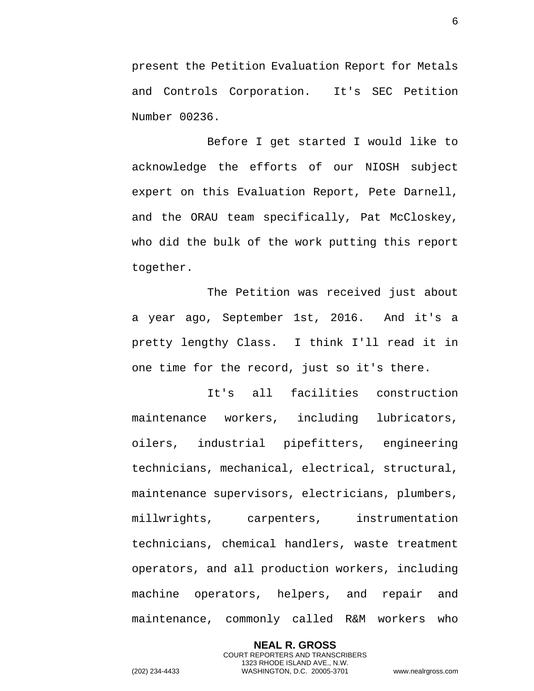present the Petition Evaluation Report for Metals and Controls Corporation. It's SEC Petition Number 00236.

Before I get started I would like to acknowledge the efforts of our NIOSH subject expert on this Evaluation Report, Pete Darnell, and the ORAU team specifically, Pat McCloskey, who did the bulk of the work putting this report together.

The Petition was received just about a year ago, September 1st, 2016. And it's a pretty lengthy Class. I think I'll read it in one time for the record, just so it's there.

It's all facilities construction maintenance workers, including lubricators, oilers, industrial pipefitters, engineering technicians, mechanical, electrical, structural, maintenance supervisors, electricians, plumbers, millwrights, carpenters, instrumentation technicians, chemical handlers, waste treatment operators, and all production workers, including machine operators, helpers, and repair and maintenance, commonly called R&M workers who

**NEAL R. GROSS** COURT REPORTERS AND TRANSCRIBERS 1323 RHODE ISLAND AVE., N.W. (202) 234-4433 WASHINGTON, D.C. 20005-3701 www.nealrgross.com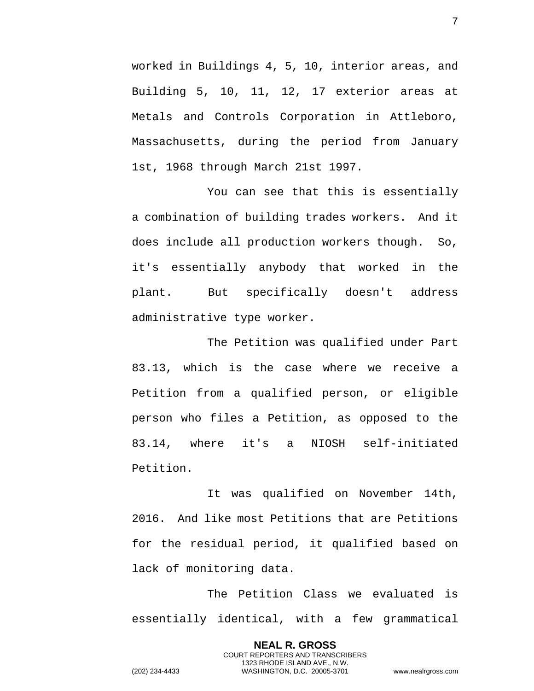worked in Buildings 4, 5, 10, interior areas, and Building 5, 10, 11, 12, 17 exterior areas at Metals and Controls Corporation in Attleboro, Massachusetts, during the period from January 1st, 1968 through March 21st 1997.

You can see that this is essentially a combination of building trades workers. And it does include all production workers though. So, it's essentially anybody that worked in the plant. But specifically doesn't address administrative type worker.

The Petition was qualified under Part 83.13, which is the case where we receive a Petition from a qualified person, or eligible person who files a Petition, as opposed to the 83.14, where it's a NIOSH self-initiated Petition.

It was qualified on November 14th, 2016. And like most Petitions that are Petitions for the residual period, it qualified based on lack of monitoring data.

The Petition Class we evaluated is essentially identical, with a few grammatical

> **NEAL R. GROSS** COURT REPORTERS AND TRANSCRIBERS 1323 RHODE ISLAND AVE., N.W.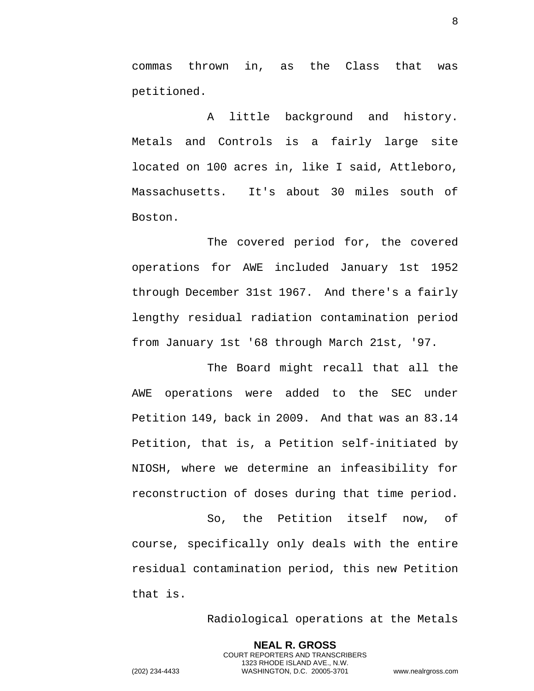commas thrown in, as the Class that was petitioned.

A little background and history. Metals and Controls is a fairly large site located on 100 acres in, like I said, Attleboro, Massachusetts. It's about 30 miles south of Boston.

The covered period for, the covered operations for AWE included January 1st 1952 through December 31st 1967. And there's a fairly lengthy residual radiation contamination period from January 1st '68 through March 21st, '97.

The Board might recall that all the AWE operations were added to the SEC under Petition 149, back in 2009. And that was an 83.14 Petition, that is, a Petition self-initiated by NIOSH, where we determine an infeasibility for reconstruction of doses during that time period.

So, the Petition itself now, of course, specifically only deals with the entire residual contamination period, this new Petition that is.

Radiological operations at the Metals

**NEAL R. GROSS** COURT REPORTERS AND TRANSCRIBERS 1323 RHODE ISLAND AVE., N.W. (202) 234-4433 WASHINGTON, D.C. 20005-3701 www.nealrgross.com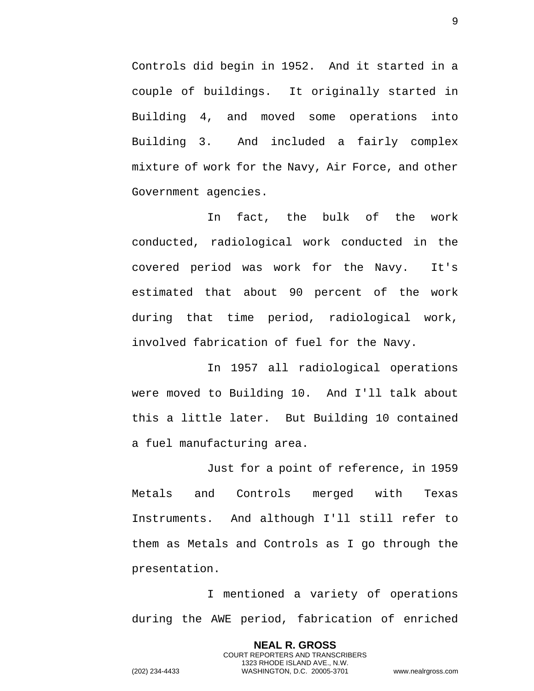Controls did begin in 1952. And it started in a couple of buildings. It originally started in Building 4, and moved some operations into Building 3. And included a fairly complex mixture of work for the Navy, Air Force, and other Government agencies.

In fact, the bulk of the work conducted, radiological work conducted in the covered period was work for the Navy. It's estimated that about 90 percent of the work during that time period, radiological work, involved fabrication of fuel for the Navy.

In 1957 all radiological operations were moved to Building 10. And I'll talk about this a little later. But Building 10 contained a fuel manufacturing area.

Just for a point of reference, in 1959 Metals and Controls merged with Texas Instruments. And although I'll still refer to them as Metals and Controls as I go through the presentation.

I mentioned a variety of operations during the AWE period, fabrication of enriched

> **NEAL R. GROSS** COURT REPORTERS AND TRANSCRIBERS 1323 RHODE ISLAND AVE., N.W.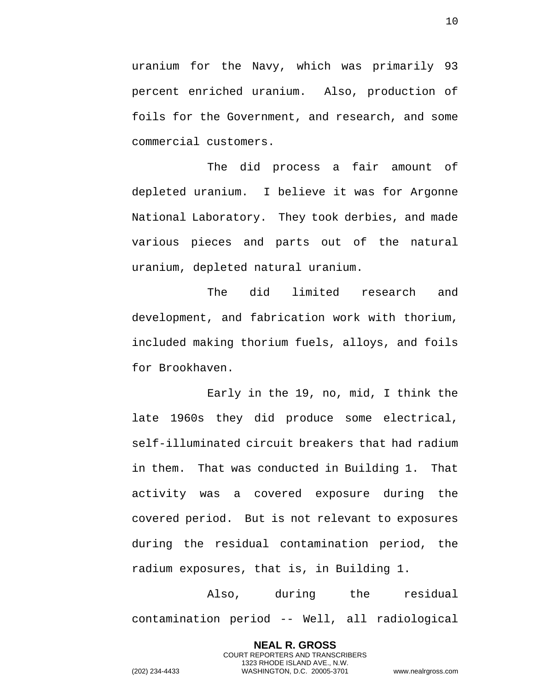uranium for the Navy, which was primarily 93 percent enriched uranium. Also, production of foils for the Government, and research, and some commercial customers.

The did process a fair amount of depleted uranium. I believe it was for Argonne National Laboratory. They took derbies, and made various pieces and parts out of the natural uranium, depleted natural uranium.

The did limited research and development, and fabrication work with thorium, included making thorium fuels, alloys, and foils for Brookhaven.

Early in the 19, no, mid, I think the late 1960s they did produce some electrical, self-illuminated circuit breakers that had radium in them. That was conducted in Building 1. That activity was a covered exposure during the covered period. But is not relevant to exposures during the residual contamination period, the radium exposures, that is, in Building 1.

Also, during the residual contamination period -- Well, all radiological

> **NEAL R. GROSS** COURT REPORTERS AND TRANSCRIBERS 1323 RHODE ISLAND AVE., N.W.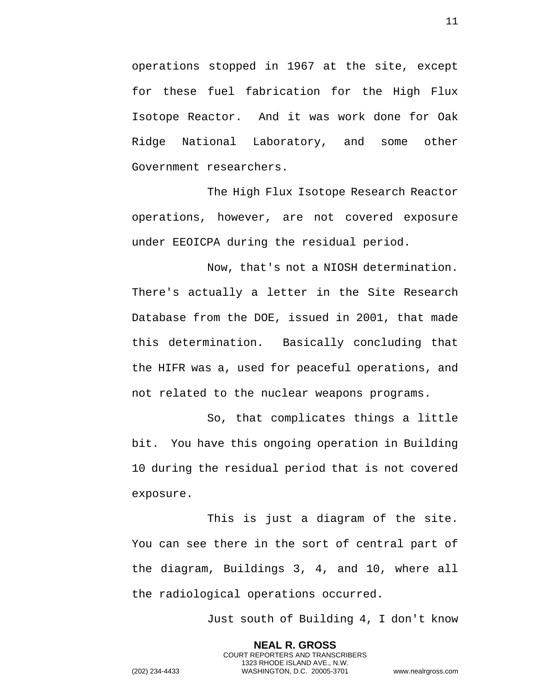operations stopped in 1967 at the site, except for these fuel fabrication for the High Flux Isotope Reactor. And it was work done for Oak Ridge National Laboratory, and some other Government researchers.

The High Flux Isotope Research Reactor operations, however, are not covered exposure under EEOICPA during the residual period.

Now, that's not a NIOSH determination. There's actually a letter in the Site Research Database from the DOE, issued in 2001, that made this determination. Basically concluding that the HIFR was a, used for peaceful operations, and not related to the nuclear weapons programs.

So, that complicates things a little bit. You have this ongoing operation in Building 10 during the residual period that is not covered exposure.

This is just a diagram of the site. You can see there in the sort of central part of the diagram, Buildings 3, 4, and 10, where all the radiological operations occurred.

> **NEAL R. GROSS** COURT REPORTERS AND TRANSCRIBERS 1323 RHODE ISLAND AVE., N.W.

Just south of Building 4, I don't know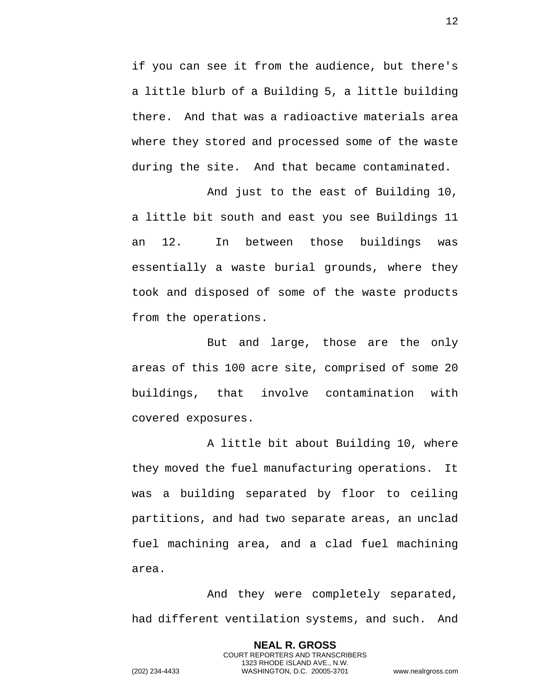if you can see it from the audience, but there's a little blurb of a Building 5, a little building there. And that was a radioactive materials area where they stored and processed some of the waste during the site. And that became contaminated.

And just to the east of Building 10, a little bit south and east you see Buildings 11 an 12. In between those buildings was essentially a waste burial grounds, where they took and disposed of some of the waste products from the operations.

But and large, those are the only areas of this 100 acre site, comprised of some 20 buildings, that involve contamination with covered exposures.

A little bit about Building 10, where they moved the fuel manufacturing operations. It was a building separated by floor to ceiling partitions, and had two separate areas, an unclad fuel machining area, and a clad fuel machining area.

And they were completely separated, had different ventilation systems, and such. And

> **NEAL R. GROSS** COURT REPORTERS AND TRANSCRIBERS 1323 RHODE ISLAND AVE., N.W.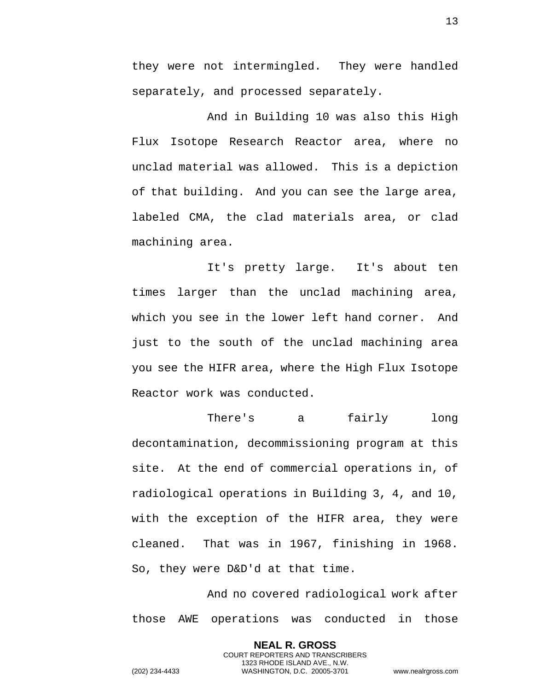they were not intermingled. They were handled separately, and processed separately.

And in Building 10 was also this High Flux Isotope Research Reactor area, where no unclad material was allowed. This is a depiction of that building. And you can see the large area, labeled CMA, the clad materials area, or clad machining area.

It's pretty large. It's about ten times larger than the unclad machining area, which you see in the lower left hand corner. And just to the south of the unclad machining area you see the HIFR area, where the High Flux Isotope Reactor work was conducted.

There's a fairly long decontamination, decommissioning program at this site. At the end of commercial operations in, of radiological operations in Building 3, 4, and 10, with the exception of the HIFR area, they were cleaned. That was in 1967, finishing in 1968. So, they were D&D'd at that time.

And no covered radiological work after those AWE operations was conducted in those

> **NEAL R. GROSS** COURT REPORTERS AND TRANSCRIBERS 1323 RHODE ISLAND AVE., N.W.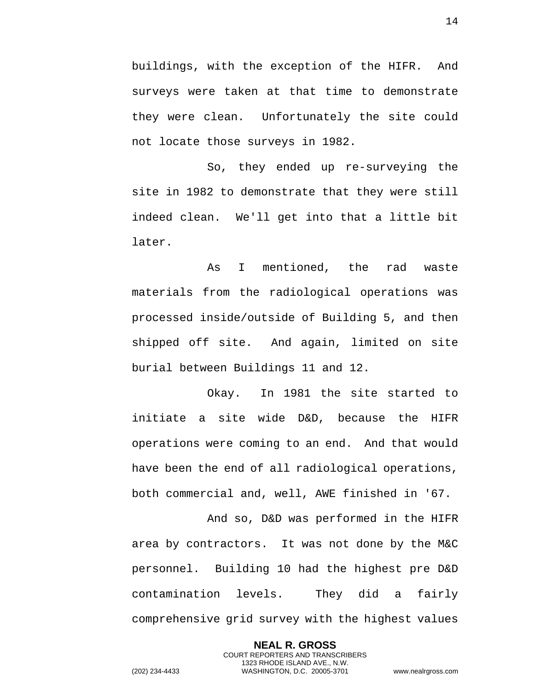buildings, with the exception of the HIFR. And surveys were taken at that time to demonstrate they were clean. Unfortunately the site could not locate those surveys in 1982.

So, they ended up re-surveying the site in 1982 to demonstrate that they were still indeed clean. We'll get into that a little bit later.

As I mentioned, the rad waste materials from the radiological operations was processed inside/outside of Building 5, and then shipped off site. And again, limited on site burial between Buildings 11 and 12.

Okay. In 1981 the site started to initiate a site wide D&D, because the HIFR operations were coming to an end. And that would have been the end of all radiological operations, both commercial and, well, AWE finished in '67.

And so, D&D was performed in the HIFR area by contractors. It was not done by the M&C personnel. Building 10 had the highest pre D&D contamination levels. They did a fairly comprehensive grid survey with the highest values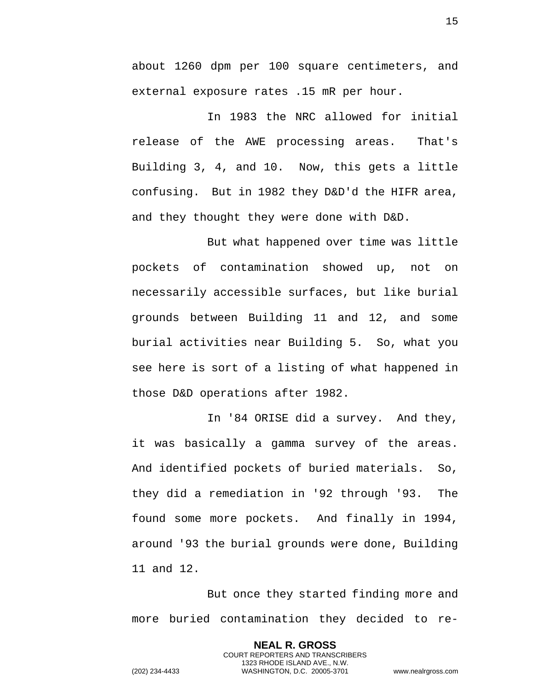about 1260 dpm per 100 square centimeters, and external exposure rates .15 mR per hour.

In 1983 the NRC allowed for initial release of the AWE processing areas. That's Building 3, 4, and 10. Now, this gets a little confusing. But in 1982 they D&D'd the HIFR area, and they thought they were done with D&D.

But what happened over time was little pockets of contamination showed up, not on necessarily accessible surfaces, but like burial grounds between Building 11 and 12, and some burial activities near Building 5. So, what you see here is sort of a listing of what happened in those D&D operations after 1982.

In '84 ORISE did a survey. And they, it was basically a gamma survey of the areas. And identified pockets of buried materials. So, they did a remediation in '92 through '93. The found some more pockets. And finally in 1994, around '93 the burial grounds were done, Building 11 and 12.

But once they started finding more and more buried contamination they decided to re-

> **NEAL R. GROSS** COURT REPORTERS AND TRANSCRIBERS 1323 RHODE ISLAND AVE., N.W.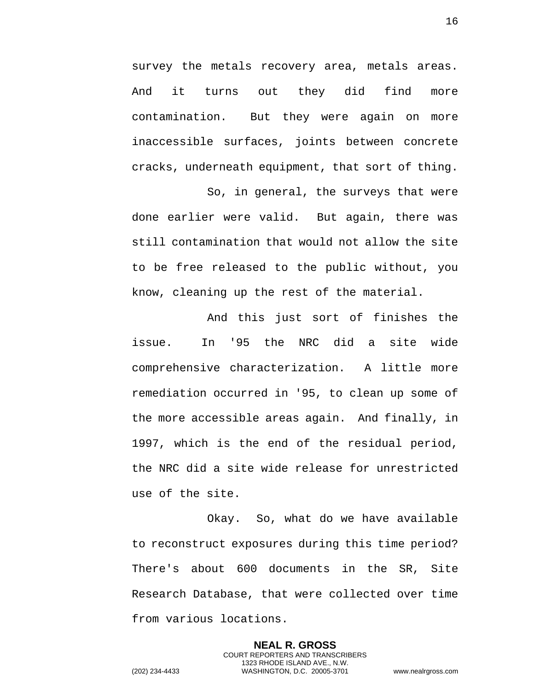survey the metals recovery area, metals areas. And it turns out they did find more contamination. But they were again on more inaccessible surfaces, joints between concrete cracks, underneath equipment, that sort of thing.

So, in general, the surveys that were done earlier were valid. But again, there was still contamination that would not allow the site to be free released to the public without, you know, cleaning up the rest of the material.

And this just sort of finishes the issue. In '95 the NRC did a site wide comprehensive characterization. A little more remediation occurred in '95, to clean up some of the more accessible areas again. And finally, in 1997, which is the end of the residual period, the NRC did a site wide release for unrestricted use of the site.

Okay. So, what do we have available to reconstruct exposures during this time period? There's about 600 documents in the SR, Site Research Database, that were collected over time from various locations.

> **NEAL R. GROSS** COURT REPORTERS AND TRANSCRIBERS 1323 RHODE ISLAND AVE., N.W.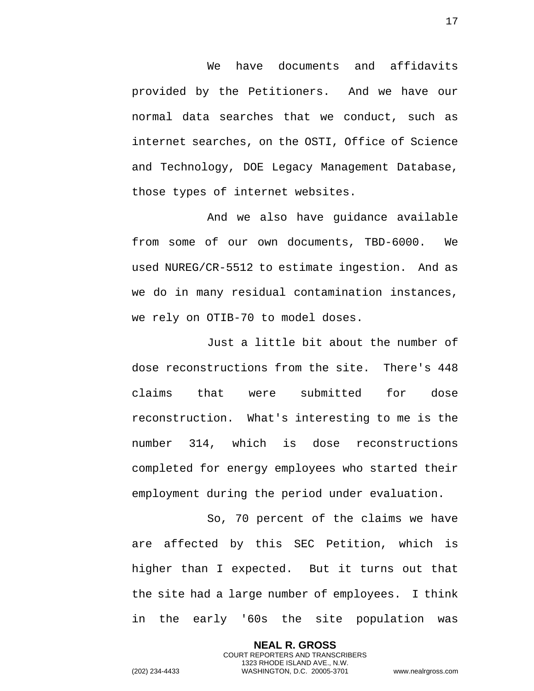We have documents and affidavits provided by the Petitioners. And we have our normal data searches that we conduct, such as internet searches, on the OSTI, Office of Science and Technology, DOE Legacy Management Database, those types of internet websites.

And we also have guidance available from some of our own documents, TBD-6000. We used NUREG/CR-5512 to estimate ingestion. And as we do in many residual contamination instances, we rely on OTIB-70 to model doses.

Just a little bit about the number of dose reconstructions from the site. There's 448 claims that were submitted for dose reconstruction. What's interesting to me is the number 314, which is dose reconstructions completed for energy employees who started their employment during the period under evaluation.

So, 70 percent of the claims we have are affected by this SEC Petition, which is higher than I expected. But it turns out that the site had a large number of employees. I think in the early '60s the site population was

> **NEAL R. GROSS** COURT REPORTERS AND TRANSCRIBERS 1323 RHODE ISLAND AVE., N.W.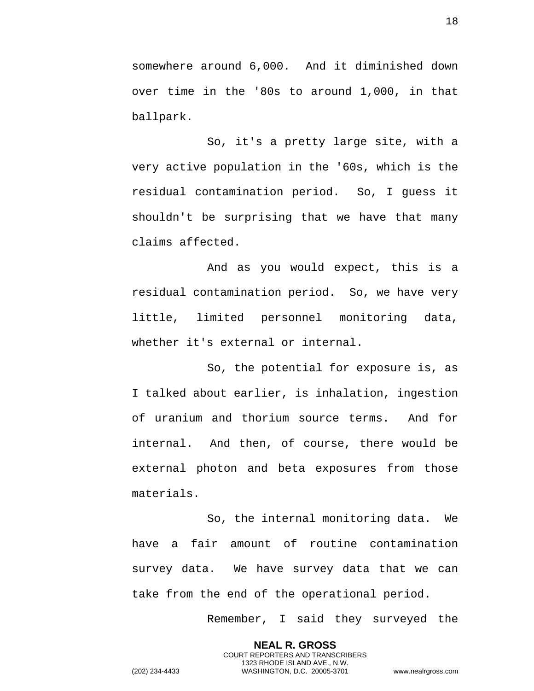somewhere around 6,000. And it diminished down over time in the '80s to around 1,000, in that ballpark.

So, it's a pretty large site, with a very active population in the '60s, which is the residual contamination period. So, I guess it shouldn't be surprising that we have that many claims affected.

And as you would expect, this is a residual contamination period. So, we have very little, limited personnel monitoring data, whether it's external or internal.

So, the potential for exposure is, as I talked about earlier, is inhalation, ingestion of uranium and thorium source terms. And for internal. And then, of course, there would be external photon and beta exposures from those materials.

So, the internal monitoring data. We have a fair amount of routine contamination survey data. We have survey data that we can take from the end of the operational period.

> **NEAL R. GROSS** COURT REPORTERS AND TRANSCRIBERS 1323 RHODE ISLAND AVE., N.W.

Remember, I said they surveyed the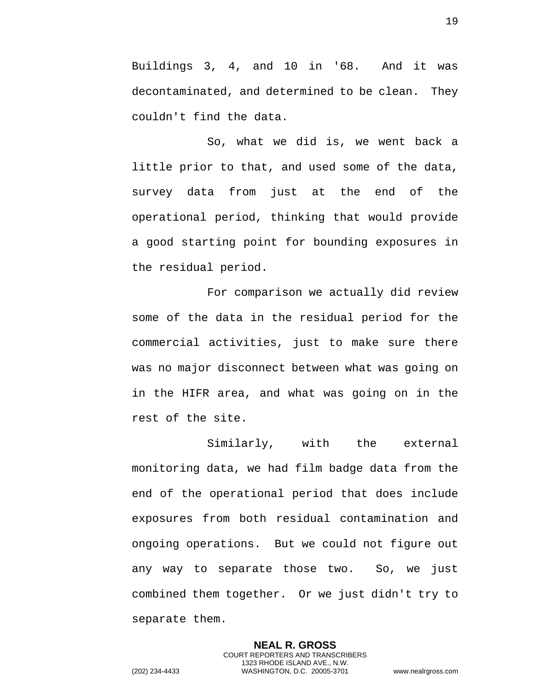Buildings 3, 4, and 10 in '68. And it was decontaminated, and determined to be clean. They couldn't find the data.

So, what we did is, we went back a little prior to that, and used some of the data, survey data from just at the end of the operational period, thinking that would provide a good starting point for bounding exposures in the residual period.

For comparison we actually did review some of the data in the residual period for the commercial activities, just to make sure there was no major disconnect between what was going on in the HIFR area, and what was going on in the rest of the site.

Similarly, with the external monitoring data, we had film badge data from the end of the operational period that does include exposures from both residual contamination and ongoing operations. But we could not figure out any way to separate those two. So, we just combined them together. Or we just didn't try to separate them.

> **NEAL R. GROSS** COURT REPORTERS AND TRANSCRIBERS 1323 RHODE ISLAND AVE., N.W.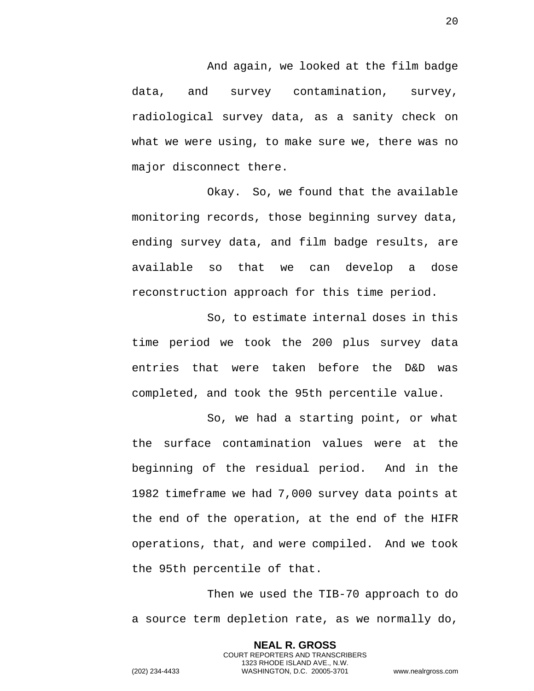And again, we looked at the film badge data, and survey contamination, survey, radiological survey data, as a sanity check on what we were using, to make sure we, there was no major disconnect there.

Okay. So, we found that the available monitoring records, those beginning survey data, ending survey data, and film badge results, are available so that we can develop a dose reconstruction approach for this time period.

So, to estimate internal doses in this time period we took the 200 plus survey data entries that were taken before the D&D was completed, and took the 95th percentile value.

So, we had a starting point, or what the surface contamination values were at the beginning of the residual period. And in the 1982 timeframe we had 7,000 survey data points at the end of the operation, at the end of the HIFR operations, that, and were compiled. And we took the 95th percentile of that.

Then we used the TIB-70 approach to do a source term depletion rate, as we normally do,

> **NEAL R. GROSS** COURT REPORTERS AND TRANSCRIBERS 1323 RHODE ISLAND AVE., N.W.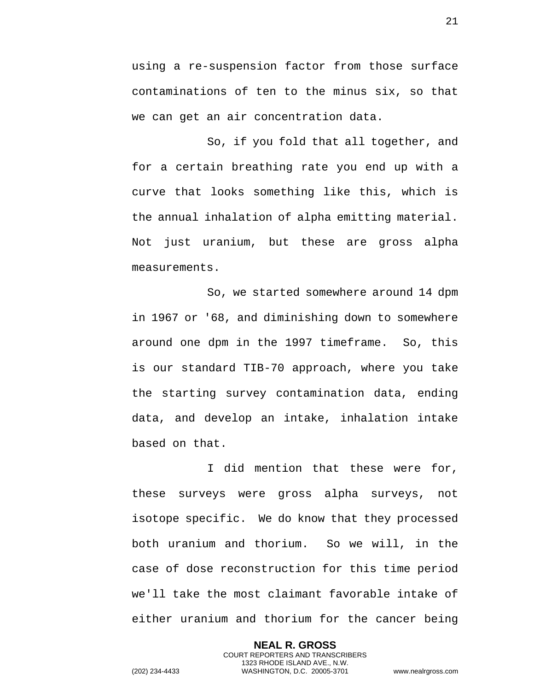using a re-suspension factor from those surface contaminations of ten to the minus six, so that we can get an air concentration data.

So, if you fold that all together, and for a certain breathing rate you end up with a curve that looks something like this, which is the annual inhalation of alpha emitting material. Not just uranium, but these are gross alpha measurements.

So, we started somewhere around 14 dpm in 1967 or '68, and diminishing down to somewhere around one dpm in the 1997 timeframe. So, this is our standard TIB-70 approach, where you take the starting survey contamination data, ending data, and develop an intake, inhalation intake based on that.

I did mention that these were for, these surveys were gross alpha surveys, not isotope specific. We do know that they processed both uranium and thorium. So we will, in the case of dose reconstruction for this time period we'll take the most claimant favorable intake of either uranium and thorium for the cancer being

> **NEAL R. GROSS** COURT REPORTERS AND TRANSCRIBERS 1323 RHODE ISLAND AVE., N.W.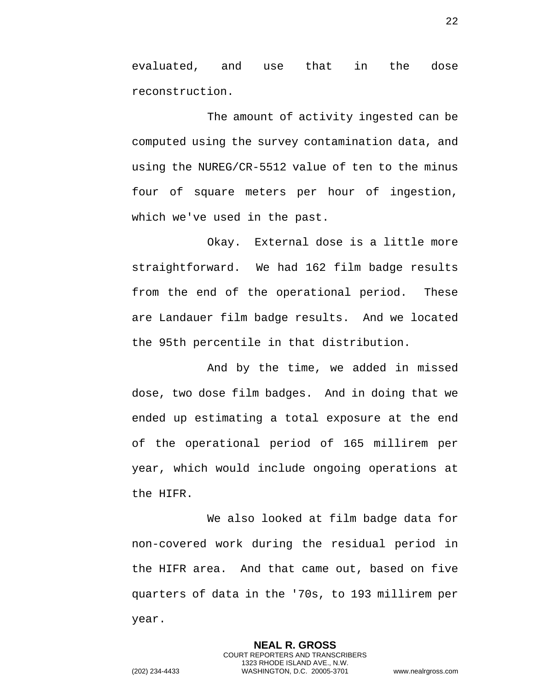evaluated, and use that in the dose reconstruction.

The amount of activity ingested can be computed using the survey contamination data, and using the NUREG/CR-5512 value of ten to the minus four of square meters per hour of ingestion, which we've used in the past.

Okay. External dose is a little more straightforward. We had 162 film badge results from the end of the operational period. These are Landauer film badge results. And we located the 95th percentile in that distribution.

And by the time, we added in missed dose, two dose film badges. And in doing that we ended up estimating a total exposure at the end of the operational period of 165 millirem per year, which would include ongoing operations at the HIFR.

We also looked at film badge data for non-covered work during the residual period in the HIFR area. And that came out, based on five quarters of data in the '70s, to 193 millirem per year.

> **NEAL R. GROSS** COURT REPORTERS AND TRANSCRIBERS 1323 RHODE ISLAND AVE., N.W.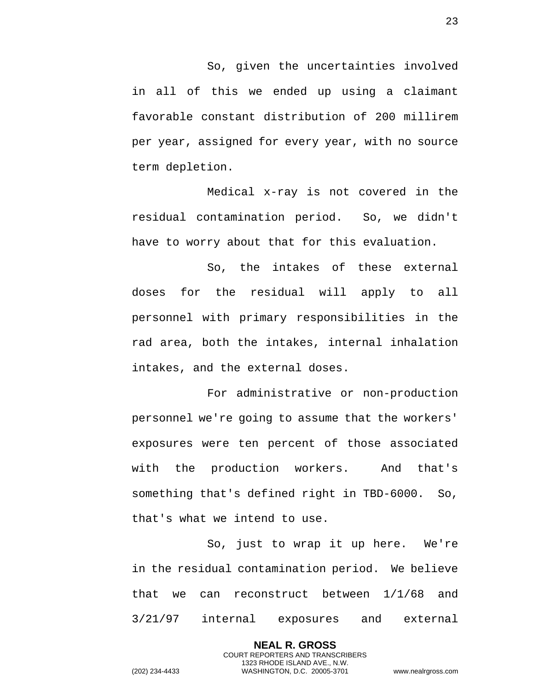So, given the uncertainties involved in all of this we ended up using a claimant favorable constant distribution of 200 millirem per year, assigned for every year, with no source term depletion.

Medical x-ray is not covered in the residual contamination period. So, we didn't have to worry about that for this evaluation.

So, the intakes of these external doses for the residual will apply to all personnel with primary responsibilities in the rad area, both the intakes, internal inhalation intakes, and the external doses.

For administrative or non-production personnel we're going to assume that the workers' exposures were ten percent of those associated with the production workers. And that's something that's defined right in TBD-6000. So, that's what we intend to use.

So, just to wrap it up here. We're in the residual contamination period. We believe that we can reconstruct between 1/1/68 and 3/21/97 internal exposures and external

> **NEAL R. GROSS** COURT REPORTERS AND TRANSCRIBERS 1323 RHODE ISLAND AVE., N.W.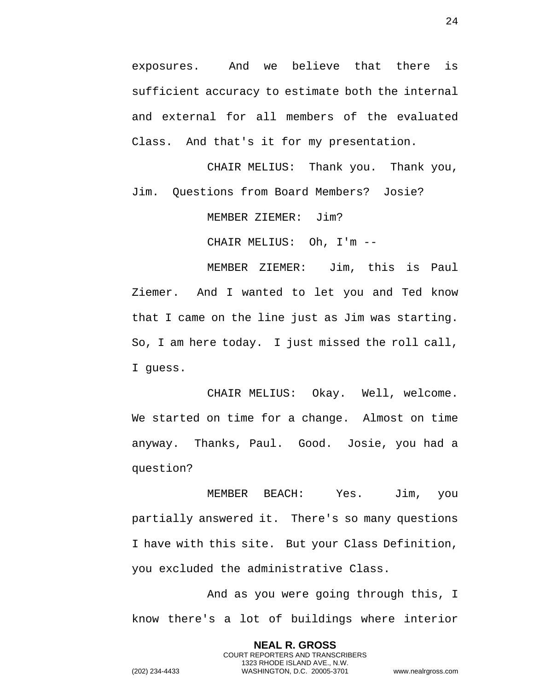exposures. And we believe that there is sufficient accuracy to estimate both the internal and external for all members of the evaluated Class. And that's it for my presentation.

CHAIR MELIUS: Thank you. Thank you, Jim. Questions from Board Members? Josie?

MEMBER ZIEMER: Jim?

CHAIR MELIUS: Oh, I'm --

MEMBER ZIEMER: Jim, this is Paul Ziemer. And I wanted to let you and Ted know that I came on the line just as Jim was starting. So, I am here today. I just missed the roll call, I guess.

CHAIR MELIUS: Okay. Well, welcome. We started on time for a change. Almost on time anyway. Thanks, Paul. Good. Josie, you had a question?

MEMBER BEACH: Yes. Jim, you partially answered it. There's so many questions I have with this site. But your Class Definition, you excluded the administrative Class.

And as you were going through this, I know there's a lot of buildings where interior

> **NEAL R. GROSS** COURT REPORTERS AND TRANSCRIBERS 1323 RHODE ISLAND AVE., N.W.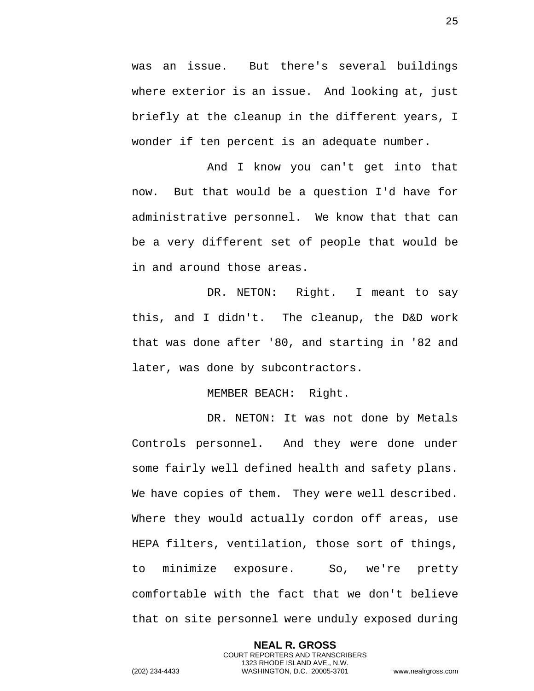was an issue. But there's several buildings where exterior is an issue. And looking at, just briefly at the cleanup in the different years, I wonder if ten percent is an adequate number.

And I know you can't get into that now. But that would be a question I'd have for administrative personnel. We know that that can be a very different set of people that would be in and around those areas.

DR. NETON: Right. I meant to say this, and I didn't. The cleanup, the D&D work that was done after '80, and starting in '82 and later, was done by subcontractors.

MEMBER BEACH: Right.

DR. NETON: It was not done by Metals Controls personnel. And they were done under some fairly well defined health and safety plans. We have copies of them. They were well described. Where they would actually cordon off areas, use HEPA filters, ventilation, those sort of things, to minimize exposure. So, we're pretty comfortable with the fact that we don't believe that on site personnel were unduly exposed during

> **NEAL R. GROSS** COURT REPORTERS AND TRANSCRIBERS 1323 RHODE ISLAND AVE., N.W.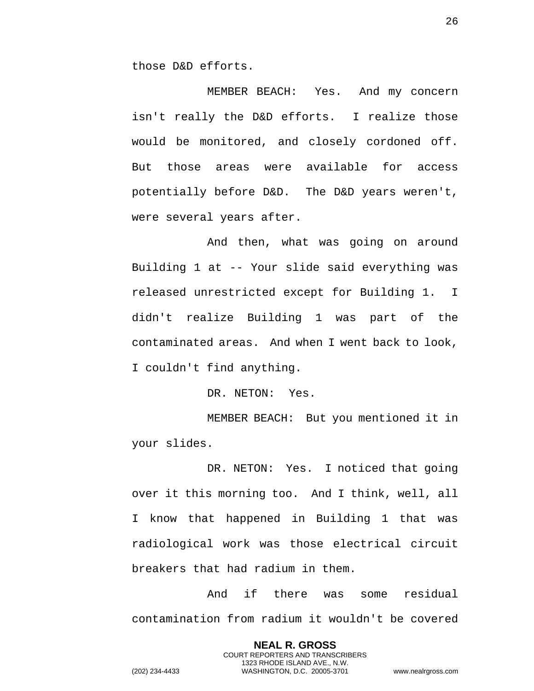those D&D efforts.

MEMBER BEACH: Yes. And my concern isn't really the D&D efforts. I realize those would be monitored, and closely cordoned off. But those areas were available for access potentially before D&D. The D&D years weren't, were several years after.

And then, what was going on around Building 1 at -- Your slide said everything was released unrestricted except for Building 1. I didn't realize Building 1 was part of the contaminated areas. And when I went back to look, I couldn't find anything.

DR. NETON: Yes.

MEMBER BEACH: But you mentioned it in your slides.

DR. NETON: Yes. I noticed that going over it this morning too. And I think, well, all I know that happened in Building 1 that was radiological work was those electrical circuit breakers that had radium in them.

And if there was some residual contamination from radium it wouldn't be covered

> **NEAL R. GROSS** COURT REPORTERS AND TRANSCRIBERS 1323 RHODE ISLAND AVE., N.W.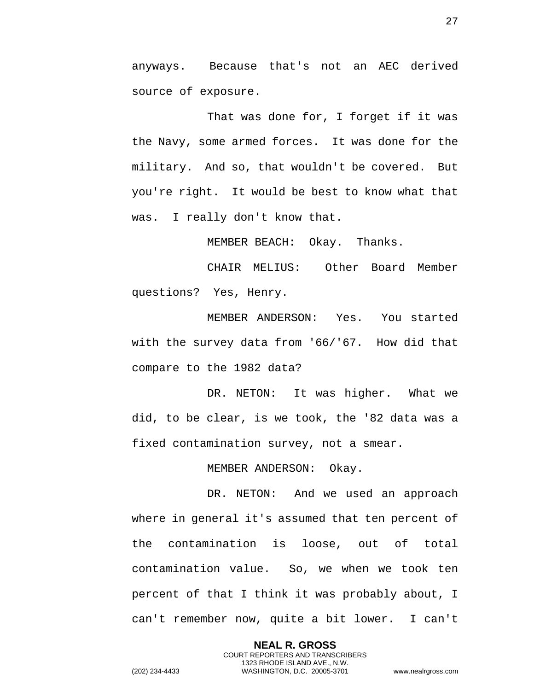anyways. Because that's not an AEC derived source of exposure.

That was done for, I forget if it was the Navy, some armed forces. It was done for the military. And so, that wouldn't be covered. But you're right. It would be best to know what that was. I really don't know that.

MEMBER BEACH: Okay. Thanks.

CHAIR MELIUS: Other Board Member questions? Yes, Henry.

MEMBER ANDERSON: Yes. You started with the survey data from '66/'67. How did that compare to the 1982 data?

DR. NETON: It was higher. What we did, to be clear, is we took, the '82 data was a fixed contamination survey, not a smear.

MEMBER ANDERSON: Okay.

DR. NETON: And we used an approach where in general it's assumed that ten percent of the contamination is loose, out of total contamination value. So, we when we took ten percent of that I think it was probably about, I can't remember now, quite a bit lower. I can't

> **NEAL R. GROSS** COURT REPORTERS AND TRANSCRIBERS 1323 RHODE ISLAND AVE., N.W.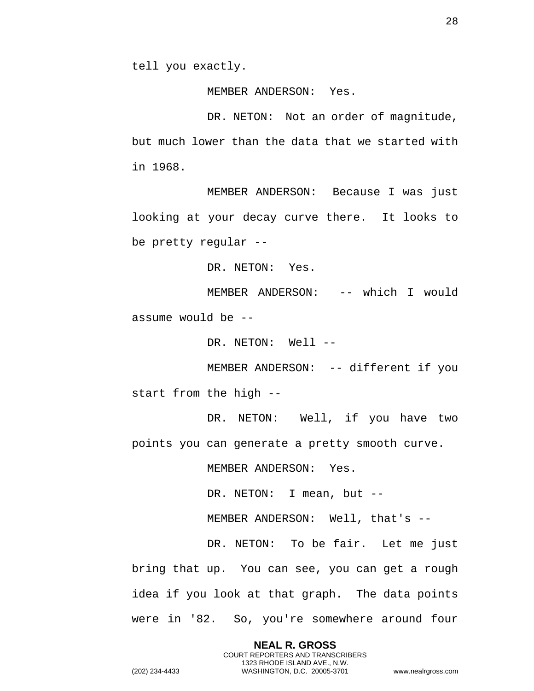tell you exactly.

MEMBER ANDERSON: Yes.

DR. NETON: Not an order of magnitude, but much lower than the data that we started with in 1968.

MEMBER ANDERSON: Because I was just looking at your decay curve there. It looks to be pretty regular --

DR. NETON: Yes.

MEMBER ANDERSON: -- which I would assume would be --

DR. NETON: Well --

MEMBER ANDERSON: -- different if you start from the high --

DR. NETON: Well, if you have two points you can generate a pretty smooth curve.

MEMBER ANDERSON: Yes.

DR. NETON: I mean, but --

MEMBER ANDERSON: Well, that's --

DR. NETON: To be fair. Let me just bring that up. You can see, you can get a rough idea if you look at that graph. The data points were in '82. So, you're somewhere around four

> **NEAL R. GROSS** COURT REPORTERS AND TRANSCRIBERS

1323 RHODE ISLAND AVE., N.W.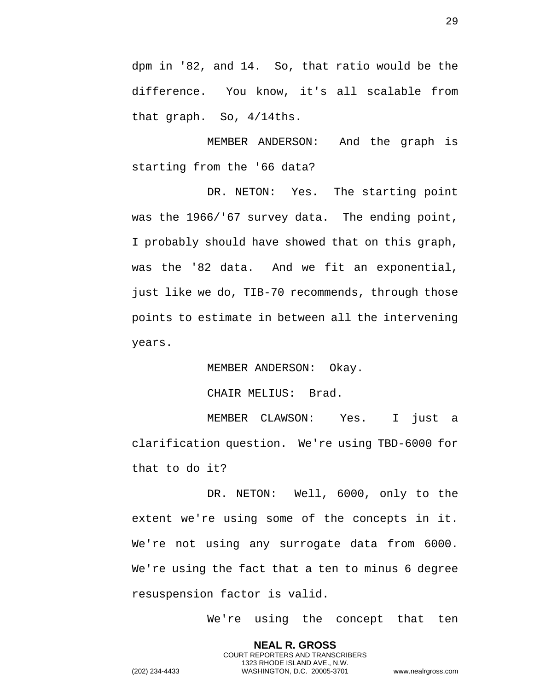dpm in '82, and 14. So, that ratio would be the difference. You know, it's all scalable from that graph. So, 4/14ths.

MEMBER ANDERSON: And the graph is starting from the '66 data?

DR. NETON: Yes. The starting point was the 1966/'67 survey data. The ending point, I probably should have showed that on this graph, was the '82 data. And we fit an exponential, just like we do, TIB-70 recommends, through those points to estimate in between all the intervening years.

MEMBER ANDERSON: Okay.

CHAIR MELIUS: Brad.

MEMBER CLAWSON: Yes. I just a clarification question. We're using TBD-6000 for that to do it?

DR. NETON: Well, 6000, only to the extent we're using some of the concepts in it. We're not using any surrogate data from 6000. We're using the fact that a ten to minus 6 degree resuspension factor is valid.

> **NEAL R. GROSS** COURT REPORTERS AND TRANSCRIBERS 1323 RHODE ISLAND AVE., N.W.

We're using the concept that ten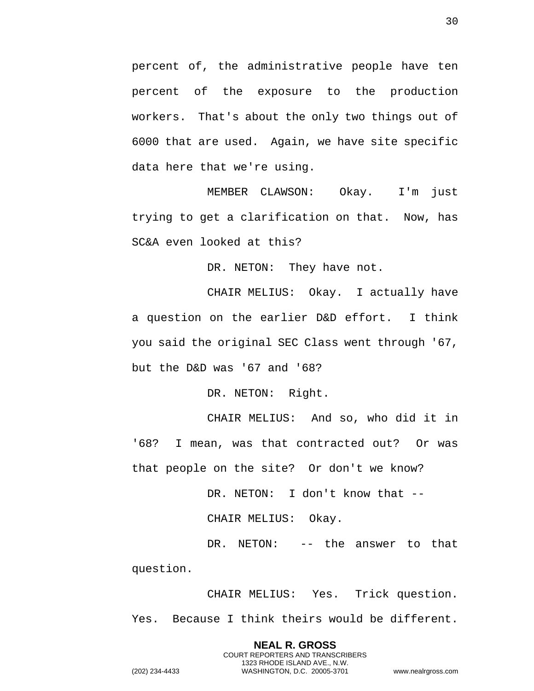percent of, the administrative people have ten percent of the exposure to the production workers. That's about the only two things out of 6000 that are used. Again, we have site specific data here that we're using.

MEMBER CLAWSON: Okay. I'm just trying to get a clarification on that. Now, has SC&A even looked at this?

DR. NETON: They have not.

CHAIR MELIUS: Okay. I actually have a question on the earlier D&D effort. I think you said the original SEC Class went through '67, but the D&D was '67 and '68?

DR. NETON: Right.

CHAIR MELIUS: And so, who did it in '68? I mean, was that contracted out? Or was that people on the site? Or don't we know?

DR. NETON: I don't know that --

CHAIR MELIUS: Okay.

DR. NETON: -- the answer to that question.

CHAIR MELIUS: Yes. Trick question. Yes. Because I think theirs would be different.

> **NEAL R. GROSS** COURT REPORTERS AND TRANSCRIBERS 1323 RHODE ISLAND AVE., N.W.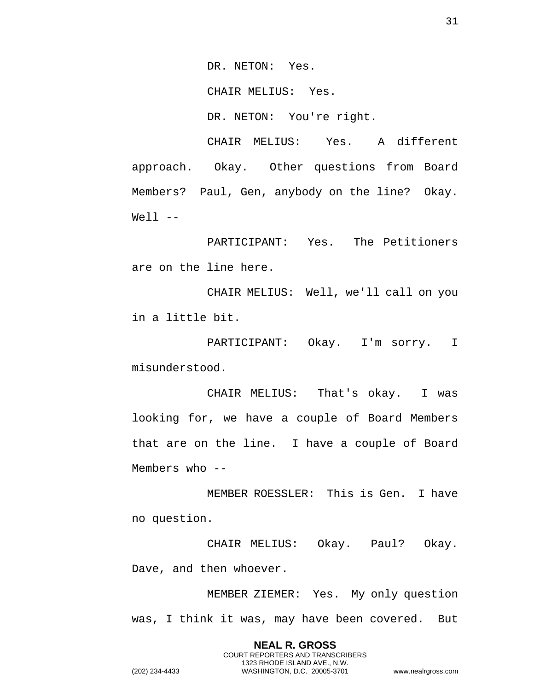DR. NETON: Yes.

CHAIR MELIUS: Yes.

DR. NETON: You're right.

CHAIR MELIUS: Yes. A different approach. Okay. Other questions from Board Members? Paul, Gen, anybody on the line? Okay.  $Well1$   $--$ 

PARTICIPANT: Yes. The Petitioners are on the line here.

CHAIR MELIUS: Well, we'll call on you in a little bit.

PARTICIPANT: Okay. I'm sorry. I misunderstood.

CHAIR MELIUS: That's okay. I was looking for, we have a couple of Board Members that are on the line. I have a couple of Board Members who --

MEMBER ROESSLER: This is Gen. I have no question.

CHAIR MELIUS: Okay. Paul? Okay. Dave, and then whoever.

MEMBER ZIEMER: Yes. My only question was, I think it was, may have been covered. But

> **NEAL R. GROSS** COURT REPORTERS AND TRANSCRIBERS 1323 RHODE ISLAND AVE., N.W.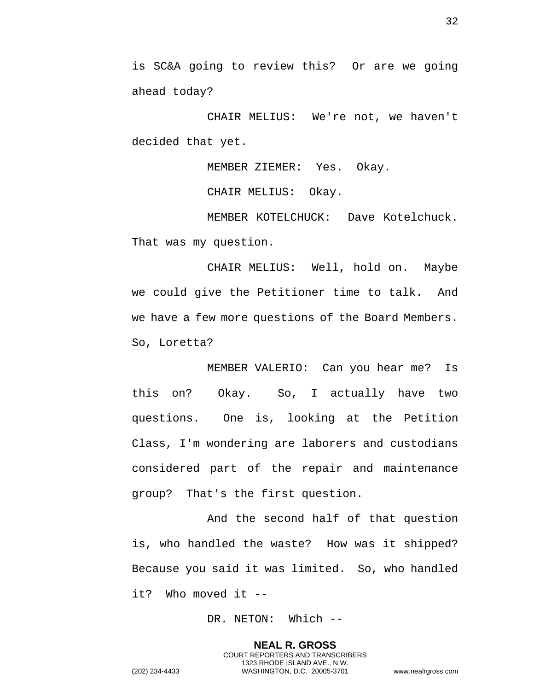is SC&A going to review this? Or are we going ahead today?

CHAIR MELIUS: We're not, we haven't decided that yet.

MEMBER ZIEMER: Yes. Okay.

CHAIR MELIUS: Okay.

MEMBER KOTELCHUCK: Dave Kotelchuck. That was my question.

CHAIR MELIUS: Well, hold on. Maybe we could give the Petitioner time to talk. And we have a few more questions of the Board Members. So, Loretta?

MEMBER VALERIO: Can you hear me? Is this on? Okay. So, I actually have two questions. One is, looking at the Petition Class, I'm wondering are laborers and custodians considered part of the repair and maintenance group? That's the first question.

And the second half of that question is, who handled the waste? How was it shipped? Because you said it was limited. So, who handled it? Who moved it --

DR. NETON: Which --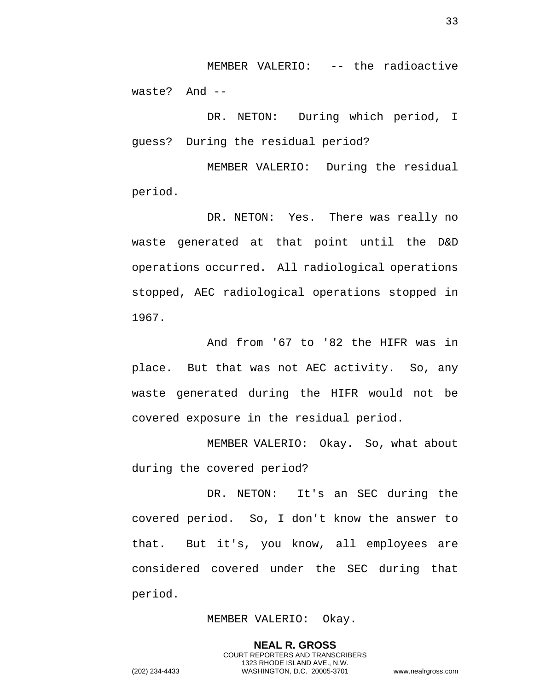MEMBER VALERIO: -- the radioactive waste? And --

DR. NETON: During which period, I guess? During the residual period?

MEMBER VALERIO: During the residual period.

DR. NETON: Yes. There was really no waste generated at that point until the D&D operations occurred. All radiological operations stopped, AEC radiological operations stopped in 1967.

And from '67 to '82 the HIFR was in place. But that was not AEC activity. So, any waste generated during the HIFR would not be covered exposure in the residual period.

MEMBER VALERIO: Okay. So, what about during the covered period?

DR. NETON: It's an SEC during the covered period. So, I don't know the answer to that. But it's, you know, all employees are considered covered under the SEC during that period.

## MEMBER VALERIO: Okay.

**NEAL R. GROSS** COURT REPORTERS AND TRANSCRIBERS 1323 RHODE ISLAND AVE., N.W. (202) 234-4433 WASHINGTON, D.C. 20005-3701 www.nealrgross.com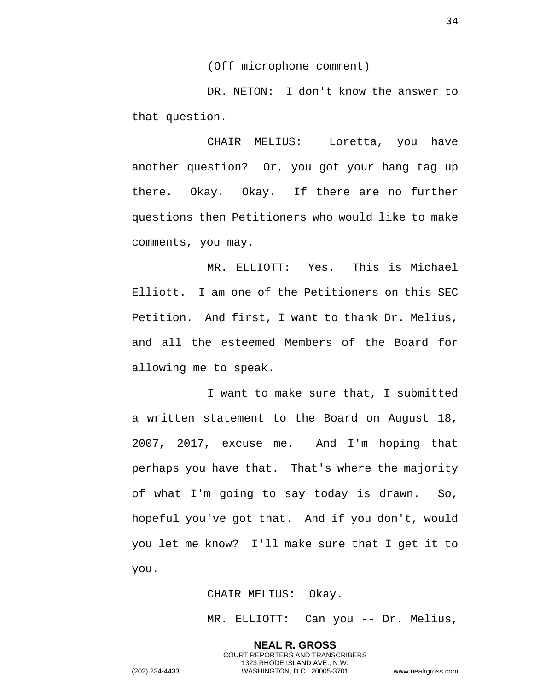(Off microphone comment)

DR. NETON: I don't know the answer to that question.

CHAIR MELIUS: Loretta, you have another question? Or, you got your hang tag up there. Okay. Okay. If there are no further questions then Petitioners who would like to make comments, you may.

MR. ELLIOTT: Yes. This is Michael Elliott. I am one of the Petitioners on this SEC Petition. And first, I want to thank Dr. Melius, and all the esteemed Members of the Board for allowing me to speak.

I want to make sure that, I submitted a written statement to the Board on August 18, 2007, 2017, excuse me. And I'm hoping that perhaps you have that. That's where the majority of what I'm going to say today is drawn. So, hopeful you've got that. And if you don't, would you let me know? I'll make sure that I get it to you.

CHAIR MELIUS: Okay.

MR. ELLIOTT: Can you -- Dr. Melius,

**NEAL R. GROSS** COURT REPORTERS AND TRANSCRIBERS 1323 RHODE ISLAND AVE., N.W. (202) 234-4433 WASHINGTON, D.C. 20005-3701 www.nealrgross.com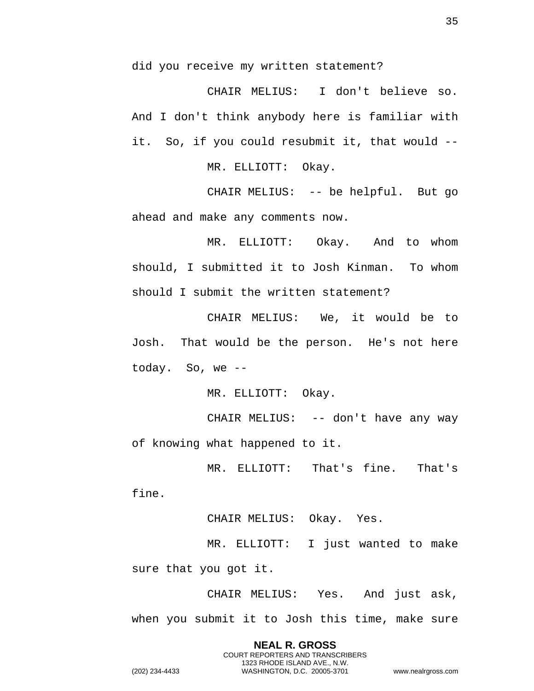did you receive my written statement?

CHAIR MELIUS: I don't believe so. And I don't think anybody here is familiar with it. So, if you could resubmit it, that would --

MR. ELLIOTT: Okay.

CHAIR MELIUS: -- be helpful. But go ahead and make any comments now.

MR. ELLIOTT: Okay. And to whom should, I submitted it to Josh Kinman. To whom should I submit the written statement?

CHAIR MELIUS: We, it would be to Josh. That would be the person. He's not here today. So, we --

MR. ELLIOTT: Okay.

CHAIR MELIUS: -- don't have any way of knowing what happened to it.

MR. ELLIOTT: That's fine. That's

fine.

CHAIR MELIUS: Okay. Yes.

MR. ELLIOTT: I just wanted to make sure that you got it.

CHAIR MELIUS: Yes. And just ask, when you submit it to Josh this time, make sure

> **NEAL R. GROSS** COURT REPORTERS AND TRANSCRIBERS 1323 RHODE ISLAND AVE., N.W.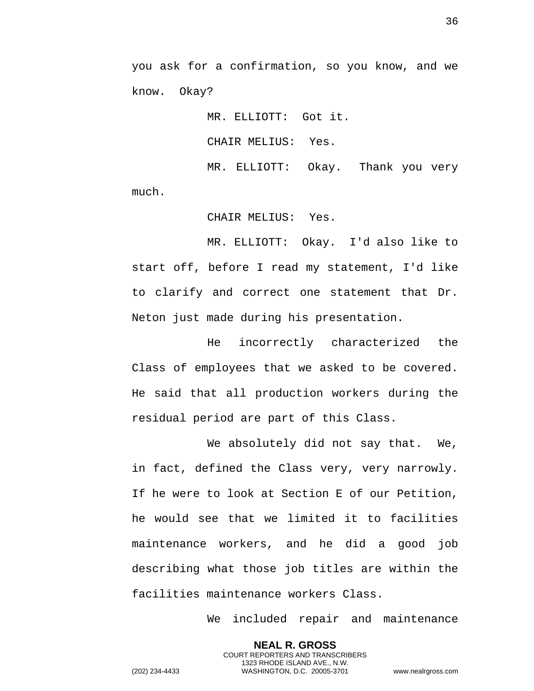you ask for a confirmation, so you know, and we know. Okay?

> MR. ELLIOTT: Got it. CHAIR MELIUS: Yes. MR. ELLIOTT: Okay. Thank you very

much.

CHAIR MELIUS: Yes.

MR. ELLIOTT: Okay. I'd also like to start off, before I read my statement, I'd like to clarify and correct one statement that Dr. Neton just made during his presentation.

He incorrectly characterized the Class of employees that we asked to be covered. He said that all production workers during the residual period are part of this Class.

We absolutely did not say that. We, in fact, defined the Class very, very narrowly. If he were to look at Section E of our Petition, he would see that we limited it to facilities maintenance workers, and he did a good job describing what those job titles are within the facilities maintenance workers Class.

> **NEAL R. GROSS** COURT REPORTERS AND TRANSCRIBERS 1323 RHODE ISLAND AVE., N.W.

We included repair and maintenance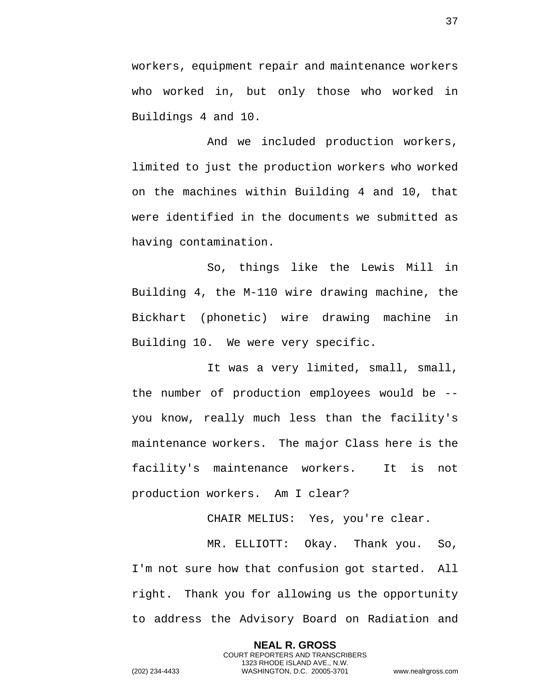workers, equipment repair and maintenance workers who worked in, but only those who worked in Buildings 4 and 10.

And we included production workers, limited to just the production workers who worked on the machines within Building 4 and 10, that were identified in the documents we submitted as having contamination.

So, things like the Lewis Mill in Building 4, the M-110 wire drawing machine, the Bickhart (phonetic) wire drawing machine in Building 10. We were very specific.

It was a very limited, small, small, the number of production employees would be - you know, really much less than the facility's maintenance workers. The major Class here is the facility's maintenance workers. It is not production workers. Am I clear?

CHAIR MELIUS: Yes, you're clear.

MR. ELLIOTT: Okay. Thank you. So, I'm not sure how that confusion got started. All right. Thank you for allowing us the opportunity to address the Advisory Board on Radiation and

> **NEAL R. GROSS** COURT REPORTERS AND TRANSCRIBERS 1323 RHODE ISLAND AVE., N.W.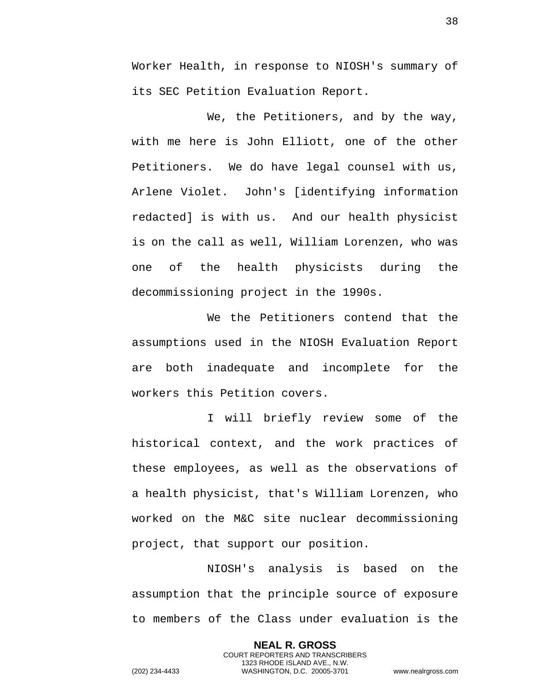Worker Health, in response to NIOSH's summary of its SEC Petition Evaluation Report.

We, the Petitioners, and by the way, with me here is John Elliott, one of the other Petitioners. We do have legal counsel with us, Arlene Violet. John's [identifying information redacted] is with us. And our health physicist is on the call as well, William Lorenzen, who was one of the health physicists during the decommissioning project in the 1990s.

We the Petitioners contend that the assumptions used in the NIOSH Evaluation Report are both inadequate and incomplete for the workers this Petition covers.

I will briefly review some of the historical context, and the work practices of these employees, as well as the observations of a health physicist, that's William Lorenzen, who worked on the M&C site nuclear decommissioning project, that support our position.

NIOSH's analysis is based on the assumption that the principle source of exposure to members of the Class under evaluation is the

> **NEAL R. GROSS** COURT REPORTERS AND TRANSCRIBERS 1323 RHODE ISLAND AVE., N.W.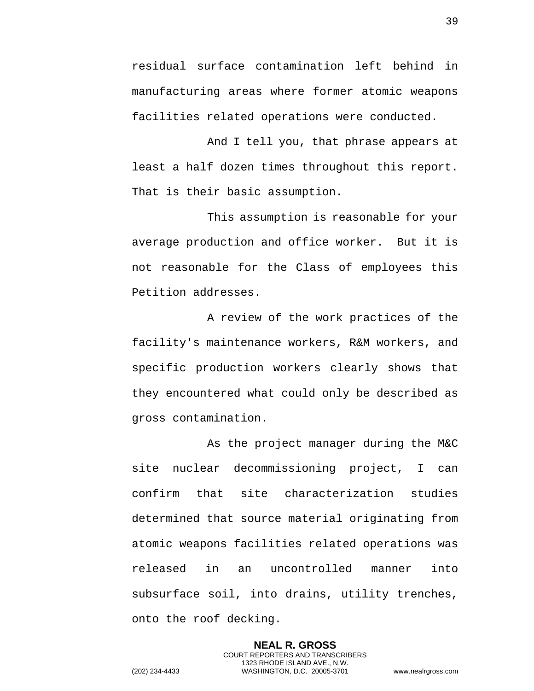residual surface contamination left behind in manufacturing areas where former atomic weapons facilities related operations were conducted.

And I tell you, that phrase appears at least a half dozen times throughout this report. That is their basic assumption.

This assumption is reasonable for your average production and office worker. But it is not reasonable for the Class of employees this Petition addresses.

A review of the work practices of the facility's maintenance workers, R&M workers, and specific production workers clearly shows that they encountered what could only be described as gross contamination.

As the project manager during the M&C site nuclear decommissioning project, I can confirm that site characterization studies determined that source material originating from atomic weapons facilities related operations was released in an uncontrolled manner into subsurface soil, into drains, utility trenches, onto the roof decking.

> **NEAL R. GROSS** COURT REPORTERS AND TRANSCRIBERS 1323 RHODE ISLAND AVE., N.W.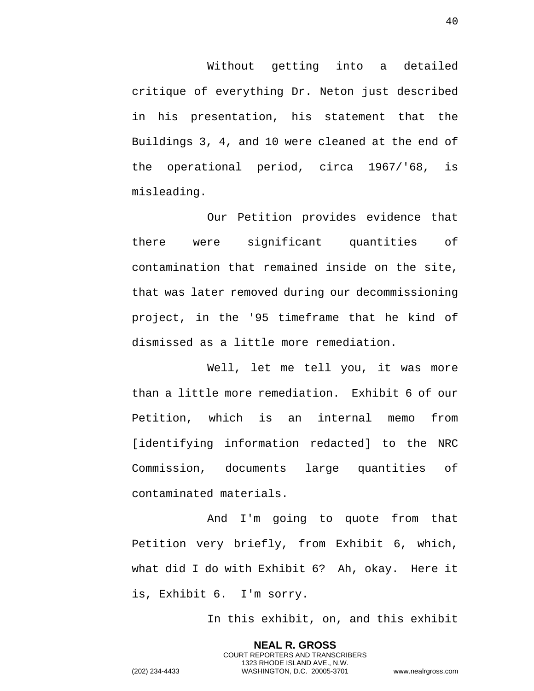Without getting into a detailed critique of everything Dr. Neton just described in his presentation, his statement that the Buildings 3, 4, and 10 were cleaned at the end of the operational period, circa 1967/'68, is misleading.

Our Petition provides evidence that there were significant quantities of contamination that remained inside on the site, that was later removed during our decommissioning project, in the '95 timeframe that he kind of dismissed as a little more remediation.

Well, let me tell you, it was more than a little more remediation. Exhibit 6 of our Petition, which is an internal memo from [identifying information redacted] to the NRC Commission, documents large quantities of contaminated materials.

And I'm going to quote from that Petition very briefly, from Exhibit 6, which, what did I do with Exhibit 6? Ah, okay. Here it is, Exhibit 6. I'm sorry.

In this exhibit, on, and this exhibit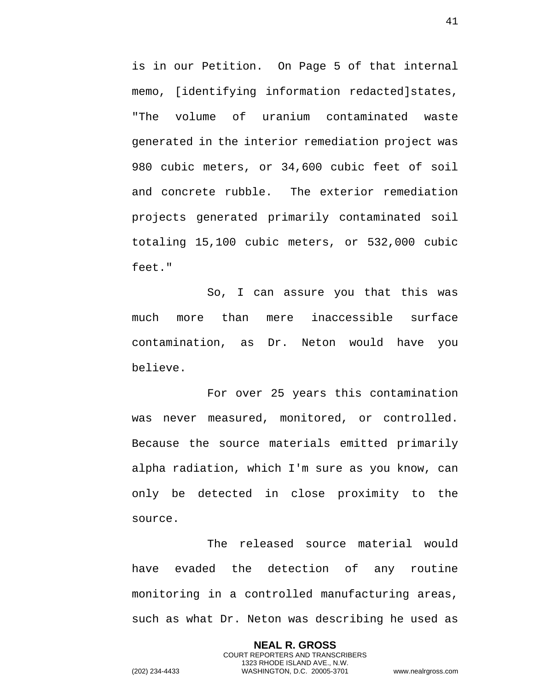is in our Petition. On Page 5 of that internal memo, [identifying information redacted]states, "The volume of uranium contaminated waste generated in the interior remediation project was 980 cubic meters, or 34,600 cubic feet of soil and concrete rubble. The exterior remediation projects generated primarily contaminated soil totaling 15,100 cubic meters, or 532,000 cubic feet."

So, I can assure you that this was much more than mere inaccessible surface contamination, as Dr. Neton would have you believe.

For over 25 years this contamination was never measured, monitored, or controlled. Because the source materials emitted primarily alpha radiation, which I'm sure as you know, can only be detected in close proximity to the source.

The released source material would have evaded the detection of any routine monitoring in a controlled manufacturing areas, such as what Dr. Neton was describing he used as

> **NEAL R. GROSS** COURT REPORTERS AND TRANSCRIBERS 1323 RHODE ISLAND AVE., N.W.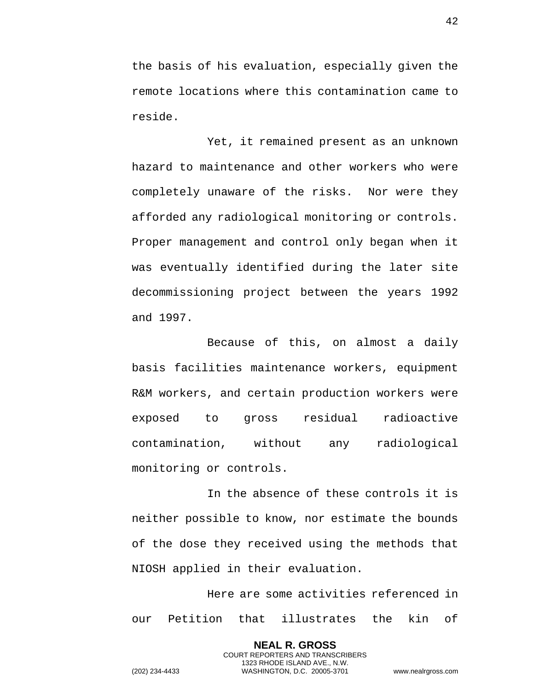the basis of his evaluation, especially given the remote locations where this contamination came to reside.

Yet, it remained present as an unknown hazard to maintenance and other workers who were completely unaware of the risks. Nor were they afforded any radiological monitoring or controls. Proper management and control only began when it was eventually identified during the later site decommissioning project between the years 1992 and 1997.

Because of this, on almost a daily basis facilities maintenance workers, equipment R&M workers, and certain production workers were exposed to gross residual radioactive contamination, without any radiological monitoring or controls.

In the absence of these controls it is neither possible to know, nor estimate the bounds of the dose they received using the methods that NIOSH applied in their evaluation.

Here are some activities referenced in our Petition that illustrates the kin of

> **NEAL R. GROSS** COURT REPORTERS AND TRANSCRIBERS 1323 RHODE ISLAND AVE., N.W.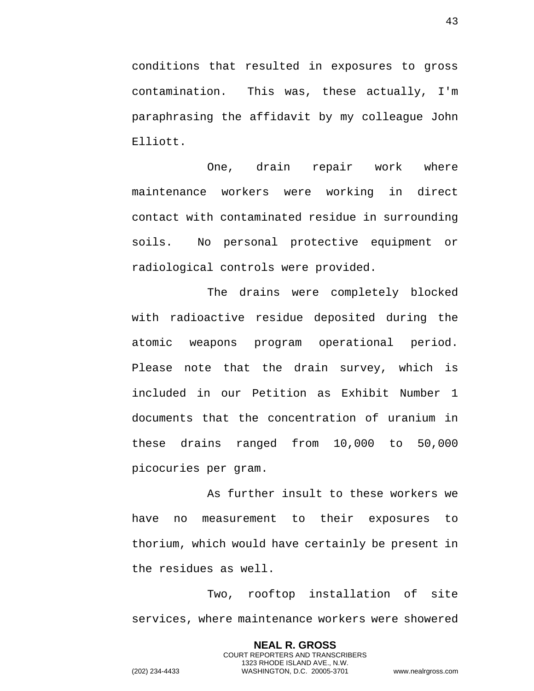conditions that resulted in exposures to gross contamination. This was, these actually, I'm paraphrasing the affidavit by my colleague John Elliott.

One, drain repair work where maintenance workers were working in direct contact with contaminated residue in surrounding soils. No personal protective equipment or radiological controls were provided.

The drains were completely blocked with radioactive residue deposited during the atomic weapons program operational period. Please note that the drain survey, which is included in our Petition as Exhibit Number 1 documents that the concentration of uranium in these drains ranged from 10,000 to 50,000 picocuries per gram.

As further insult to these workers we have no measurement to their exposures to thorium, which would have certainly be present in the residues as well.

Two, rooftop installation of site services, where maintenance workers were showered

> **NEAL R. GROSS** COURT REPORTERS AND TRANSCRIBERS 1323 RHODE ISLAND AVE., N.W.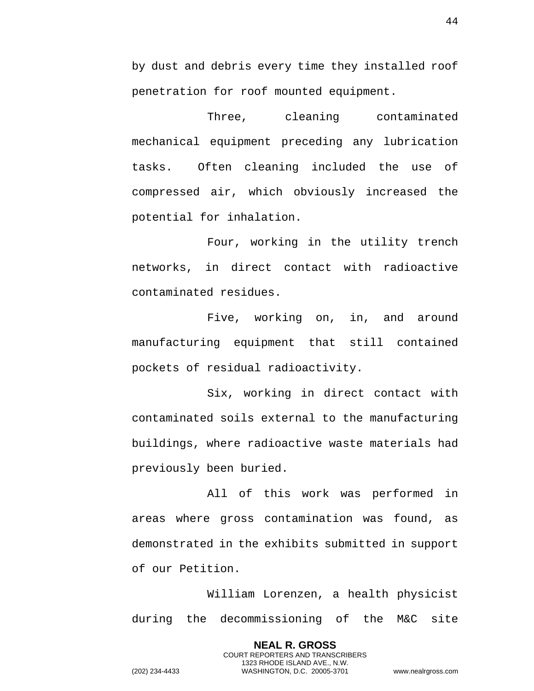by dust and debris every time they installed roof penetration for roof mounted equipment.

Three, cleaning contaminated mechanical equipment preceding any lubrication tasks. Often cleaning included the use of compressed air, which obviously increased the potential for inhalation.

Four, working in the utility trench networks, in direct contact with radioactive contaminated residues.

Five, working on, in, and around manufacturing equipment that still contained pockets of residual radioactivity.

Six, working in direct contact with contaminated soils external to the manufacturing buildings, where radioactive waste materials had previously been buried.

All of this work was performed in areas where gross contamination was found, as demonstrated in the exhibits submitted in support of our Petition.

William Lorenzen, a health physicist during the decommissioning of the M&C site

> **NEAL R. GROSS** COURT REPORTERS AND TRANSCRIBERS 1323 RHODE ISLAND AVE., N.W.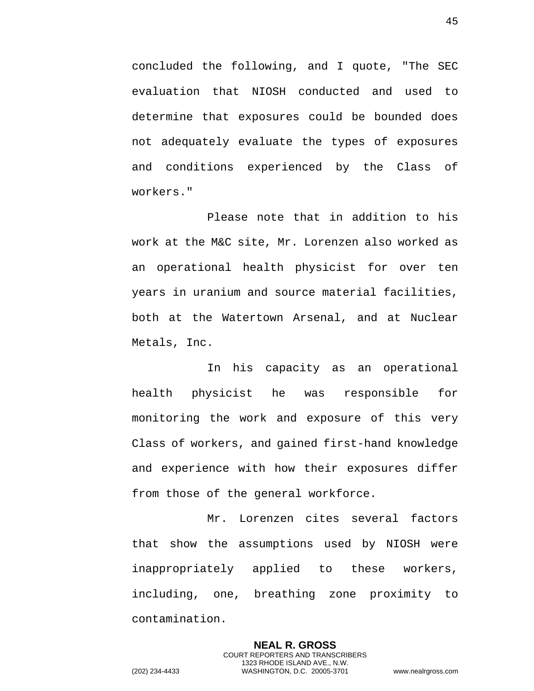concluded the following, and I quote, "The SEC evaluation that NIOSH conducted and used to determine that exposures could be bounded does not adequately evaluate the types of exposures and conditions experienced by the Class of workers."

Please note that in addition to his work at the M&C site, Mr. Lorenzen also worked as an operational health physicist for over ten years in uranium and source material facilities, both at the Watertown Arsenal, and at Nuclear Metals, Inc.

In his capacity as an operational health physicist he was responsible for monitoring the work and exposure of this very Class of workers, and gained first-hand knowledge and experience with how their exposures differ from those of the general workforce.

Mr. Lorenzen cites several factors that show the assumptions used by NIOSH were inappropriately applied to these workers, including, one, breathing zone proximity to contamination.

> **NEAL R. GROSS** COURT REPORTERS AND TRANSCRIBERS 1323 RHODE ISLAND AVE., N.W.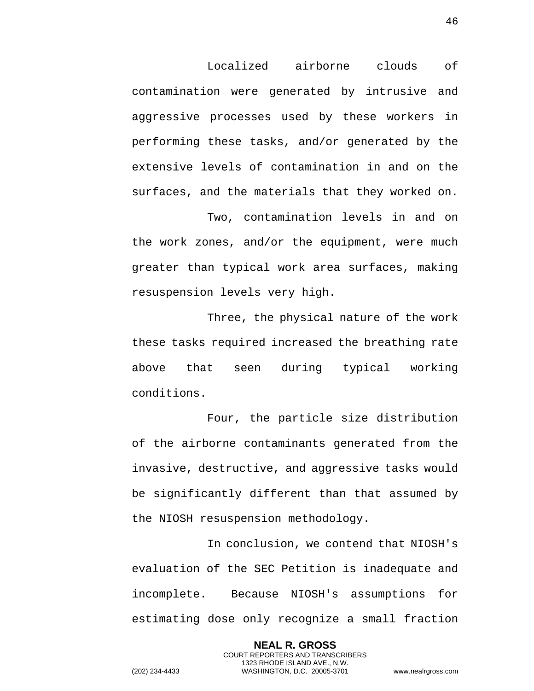Localized airborne clouds of contamination were generated by intrusive and aggressive processes used by these workers in performing these tasks, and/or generated by the extensive levels of contamination in and on the surfaces, and the materials that they worked on.

Two, contamination levels in and on the work zones, and/or the equipment, were much greater than typical work area surfaces, making resuspension levels very high.

Three, the physical nature of the work these tasks required increased the breathing rate above that seen during typical working conditions.

Four, the particle size distribution of the airborne contaminants generated from the invasive, destructive, and aggressive tasks would be significantly different than that assumed by the NIOSH resuspension methodology.

In conclusion, we contend that NIOSH's evaluation of the SEC Petition is inadequate and incomplete. Because NIOSH's assumptions for estimating dose only recognize a small fraction

> **NEAL R. GROSS** COURT REPORTERS AND TRANSCRIBERS 1323 RHODE ISLAND AVE., N.W.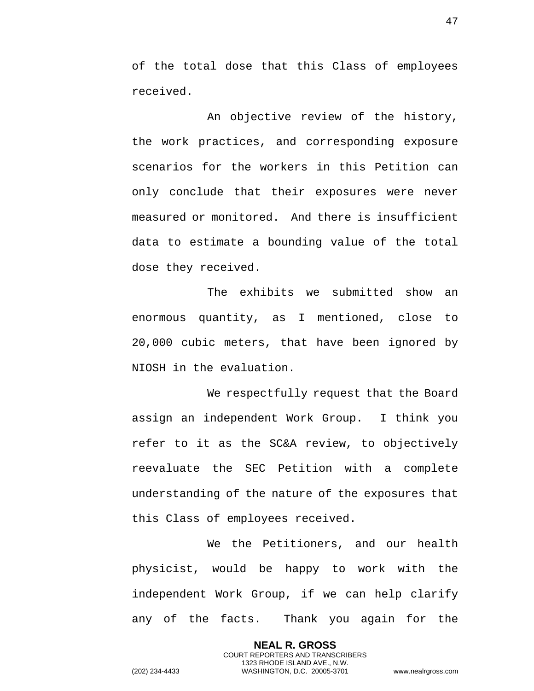of the total dose that this Class of employees received.

An objective review of the history, the work practices, and corresponding exposure scenarios for the workers in this Petition can only conclude that their exposures were never measured or monitored. And there is insufficient data to estimate a bounding value of the total dose they received.

The exhibits we submitted show an enormous quantity, as I mentioned, close to 20,000 cubic meters, that have been ignored by NIOSH in the evaluation.

We respectfully request that the Board assign an independent Work Group. I think you refer to it as the SC&A review, to objectively reevaluate the SEC Petition with a complete understanding of the nature of the exposures that this Class of employees received.

We the Petitioners, and our health physicist, would be happy to work with the independent Work Group, if we can help clarify any of the facts. Thank you again for the

> **NEAL R. GROSS** COURT REPORTERS AND TRANSCRIBERS 1323 RHODE ISLAND AVE., N.W.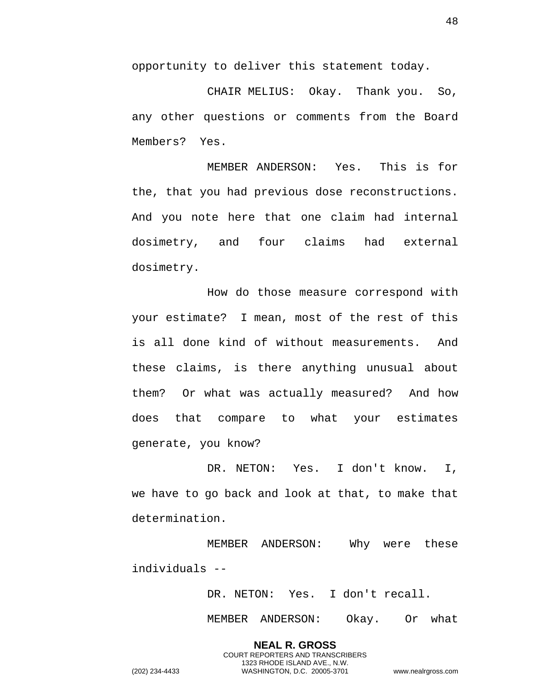opportunity to deliver this statement today.

CHAIR MELIUS: Okay. Thank you. So, any other questions or comments from the Board Members? Yes.

MEMBER ANDERSON: Yes. This is for the, that you had previous dose reconstructions. And you note here that one claim had internal dosimetry, and four claims had external dosimetry.

How do those measure correspond with your estimate? I mean, most of the rest of this is all done kind of without measurements. And these claims, is there anything unusual about them? Or what was actually measured? And how does that compare to what your estimates generate, you know?

DR. NETON: Yes. I don't know. I, we have to go back and look at that, to make that determination.

MEMBER ANDERSON: Why were these individuals --

> **NEAL R. GROSS** COURT REPORTERS AND TRANSCRIBERS 1323 RHODE ISLAND AVE., N.W.

DR. NETON: Yes. I don't recall.

MEMBER ANDERSON: Okay. Or what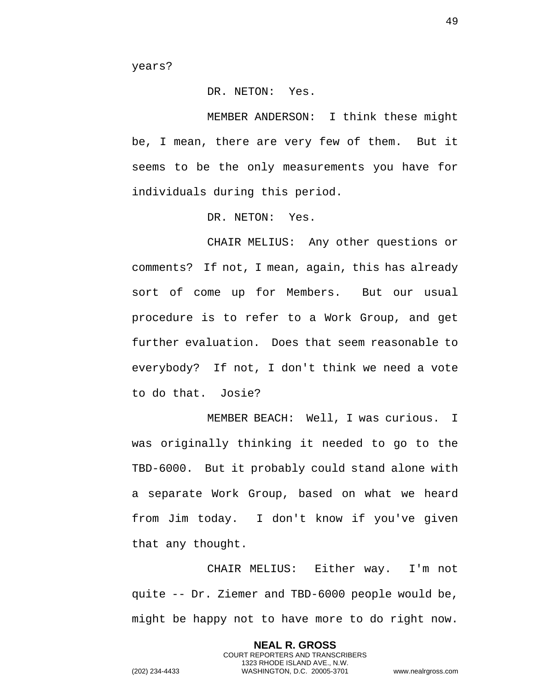years?

## DR. NETON: Yes.

MEMBER ANDERSON: I think these might be, I mean, there are very few of them. But it seems to be the only measurements you have for individuals during this period.

DR. NETON: Yes.

CHAIR MELIUS: Any other questions or comments? If not, I mean, again, this has already sort of come up for Members. But our usual procedure is to refer to a Work Group, and get further evaluation. Does that seem reasonable to everybody? If not, I don't think we need a vote to do that. Josie?

MEMBER BEACH: Well, I was curious. I was originally thinking it needed to go to the TBD-6000. But it probably could stand alone with a separate Work Group, based on what we heard from Jim today. I don't know if you've given that any thought.

CHAIR MELIUS: Either way. I'm not quite -- Dr. Ziemer and TBD-6000 people would be, might be happy not to have more to do right now.

> **NEAL R. GROSS** COURT REPORTERS AND TRANSCRIBERS 1323 RHODE ISLAND AVE., N.W.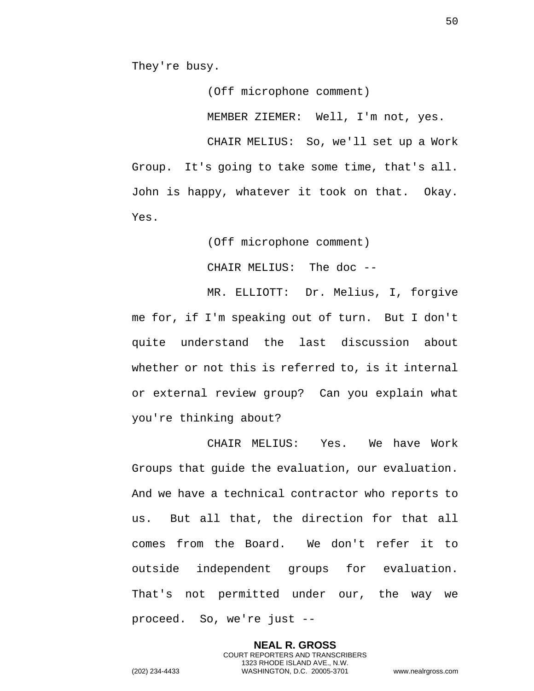They're busy.

(Off microphone comment)

MEMBER ZIEMER: Well, I'm not, yes.

CHAIR MELIUS: So, we'll set up a Work Group. It's going to take some time, that's all. John is happy, whatever it took on that. Okay. Yes.

(Off microphone comment)

CHAIR MELIUS: The doc --

MR. ELLIOTT: Dr. Melius, I, forgive me for, if I'm speaking out of turn. But I don't quite understand the last discussion about whether or not this is referred to, is it internal or external review group? Can you explain what you're thinking about?

CHAIR MELIUS: Yes. We have Work Groups that guide the evaluation, our evaluation. And we have a technical contractor who reports to us. But all that, the direction for that all comes from the Board. We don't refer it to outside independent groups for evaluation. That's not permitted under our, the way we proceed. So, we're just --

> **NEAL R. GROSS** COURT REPORTERS AND TRANSCRIBERS 1323 RHODE ISLAND AVE., N.W.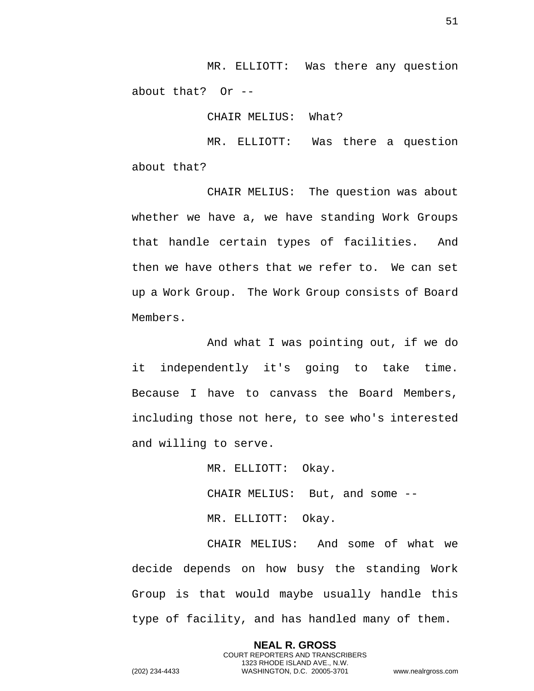MR. ELLIOTT: Was there any question about that? Or --

CHAIR MELIUS: What?

MR. ELLIOTT: Was there a question about that?

CHAIR MELIUS: The question was about whether we have a, we have standing Work Groups that handle certain types of facilities. And then we have others that we refer to. We can set up a Work Group. The Work Group consists of Board Members.

And what I was pointing out, if we do it independently it's going to take time. Because I have to canvass the Board Members, including those not here, to see who's interested and willing to serve.

MR. ELLIOTT: Okay.

CHAIR MELIUS: But, and some --

MR. ELLIOTT: Okay.

CHAIR MELIUS: And some of what we decide depends on how busy the standing Work Group is that would maybe usually handle this type of facility, and has handled many of them.

> **NEAL R. GROSS** COURT REPORTERS AND TRANSCRIBERS 1323 RHODE ISLAND AVE., N.W.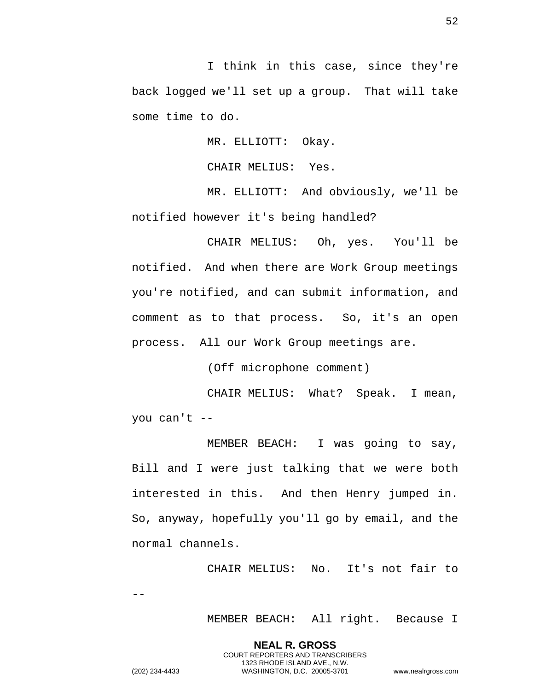I think in this case, since they're back logged we'll set up a group. That will take some time to do.

MR. ELLIOTT: Okay.

CHAIR MELIUS: Yes.

MR. ELLIOTT: And obviously, we'll be notified however it's being handled?

CHAIR MELIUS: Oh, yes. You'll be notified. And when there are Work Group meetings you're notified, and can submit information, and comment as to that process. So, it's an open process. All our Work Group meetings are.

(Off microphone comment)

CHAIR MELIUS: What? Speak. I mean, you can't --

MEMBER BEACH: I was going to say, Bill and I were just talking that we were both interested in this. And then Henry jumped in. So, anyway, hopefully you'll go by email, and the normal channels.

> **NEAL R. GROSS** COURT REPORTERS AND TRANSCRIBERS 1323 RHODE ISLAND AVE., N.W.

CHAIR MELIUS: No. It's not fair to

--

MEMBER BEACH: All right. Because I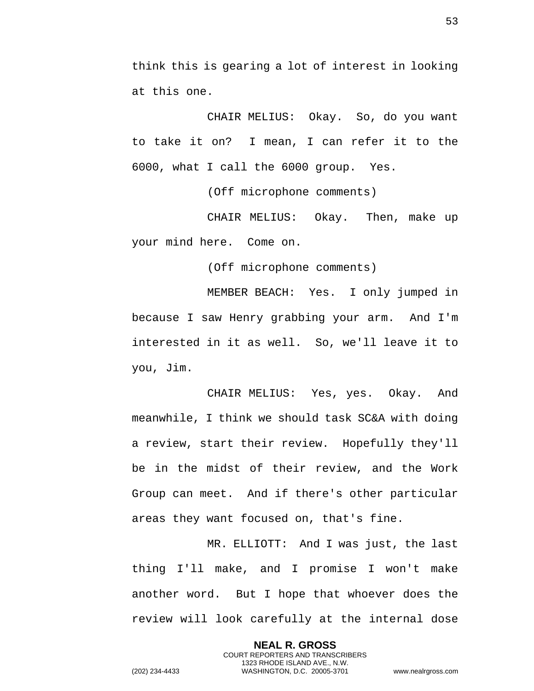think this is gearing a lot of interest in looking at this one.

CHAIR MELIUS: Okay. So, do you want to take it on? I mean, I can refer it to the 6000, what I call the 6000 group. Yes.

(Off microphone comments)

CHAIR MELIUS: Okay. Then, make up your mind here. Come on.

(Off microphone comments)

MEMBER BEACH: Yes. I only jumped in because I saw Henry grabbing your arm. And I'm interested in it as well. So, we'll leave it to you, Jim.

CHAIR MELIUS: Yes, yes. Okay. And meanwhile, I think we should task SC&A with doing a review, start their review. Hopefully they'll be in the midst of their review, and the Work Group can meet. And if there's other particular areas they want focused on, that's fine.

MR. ELLIOTT: And I was just, the last thing I'll make, and I promise I won't make another word. But I hope that whoever does the review will look carefully at the internal dose

> **NEAL R. GROSS** COURT REPORTERS AND TRANSCRIBERS 1323 RHODE ISLAND AVE., N.W.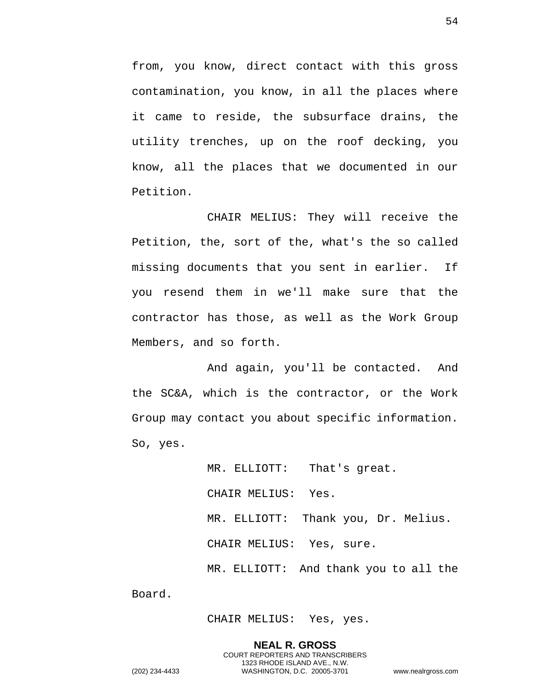from, you know, direct contact with this gross contamination, you know, in all the places where it came to reside, the subsurface drains, the utility trenches, up on the roof decking, you know, all the places that we documented in our Petition.

CHAIR MELIUS: They will receive the Petition, the, sort of the, what's the so called missing documents that you sent in earlier. If you resend them in we'll make sure that the contractor has those, as well as the Work Group Members, and so forth.

And again, you'll be contacted. And the SC&A, which is the contractor, or the Work Group may contact you about specific information. So, yes.

> MR. ELLIOTT: That's great. CHAIR MELIUS: Yes. MR. ELLIOTT: Thank you, Dr. Melius. CHAIR MELIUS: Yes, sure. MR. ELLIOTT: And thank you to all the

CHAIR MELIUS: Yes, yes.

**NEAL R. GROSS** COURT REPORTERS AND TRANSCRIBERS 1323 RHODE ISLAND AVE., N.W. (202) 234-4433 WASHINGTON, D.C. 20005-3701 www.nealrgross.com

Board.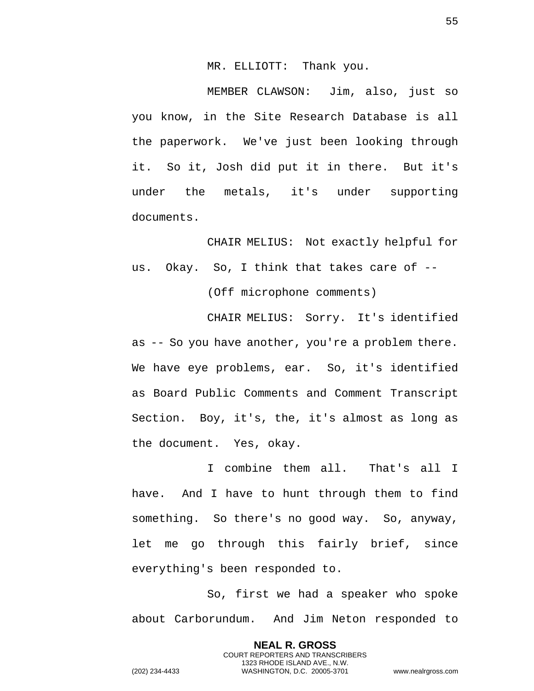MR. ELLIOTT: Thank you.

MEMBER CLAWSON: Jim, also, just so you know, in the Site Research Database is all the paperwork. We've just been looking through it. So it, Josh did put it in there. But it's under the metals, it's under supporting documents.

CHAIR MELIUS: Not exactly helpful for us. Okay. So, I think that takes care of --

(Off microphone comments)

CHAIR MELIUS: Sorry. It's identified as -- So you have another, you're a problem there. We have eye problems, ear. So, it's identified as Board Public Comments and Comment Transcript Section. Boy, it's, the, it's almost as long as the document. Yes, okay.

I combine them all. That's all I have. And I have to hunt through them to find something. So there's no good way. So, anyway, let me go through this fairly brief, since everything's been responded to.

So, first we had a speaker who spoke about Carborundum. And Jim Neton responded to

> **NEAL R. GROSS** COURT REPORTERS AND TRANSCRIBERS 1323 RHODE ISLAND AVE., N.W.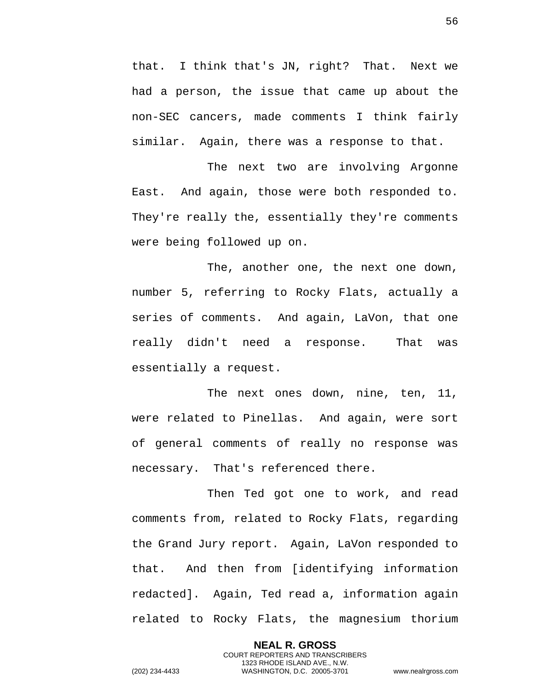that. I think that's JN, right? That. Next we had a person, the issue that came up about the non-SEC cancers, made comments I think fairly similar. Again, there was a response to that.

The next two are involving Argonne East. And again, those were both responded to. They're really the, essentially they're comments were being followed up on.

The, another one, the next one down, number 5, referring to Rocky Flats, actually a series of comments. And again, LaVon, that one really didn't need a response. That was essentially a request.

The next ones down, nine, ten, 11, were related to Pinellas. And again, were sort of general comments of really no response was necessary. That's referenced there.

Then Ted got one to work, and read comments from, related to Rocky Flats, regarding the Grand Jury report. Again, LaVon responded to that. And then from [identifying information redacted]. Again, Ted read a, information again related to Rocky Flats, the magnesium thorium

> **NEAL R. GROSS** COURT REPORTERS AND TRANSCRIBERS 1323 RHODE ISLAND AVE., N.W.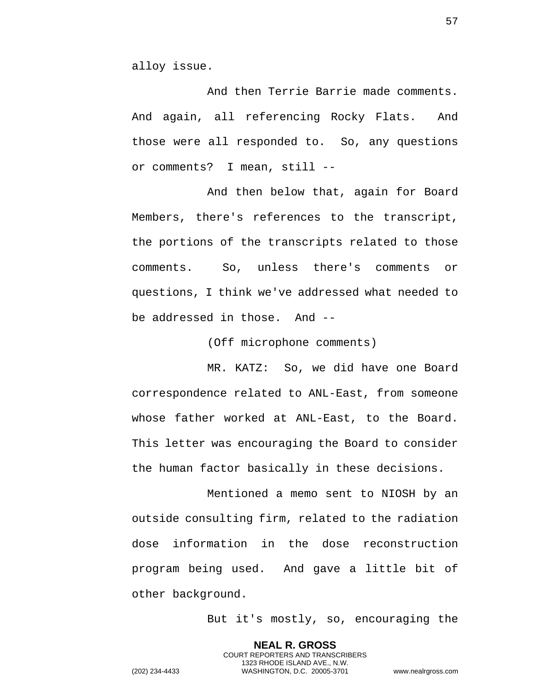alloy issue.

And then Terrie Barrie made comments. And again, all referencing Rocky Flats. And those were all responded to. So, any questions or comments? I mean, still --

And then below that, again for Board Members, there's references to the transcript, the portions of the transcripts related to those comments. So, unless there's comments or questions, I think we've addressed what needed to be addressed in those. And --

(Off microphone comments)

MR. KATZ: So, we did have one Board correspondence related to ANL-East, from someone whose father worked at ANL-East, to the Board. This letter was encouraging the Board to consider the human factor basically in these decisions.

Mentioned a memo sent to NIOSH by an outside consulting firm, related to the radiation dose information in the dose reconstruction program being used. And gave a little bit of other background.

But it's mostly, so, encouraging the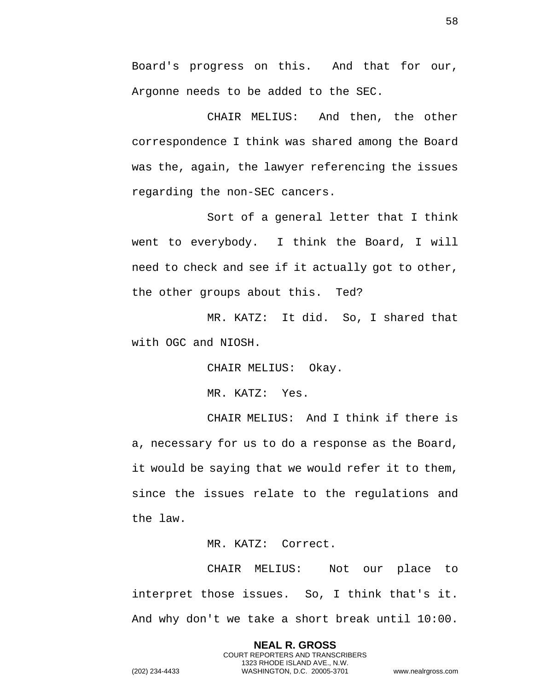Board's progress on this. And that for our, Argonne needs to be added to the SEC.

CHAIR MELIUS: And then, the other correspondence I think was shared among the Board was the, again, the lawyer referencing the issues regarding the non-SEC cancers.

Sort of a general letter that I think went to everybody. I think the Board, I will need to check and see if it actually got to other, the other groups about this. Ted?

MR. KATZ: It did. So, I shared that with OGC and NIOSH.

CHAIR MELIUS: Okay.

MR. KATZ: Yes.

CHAIR MELIUS: And I think if there is a, necessary for us to do a response as the Board, it would be saying that we would refer it to them, since the issues relate to the regulations and the law.

MR. KATZ: Correct.

CHAIR MELIUS: Not our place to interpret those issues. So, I think that's it. And why don't we take a short break until 10:00.

**NEAL R. GROSS**

COURT REPORTERS AND TRANSCRIBERS 1323 RHODE ISLAND AVE., N.W. (202) 234-4433 WASHINGTON, D.C. 20005-3701 www.nealrgross.com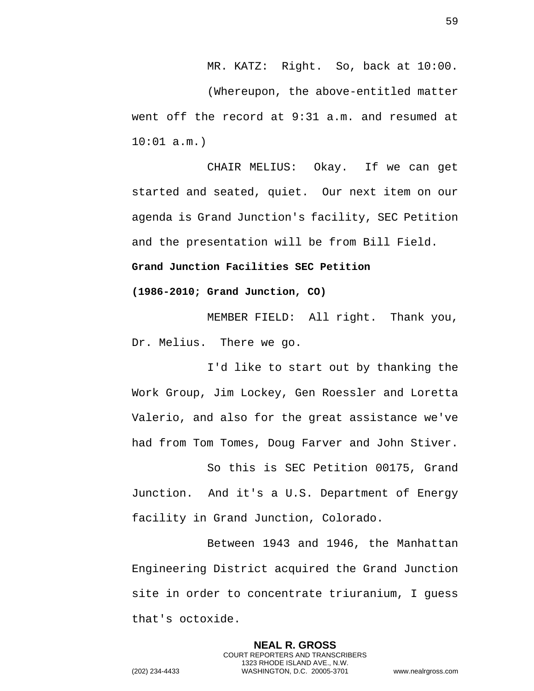MR. KATZ: Right. So, back at 10:00.

(Whereupon, the above-entitled matter went off the record at 9:31 a.m. and resumed at 10:01 a.m.)

CHAIR MELIUS: Okay. If we can get started and seated, quiet. Our next item on our agenda is Grand Junction's facility, SEC Petition and the presentation will be from Bill Field.

## **Grand Junction Facilities SEC Petition**

**(1986-2010; Grand Junction, CO)** 

MEMBER FIELD: All right. Thank you, Dr. Melius. There we go.

I'd like to start out by thanking the Work Group, Jim Lockey, Gen Roessler and Loretta Valerio, and also for the great assistance we've had from Tom Tomes, Doug Farver and John Stiver.

So this is SEC Petition 00175, Grand Junction. And it's a U.S. Department of Energy facility in Grand Junction, Colorado.

Between 1943 and 1946, the Manhattan Engineering District acquired the Grand Junction site in order to concentrate triuranium, I guess that's octoxide.

> **NEAL R. GROSS** COURT REPORTERS AND TRANSCRIBERS 1323 RHODE ISLAND AVE., N.W.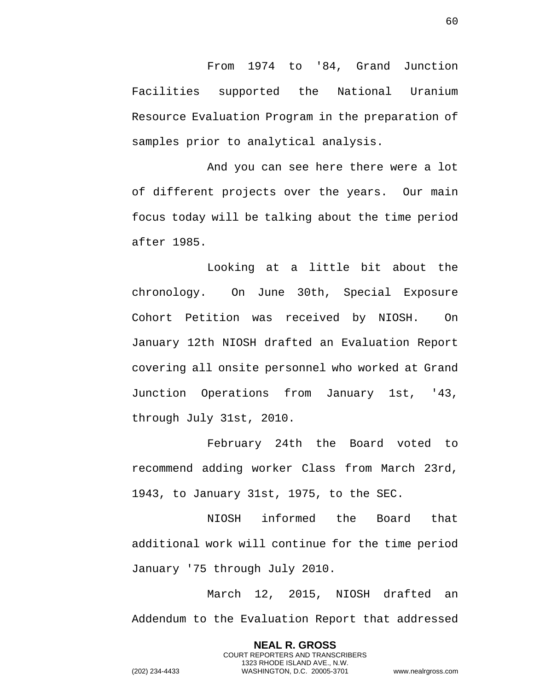From 1974 to '84, Grand Junction Facilities supported the National Uranium Resource Evaluation Program in the preparation of samples prior to analytical analysis.

And you can see here there were a lot of different projects over the years. Our main focus today will be talking about the time period after 1985.

Looking at a little bit about the chronology. On June 30th, Special Exposure Cohort Petition was received by NIOSH. On January 12th NIOSH drafted an Evaluation Report covering all onsite personnel who worked at Grand Junction Operations from January 1st, '43, through July 31st, 2010.

February 24th the Board voted to recommend adding worker Class from March 23rd, 1943, to January 31st, 1975, to the SEC.

NIOSH informed the Board that additional work will continue for the time period January '75 through July 2010.

March 12, 2015, NIOSH drafted an Addendum to the Evaluation Report that addressed

> **NEAL R. GROSS** COURT REPORTERS AND TRANSCRIBERS 1323 RHODE ISLAND AVE., N.W.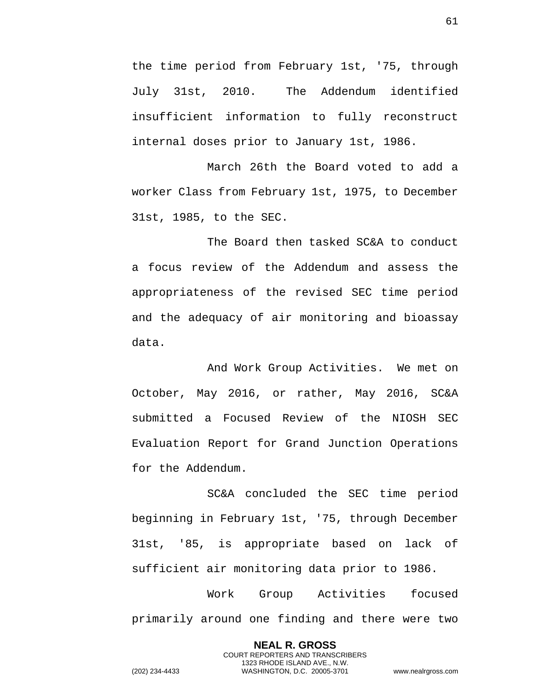the time period from February 1st, '75, through July 31st, 2010. The Addendum identified insufficient information to fully reconstruct internal doses prior to January 1st, 1986.

March 26th the Board voted to add a worker Class from February 1st, 1975, to December 31st, 1985, to the SEC.

The Board then tasked SC&A to conduct a focus review of the Addendum and assess the appropriateness of the revised SEC time period and the adequacy of air monitoring and bioassay data.

And Work Group Activities. We met on October, May 2016, or rather, May 2016, SC&A submitted a Focused Review of the NIOSH SEC Evaluation Report for Grand Junction Operations for the Addendum.

SC&A concluded the SEC time period beginning in February 1st, '75, through December 31st, '85, is appropriate based on lack of sufficient air monitoring data prior to 1986.

Work Group Activities focused primarily around one finding and there were two

> **NEAL R. GROSS** COURT REPORTERS AND TRANSCRIBERS 1323 RHODE ISLAND AVE., N.W.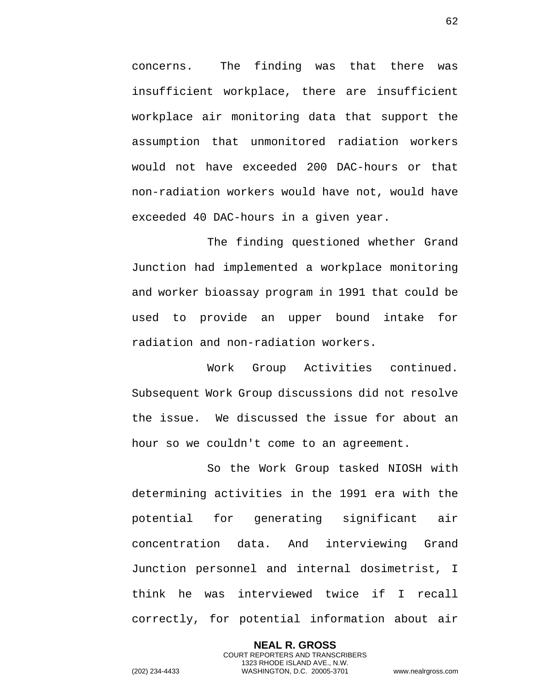concerns. The finding was that there was insufficient workplace, there are insufficient workplace air monitoring data that support the assumption that unmonitored radiation workers would not have exceeded 200 DAC-hours or that non-radiation workers would have not, would have exceeded 40 DAC-hours in a given year.

The finding questioned whether Grand Junction had implemented a workplace monitoring and worker bioassay program in 1991 that could be used to provide an upper bound intake for radiation and non-radiation workers.

Work Group Activities continued. Subsequent Work Group discussions did not resolve the issue. We discussed the issue for about an hour so we couldn't come to an agreement.

So the Work Group tasked NIOSH with determining activities in the 1991 era with the potential for generating significant air concentration data. And interviewing Grand Junction personnel and internal dosimetrist, I think he was interviewed twice if I recall correctly, for potential information about air

**NEAL R. GROSS** COURT REPORTERS AND TRANSCRIBERS 1323 RHODE ISLAND AVE., N.W. (202) 234-4433 WASHINGTON, D.C. 20005-3701 www.nealrgross.com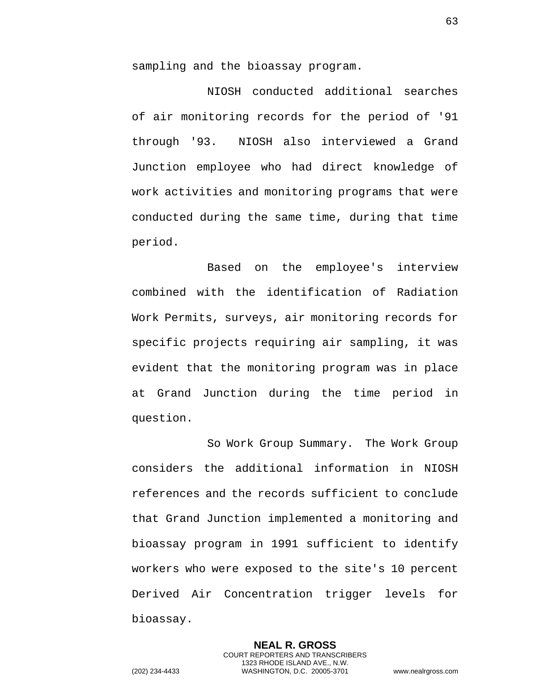sampling and the bioassay program.

NIOSH conducted additional searches of air monitoring records for the period of '91 through '93. NIOSH also interviewed a Grand Junction employee who had direct knowledge of work activities and monitoring programs that were conducted during the same time, during that time period.

Based on the employee's interview combined with the identification of Radiation Work Permits, surveys, air monitoring records for specific projects requiring air sampling, it was evident that the monitoring program was in place at Grand Junction during the time period in question.

So Work Group Summary. The Work Group considers the additional information in NIOSH references and the records sufficient to conclude that Grand Junction implemented a monitoring and bioassay program in 1991 sufficient to identify workers who were exposed to the site's 10 percent Derived Air Concentration trigger levels for bioassay.

> **NEAL R. GROSS** COURT REPORTERS AND TRANSCRIBERS 1323 RHODE ISLAND AVE., N.W.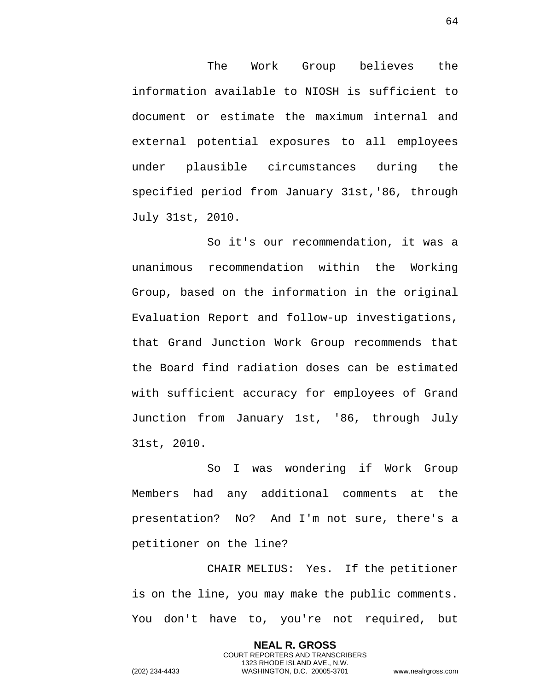The Work Group believes the information available to NIOSH is sufficient to document or estimate the maximum internal and external potential exposures to all employees under plausible circumstances during the specified period from January 31st,'86, through July 31st, 2010.

So it's our recommendation, it was a unanimous recommendation within the Working Group, based on the information in the original Evaluation Report and follow-up investigations, that Grand Junction Work Group recommends that the Board find radiation doses can be estimated with sufficient accuracy for employees of Grand Junction from January 1st, '86, through July 31st, 2010.

So I was wondering if Work Group Members had any additional comments at the presentation? No? And I'm not sure, there's a petitioner on the line?

CHAIR MELIUS: Yes. If the petitioner is on the line, you may make the public comments. You don't have to, you're not required, but

> **NEAL R. GROSS** COURT REPORTERS AND TRANSCRIBERS 1323 RHODE ISLAND AVE., N.W.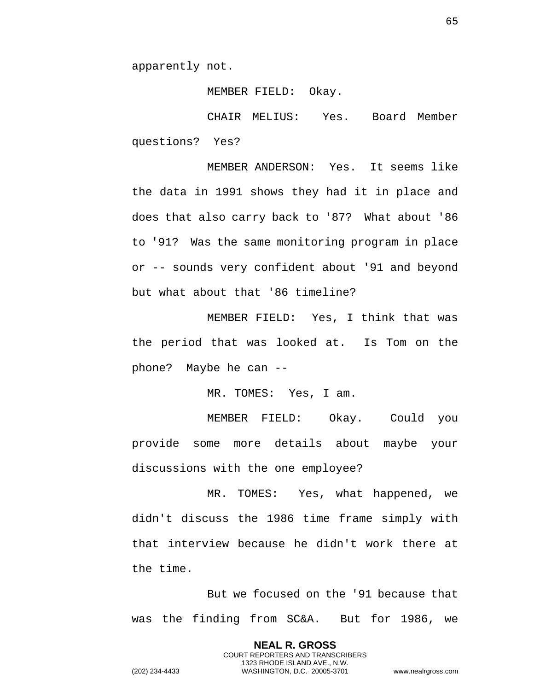apparently not.

MEMBER FIELD: Okay.

CHAIR MELIUS: Yes. Board Member questions? Yes?

MEMBER ANDERSON: Yes. It seems like the data in 1991 shows they had it in place and does that also carry back to '87? What about '86 to '91? Was the same monitoring program in place or -- sounds very confident about '91 and beyond but what about that '86 timeline?

MEMBER FIELD: Yes, I think that was the period that was looked at. Is Tom on the phone? Maybe he can --

MR. TOMES: Yes, I am.

MEMBER FIELD: Okay. Could you provide some more details about maybe your discussions with the one employee?

MR. TOMES: Yes, what happened, we didn't discuss the 1986 time frame simply with that interview because he didn't work there at the time.

But we focused on the '91 because that was the finding from SC&A. But for 1986, we

> **NEAL R. GROSS** COURT REPORTERS AND TRANSCRIBERS 1323 RHODE ISLAND AVE., N.W.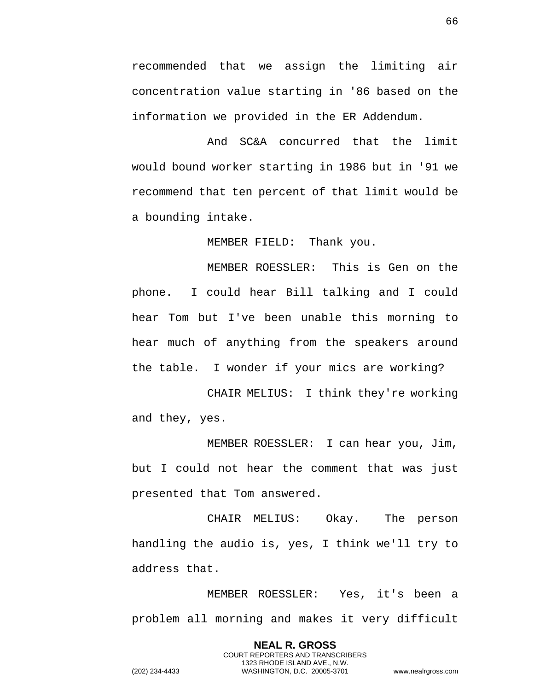recommended that we assign the limiting air concentration value starting in '86 based on the information we provided in the ER Addendum.

And SC&A concurred that the limit would bound worker starting in 1986 but in '91 we recommend that ten percent of that limit would be a bounding intake.

MEMBER FIELD: Thank you.

MEMBER ROESSLER: This is Gen on the phone. I could hear Bill talking and I could hear Tom but I've been unable this morning to hear much of anything from the speakers around the table. I wonder if your mics are working?

CHAIR MELIUS: I think they're working and they, yes.

MEMBER ROESSLER: I can hear you, Jim, but I could not hear the comment that was just presented that Tom answered.

CHAIR MELIUS: Okay. The person handling the audio is, yes, I think we'll try to address that.

MEMBER ROESSLER: Yes, it's been a problem all morning and makes it very difficult

> **NEAL R. GROSS** COURT REPORTERS AND TRANSCRIBERS 1323 RHODE ISLAND AVE., N.W.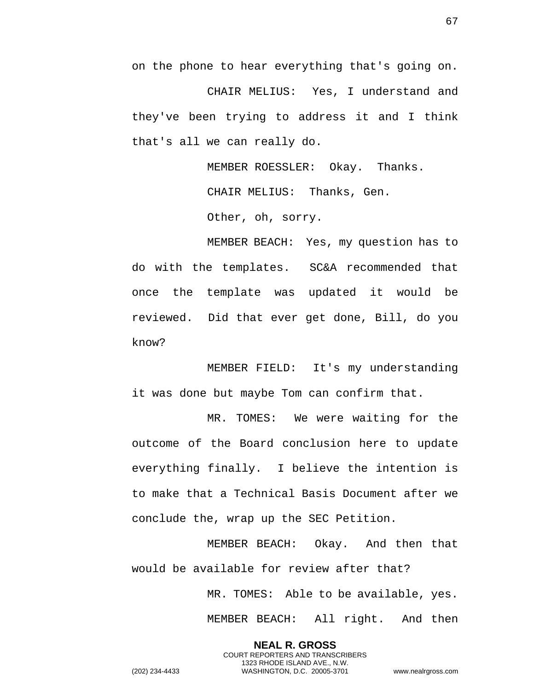on the phone to hear everything that's going on.

CHAIR MELIUS: Yes, I understand and they've been trying to address it and I think that's all we can really do.

MEMBER ROESSLER: Okay. Thanks.

CHAIR MELIUS: Thanks, Gen.

Other, oh, sorry.

MEMBER BEACH: Yes, my question has to do with the templates. SC&A recommended that once the template was updated it would be reviewed. Did that ever get done, Bill, do you know?

MEMBER FIELD: It's my understanding it was done but maybe Tom can confirm that.

MR. TOMES: We were waiting for the outcome of the Board conclusion here to update everything finally. I believe the intention is to make that a Technical Basis Document after we conclude the, wrap up the SEC Petition.

MEMBER BEACH: Okay. And then that would be available for review after that?

> **NEAL R. GROSS** COURT REPORTERS AND TRANSCRIBERS 1323 RHODE ISLAND AVE., N.W.

MR. TOMES: Able to be available, yes. MEMBER BEACH: All right. And then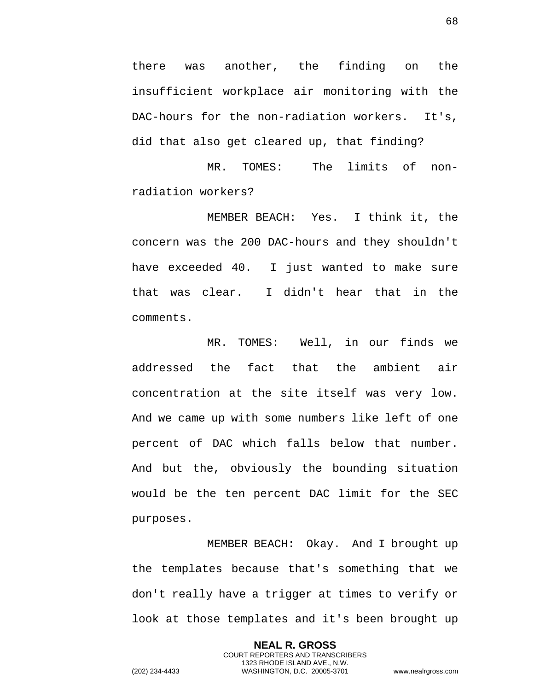there was another, the finding on the insufficient workplace air monitoring with the DAC-hours for the non-radiation workers. It's, did that also get cleared up, that finding?

MR. TOMES: The limits of nonradiation workers?

MEMBER BEACH: Yes. I think it, the concern was the 200 DAC-hours and they shouldn't have exceeded 40. I just wanted to make sure that was clear. I didn't hear that in the comments.

MR. TOMES: Well, in our finds we addressed the fact that the ambient air concentration at the site itself was very low. And we came up with some numbers like left of one percent of DAC which falls below that number. And but the, obviously the bounding situation would be the ten percent DAC limit for the SEC purposes.

MEMBER BEACH: Okay. And I brought up the templates because that's something that we don't really have a trigger at times to verify or look at those templates and it's been brought up

> **NEAL R. GROSS** COURT REPORTERS AND TRANSCRIBERS 1323 RHODE ISLAND AVE., N.W.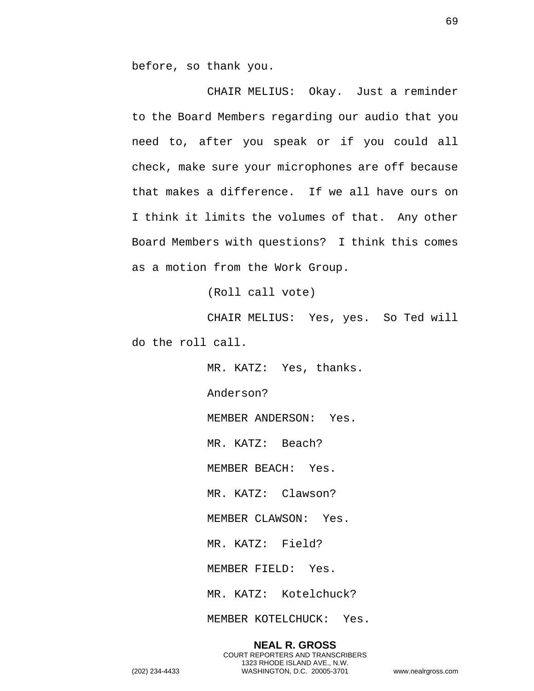before, so thank you.

CHAIR MELIUS: Okay. Just a reminder to the Board Members regarding our audio that you need to, after you speak or if you could all check, make sure your microphones are off because that makes a difference. If we all have ours on I think it limits the volumes of that. Any other Board Members with questions? I think this comes as a motion from the Work Group.

(Roll call vote)

CHAIR MELIUS: Yes, yes. So Ted will do the roll call.

> MR. KATZ: Yes, thanks. Anderson? MEMBER ANDERSON: Yes. MR. KATZ: Beach? MEMBER BEACH: Yes. MR. KATZ: Clawson? MEMBER CLAWSON: Yes. MR. KATZ: Field? MEMBER FIELD: Yes. MR. KATZ: Kotelchuck?

MEMBER KOTELCHUCK: Yes.

**NEAL R. GROSS** COURT REPORTERS AND TRANSCRIBERS 1323 RHODE ISLAND AVE., N.W. (202) 234-4433 WASHINGTON, D.C. 20005-3701 www.nealrgross.com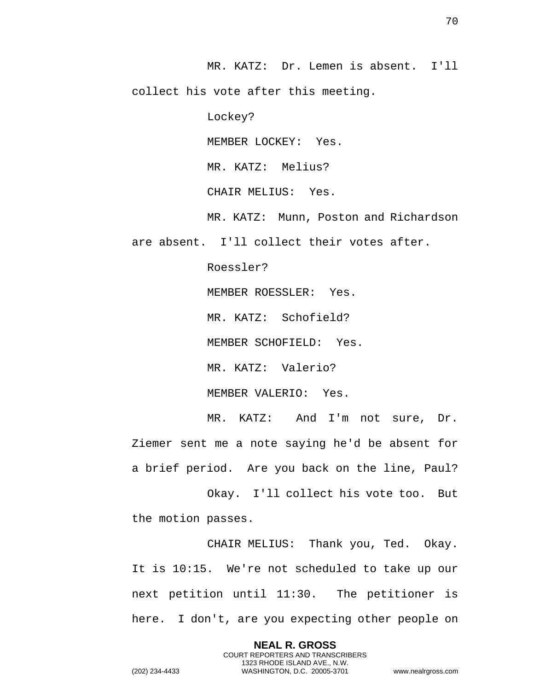MR. KATZ: Dr. Lemen is absent. I'll collect his vote after this meeting.

Lockey?

MEMBER LOCKEY: Yes.

MR. KATZ: Melius?

CHAIR MELIUS: Yes.

MR. KATZ: Munn, Poston and Richardson

are absent. I'll collect their votes after.

Roessler?

MEMBER ROESSLER: Yes.

MR. KATZ: Schofield?

MEMBER SCHOFIELD: Yes.

MR. KATZ: Valerio?

MEMBER VALERIO: Yes.

MR. KATZ: And I'm not sure, Dr. Ziemer sent me a note saying he'd be absent for a brief period. Are you back on the line, Paul?

Okay. I'll collect his vote too. But the motion passes.

CHAIR MELIUS: Thank you, Ted. Okay. It is 10:15. We're not scheduled to take up our next petition until 11:30. The petitioner is here. I don't, are you expecting other people on

> **NEAL R. GROSS** COURT REPORTERS AND TRANSCRIBERS 1323 RHODE ISLAND AVE., N.W.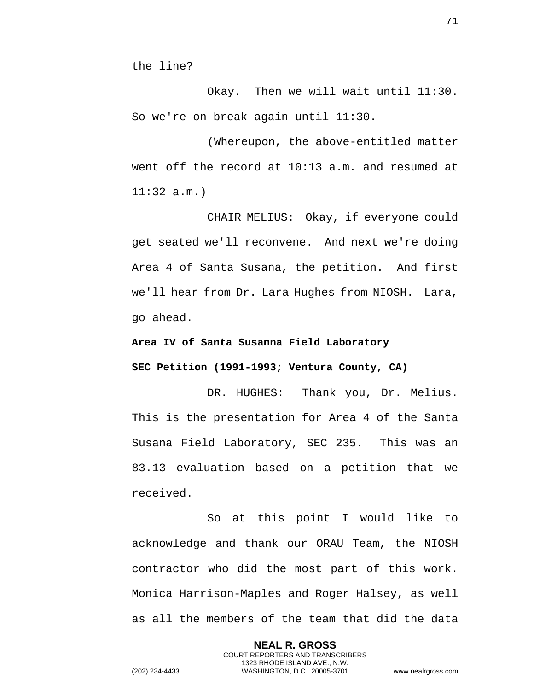the line?

Okay. Then we will wait until 11:30. So we're on break again until 11:30.

(Whereupon, the above-entitled matter went off the record at 10:13 a.m. and resumed at 11:32 a.m.)

CHAIR MELIUS: Okay, if everyone could get seated we'll reconvene. And next we're doing Area 4 of Santa Susana, the petition. And first we'll hear from Dr. Lara Hughes from NIOSH. Lara, go ahead.

**Area IV of Santa Susanna Field Laboratory** 

**SEC Petition (1991-1993; Ventura County, CA)** 

DR. HUGHES: Thank you, Dr. Melius. This is the presentation for Area 4 of the Santa Susana Field Laboratory, SEC 235. This was an 83.13 evaluation based on a petition that we received.

So at this point I would like to acknowledge and thank our ORAU Team, the NIOSH contractor who did the most part of this work. Monica Harrison-Maples and Roger Halsey, as well as all the members of the team that did the data

> **NEAL R. GROSS** COURT REPORTERS AND TRANSCRIBERS 1323 RHODE ISLAND AVE., N.W.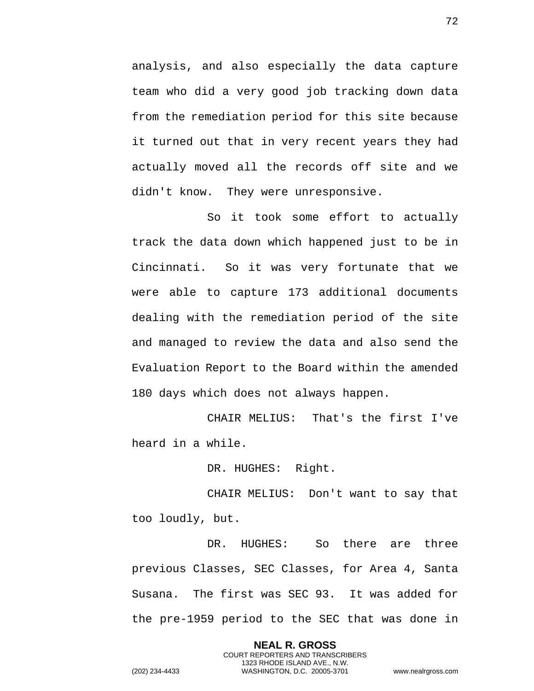analysis, and also especially the data capture team who did a very good job tracking down data from the remediation period for this site because it turned out that in very recent years they had actually moved all the records off site and we didn't know. They were unresponsive.

So it took some effort to actually track the data down which happened just to be in Cincinnati. So it was very fortunate that we were able to capture 173 additional documents dealing with the remediation period of the site and managed to review the data and also send the Evaluation Report to the Board within the amended 180 days which does not always happen.

CHAIR MELIUS: That's the first I've heard in a while.

DR. HUGHES: Right.

CHAIR MELIUS: Don't want to say that too loudly, but.

DR. HUGHES: So there are three previous Classes, SEC Classes, for Area 4, Santa Susana. The first was SEC 93. It was added for the pre-1959 period to the SEC that was done in

> **NEAL R. GROSS** COURT REPORTERS AND TRANSCRIBERS 1323 RHODE ISLAND AVE., N.W.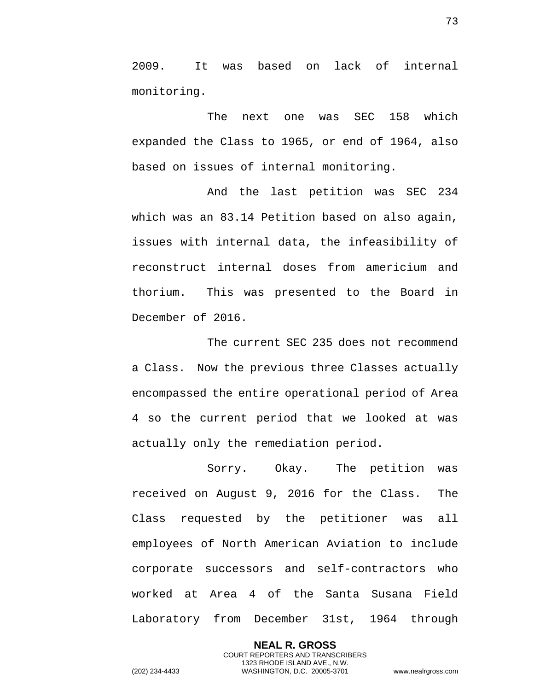2009. It was based on lack of internal monitoring.

The next one was SEC 158 which expanded the Class to 1965, or end of 1964, also based on issues of internal monitoring.

And the last petition was SEC 234 which was an 83.14 Petition based on also again, issues with internal data, the infeasibility of reconstruct internal doses from americium and thorium. This was presented to the Board in December of 2016.

The current SEC 235 does not recommend a Class. Now the previous three Classes actually encompassed the entire operational period of Area 4 so the current period that we looked at was actually only the remediation period.

Sorry. Okay. The petition was received on August 9, 2016 for the Class. The Class requested by the petitioner was all employees of North American Aviation to include corporate successors and self-contractors who worked at Area 4 of the Santa Susana Field Laboratory from December 31st, 1964 through

**NEAL R. GROSS** COURT REPORTERS AND TRANSCRIBERS 1323 RHODE ISLAND AVE., N.W. (202) 234-4433 WASHINGTON, D.C. 20005-3701 www.nealrgross.com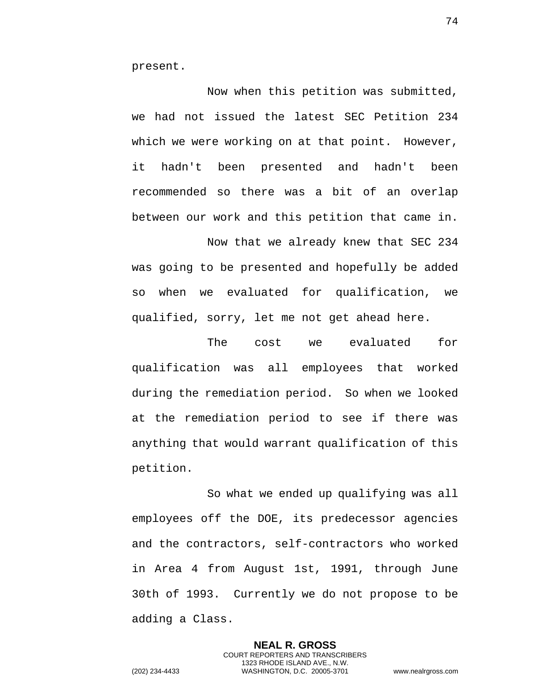present.

Now when this petition was submitted, we had not issued the latest SEC Petition 234 which we were working on at that point. However, it hadn't been presented and hadn't been recommended so there was a bit of an overlap between our work and this petition that came in.

Now that we already knew that SEC 234 was going to be presented and hopefully be added so when we evaluated for qualification, we qualified, sorry, let me not get ahead here.

The cost we evaluated for qualification was all employees that worked during the remediation period. So when we looked at the remediation period to see if there was anything that would warrant qualification of this petition.

So what we ended up qualifying was all employees off the DOE, its predecessor agencies and the contractors, self-contractors who worked in Area 4 from August 1st, 1991, through June 30th of 1993. Currently we do not propose to be adding a Class.

> **NEAL R. GROSS** COURT REPORTERS AND TRANSCRIBERS 1323 RHODE ISLAND AVE., N.W.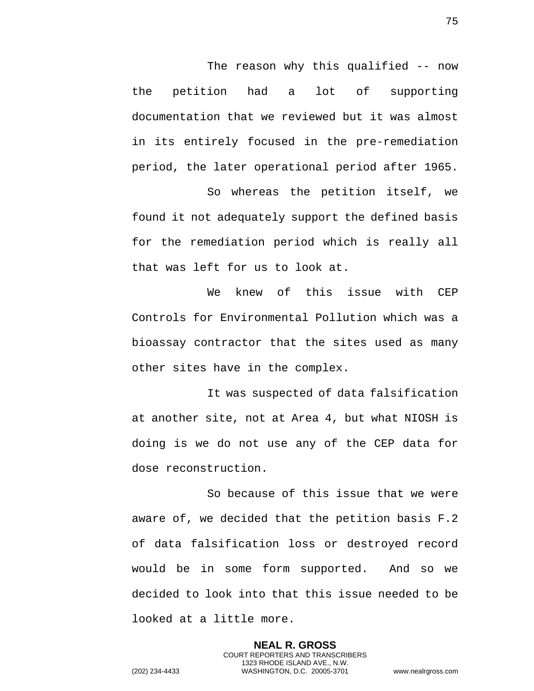The reason why this qualified -- now the petition had a lot of supporting documentation that we reviewed but it was almost in its entirely focused in the pre-remediation period, the later operational period after 1965.

So whereas the petition itself, we found it not adequately support the defined basis for the remediation period which is really all that was left for us to look at.

We knew of this issue with CEP Controls for Environmental Pollution which was a bioassay contractor that the sites used as many other sites have in the complex.

It was suspected of data falsification at another site, not at Area 4, but what NIOSH is doing is we do not use any of the CEP data for dose reconstruction.

So because of this issue that we were aware of, we decided that the petition basis F.2 of data falsification loss or destroyed record would be in some form supported. And so we decided to look into that this issue needed to be looked at a little more.

**NEAL R. GROSS** COURT REPORTERS AND TRANSCRIBERS 1323 RHODE ISLAND AVE., N.W. (202) 234-4433 WASHINGTON, D.C. 20005-3701 www.nealrgross.com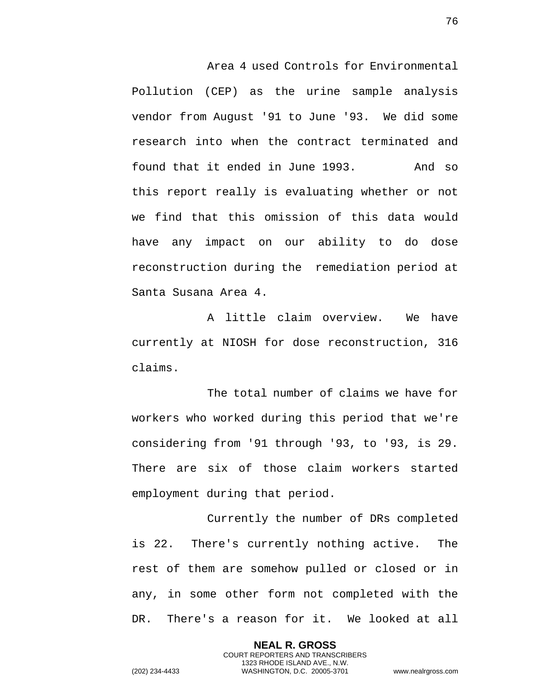Area 4 used Controls for Environmental Pollution (CEP) as the urine sample analysis vendor from August '91 to June '93. We did some research into when the contract terminated and found that it ended in June 1993. And so this report really is evaluating whether or not we find that this omission of this data would have any impact on our ability to do dose reconstruction during the remediation period at Santa Susana Area 4.

A little claim overview. We have currently at NIOSH for dose reconstruction, 316 claims.

The total number of claims we have for workers who worked during this period that we're considering from '91 through '93, to '93, is 29. There are six of those claim workers started employment during that period.

Currently the number of DRs completed is 22. There's currently nothing active. The rest of them are somehow pulled or closed or in any, in some other form not completed with the DR. There's a reason for it. We looked at all

> **NEAL R. GROSS** COURT REPORTERS AND TRANSCRIBERS 1323 RHODE ISLAND AVE., N.W.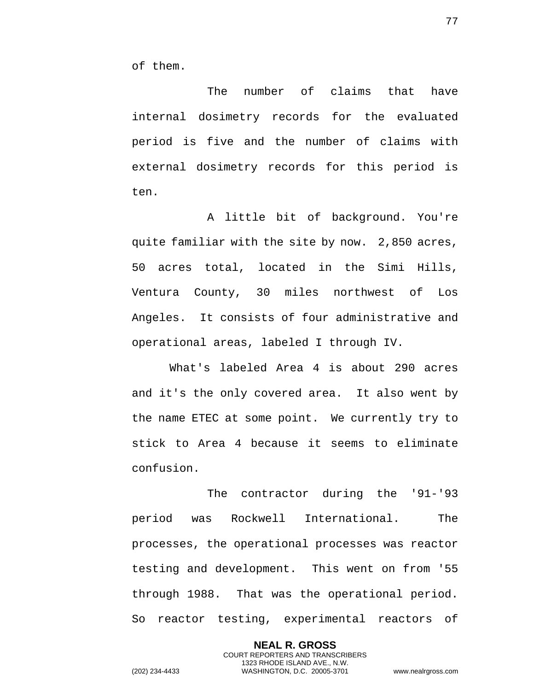of them.

The number of claims that have internal dosimetry records for the evaluated period is five and the number of claims with external dosimetry records for this period is ten.

A little bit of background. You're quite familiar with the site by now. 2,850 acres, 50 acres total, located in the Simi Hills, Ventura County, 30 miles northwest of Los Angeles. It consists of four administrative and operational areas, labeled I through IV.

What's labeled Area 4 is about 290 acres and it's the only covered area. It also went by the name ETEC at some point. We currently try to stick to Area 4 because it seems to eliminate confusion.

The contractor during the '91-'93 period was Rockwell International. The processes, the operational processes was reactor testing and development. This went on from '55 through 1988. That was the operational period. So reactor testing, experimental reactors of

> **NEAL R. GROSS** COURT REPORTERS AND TRANSCRIBERS 1323 RHODE ISLAND AVE., N.W.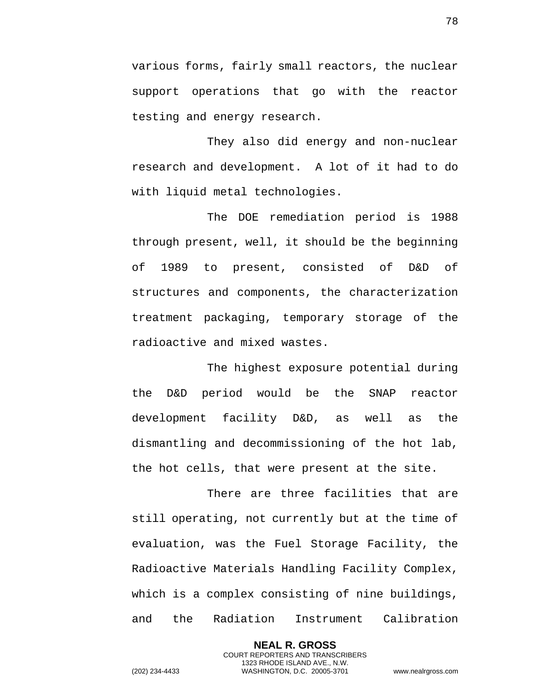various forms, fairly small reactors, the nuclear support operations that go with the reactor testing and energy research.

They also did energy and non-nuclear research and development. A lot of it had to do with liquid metal technologies.

The DOE remediation period is 1988 through present, well, it should be the beginning of 1989 to present, consisted of D&D of structures and components, the characterization treatment packaging, temporary storage of the radioactive and mixed wastes.

The highest exposure potential during the D&D period would be the SNAP reactor development facility D&D, as well as the dismantling and decommissioning of the hot lab, the hot cells, that were present at the site.

There are three facilities that are still operating, not currently but at the time of evaluation, was the Fuel Storage Facility, the Radioactive Materials Handling Facility Complex, which is a complex consisting of nine buildings, and the Radiation Instrument Calibration

> **NEAL R. GROSS** COURT REPORTERS AND TRANSCRIBERS 1323 RHODE ISLAND AVE., N.W.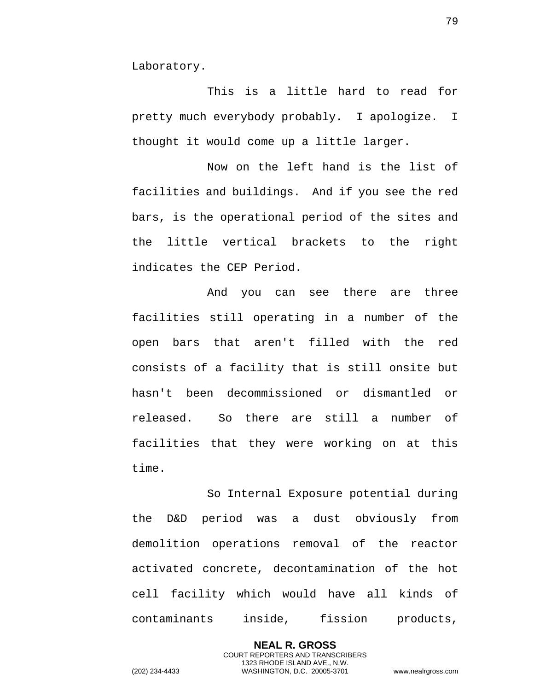Laboratory.

This is a little hard to read for pretty much everybody probably. I apologize. I thought it would come up a little larger.

Now on the left hand is the list of facilities and buildings. And if you see the red bars, is the operational period of the sites and the little vertical brackets to the right indicates the CEP Period.

And you can see there are three facilities still operating in a number of the open bars that aren't filled with the red consists of a facility that is still onsite but hasn't been decommissioned or dismantled or released. So there are still a number of facilities that they were working on at this time.

So Internal Exposure potential during the D&D period was a dust obviously from demolition operations removal of the reactor activated concrete, decontamination of the hot cell facility which would have all kinds of contaminants inside, fission products,

> **NEAL R. GROSS** COURT REPORTERS AND TRANSCRIBERS 1323 RHODE ISLAND AVE., N.W.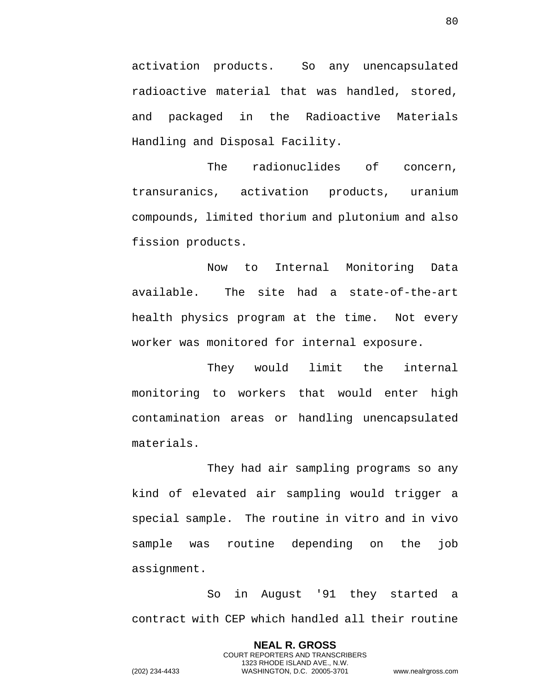activation products. So any unencapsulated radioactive material that was handled, stored, and packaged in the Radioactive Materials Handling and Disposal Facility.

The radionuclides of concern, transuranics, activation products, uranium compounds, limited thorium and plutonium and also fission products.

Now to Internal Monitoring Data available. The site had a state-of-the-art health physics program at the time. Not every worker was monitored for internal exposure.

They would limit the internal monitoring to workers that would enter high contamination areas or handling unencapsulated materials.

They had air sampling programs so any kind of elevated air sampling would trigger a special sample. The routine in vitro and in vivo sample was routine depending on the job assignment.

So in August '91 they started a contract with CEP which handled all their routine

> **NEAL R. GROSS** COURT REPORTERS AND TRANSCRIBERS 1323 RHODE ISLAND AVE., N.W.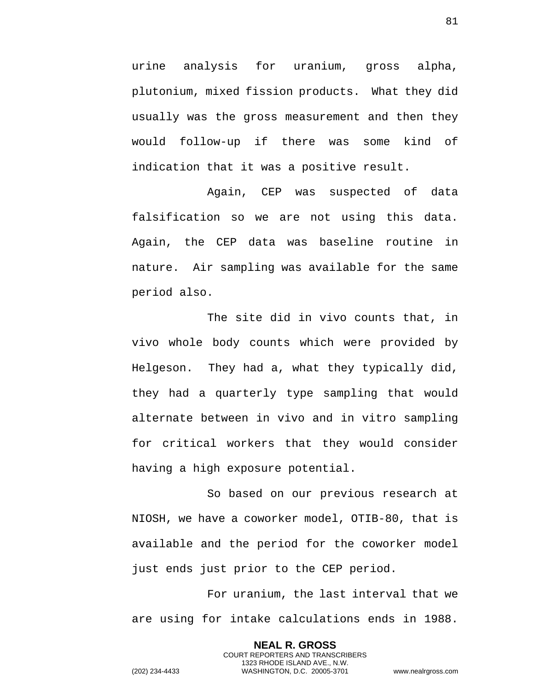urine analysis for uranium, gross alpha, plutonium, mixed fission products. What they did usually was the gross measurement and then they would follow-up if there was some kind of indication that it was a positive result.

Again, CEP was suspected of data falsification so we are not using this data. Again, the CEP data was baseline routine in nature. Air sampling was available for the same period also.

The site did in vivo counts that, in vivo whole body counts which were provided by Helgeson. They had a, what they typically did, they had a quarterly type sampling that would alternate between in vivo and in vitro sampling for critical workers that they would consider having a high exposure potential.

So based on our previous research at NIOSH, we have a coworker model, OTIB-80, that is available and the period for the coworker model just ends just prior to the CEP period.

For uranium, the last interval that we are using for intake calculations ends in 1988.

> **NEAL R. GROSS** COURT REPORTERS AND TRANSCRIBERS 1323 RHODE ISLAND AVE., N.W.

81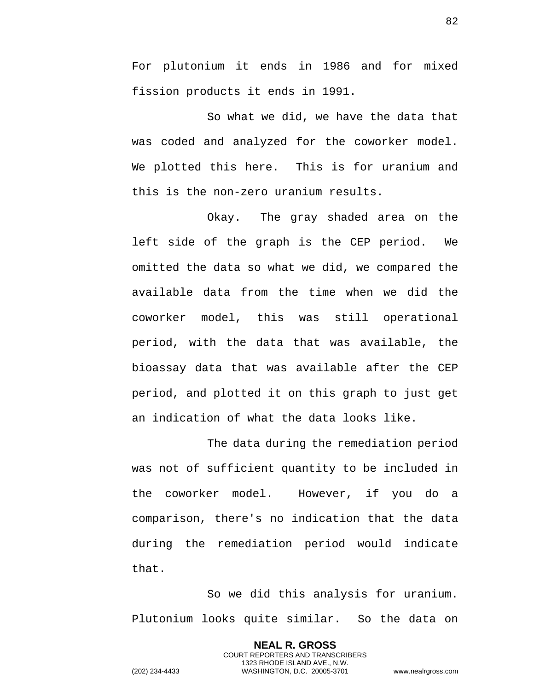For plutonium it ends in 1986 and for mixed fission products it ends in 1991.

So what we did, we have the data that was coded and analyzed for the coworker model. We plotted this here. This is for uranium and this is the non-zero uranium results.

Okay. The gray shaded area on the left side of the graph is the CEP period. We omitted the data so what we did, we compared the available data from the time when we did the coworker model, this was still operational period, with the data that was available, the bioassay data that was available after the CEP period, and plotted it on this graph to just get an indication of what the data looks like.

The data during the remediation period was not of sufficient quantity to be included in the coworker model. However, if you do a comparison, there's no indication that the data during the remediation period would indicate that.

So we did this analysis for uranium. Plutonium looks quite similar. So the data on

> **NEAL R. GROSS** COURT REPORTERS AND TRANSCRIBERS 1323 RHODE ISLAND AVE., N.W.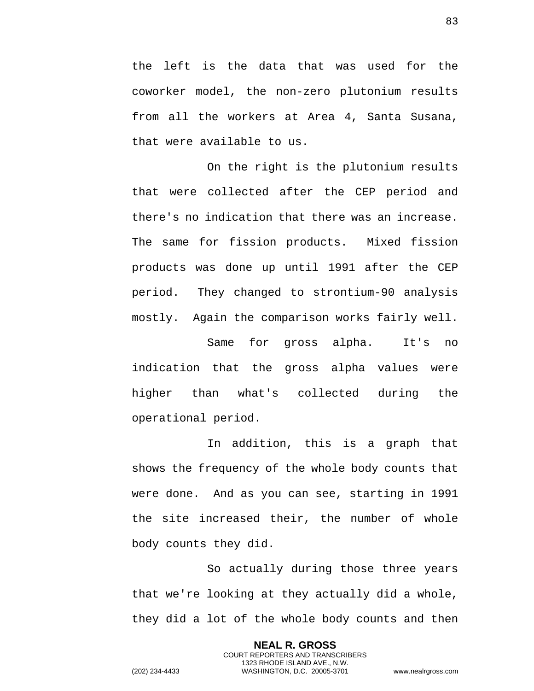the left is the data that was used for the coworker model, the non-zero plutonium results from all the workers at Area 4, Santa Susana, that were available to us.

On the right is the plutonium results that were collected after the CEP period and there's no indication that there was an increase. The same for fission products. Mixed fission products was done up until 1991 after the CEP period. They changed to strontium-90 analysis mostly. Again the comparison works fairly well.

Same for gross alpha. It's no indication that the gross alpha values were higher than what's collected during the operational period.

In addition, this is a graph that shows the frequency of the whole body counts that were done. And as you can see, starting in 1991 the site increased their, the number of whole body counts they did.

So actually during those three years that we're looking at they actually did a whole, they did a lot of the whole body counts and then

> **NEAL R. GROSS** COURT REPORTERS AND TRANSCRIBERS 1323 RHODE ISLAND AVE., N.W.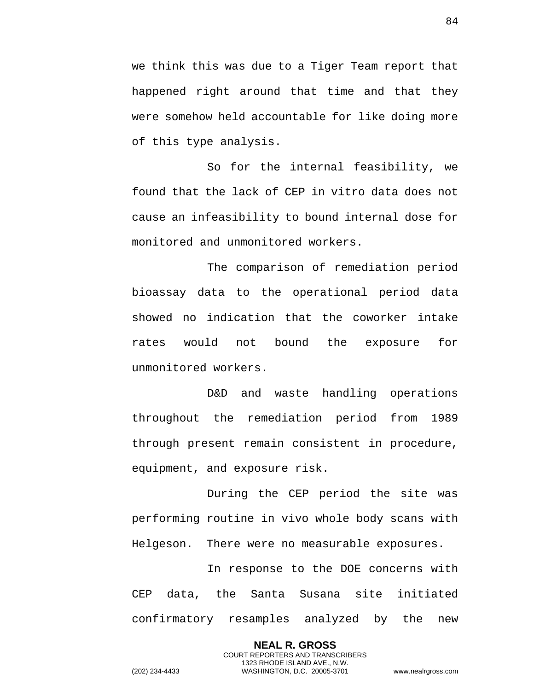we think this was due to a Tiger Team report that happened right around that time and that they were somehow held accountable for like doing more of this type analysis.

So for the internal feasibility, we found that the lack of CEP in vitro data does not cause an infeasibility to bound internal dose for monitored and unmonitored workers.

The comparison of remediation period bioassay data to the operational period data showed no indication that the coworker intake rates would not bound the exposure for unmonitored workers.

D&D and waste handling operations throughout the remediation period from 1989 through present remain consistent in procedure, equipment, and exposure risk.

During the CEP period the site was performing routine in vivo whole body scans with Helgeson. There were no measurable exposures.

In response to the DOE concerns with CEP data, the Santa Susana site initiated confirmatory resamples analyzed by the new

> **NEAL R. GROSS** COURT REPORTERS AND TRANSCRIBERS 1323 RHODE ISLAND AVE., N.W.

84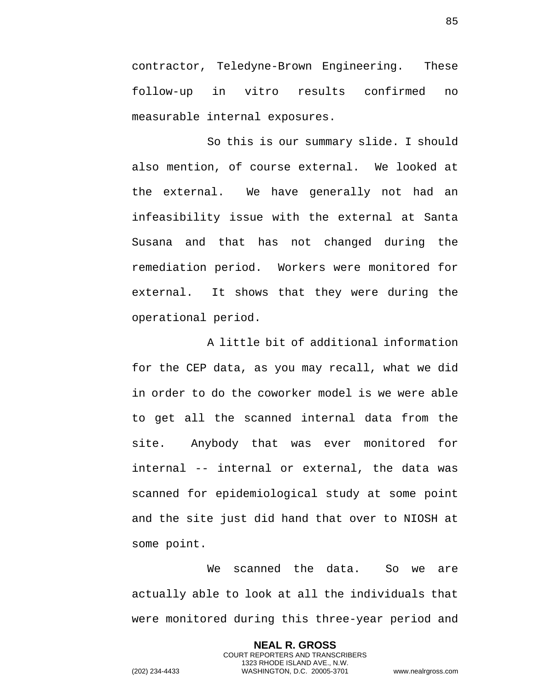contractor, Teledyne-Brown Engineering. These follow-up in vitro results confirmed no measurable internal exposures.

So this is our summary slide. I should also mention, of course external. We looked at the external. We have generally not had an infeasibility issue with the external at Santa Susana and that has not changed during the remediation period. Workers were monitored for external. It shows that they were during the operational period.

A little bit of additional information for the CEP data, as you may recall, what we did in order to do the coworker model is we were able to get all the scanned internal data from the site. Anybody that was ever monitored for internal -- internal or external, the data was scanned for epidemiological study at some point and the site just did hand that over to NIOSH at some point.

We scanned the data. So we are actually able to look at all the individuals that were monitored during this three-year period and

> **NEAL R. GROSS** COURT REPORTERS AND TRANSCRIBERS 1323 RHODE ISLAND AVE., N.W.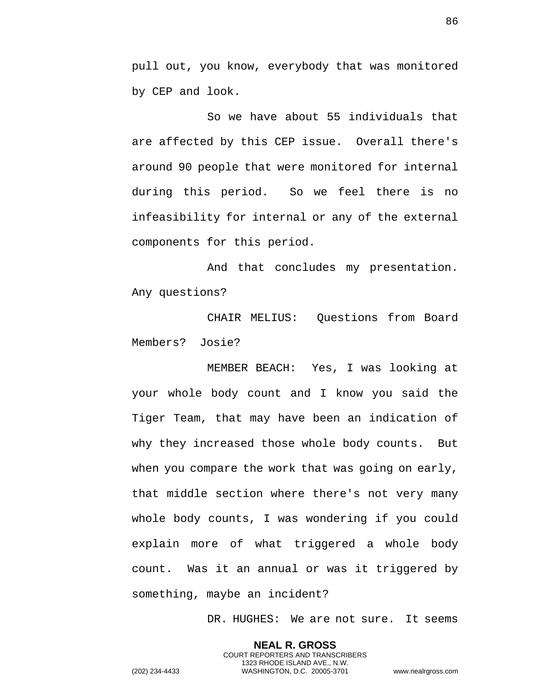pull out, you know, everybody that was monitored by CEP and look.

So we have about 55 individuals that are affected by this CEP issue. Overall there's around 90 people that were monitored for internal during this period. So we feel there is no infeasibility for internal or any of the external components for this period.

And that concludes my presentation. Any questions?

CHAIR MELIUS: Questions from Board Members? Josie?

MEMBER BEACH: Yes, I was looking at your whole body count and I know you said the Tiger Team, that may have been an indication of why they increased those whole body counts. But when you compare the work that was going on early, that middle section where there's not very many whole body counts, I was wondering if you could explain more of what triggered a whole body count. Was it an annual or was it triggered by something, maybe an incident?

> **NEAL R. GROSS** COURT REPORTERS AND TRANSCRIBERS 1323 RHODE ISLAND AVE., N.W.

DR. HUGHES: We are not sure. It seems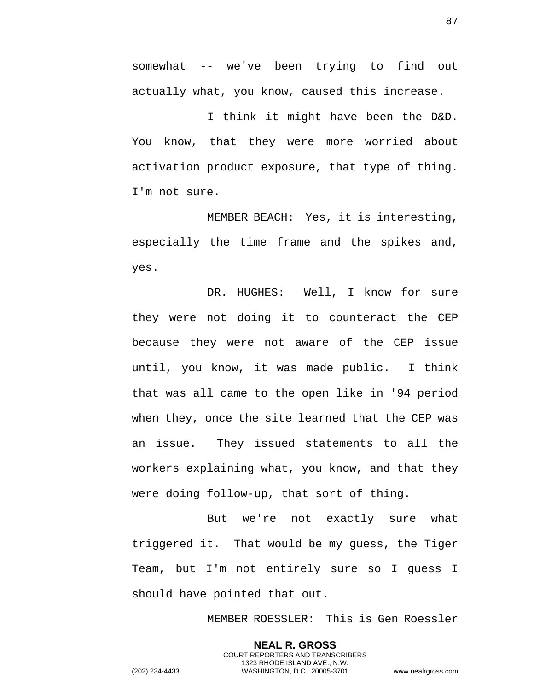somewhat -- we've been trying to find out actually what, you know, caused this increase.

I think it might have been the D&D. You know, that they were more worried about activation product exposure, that type of thing. I'm not sure.

MEMBER BEACH: Yes, it is interesting, especially the time frame and the spikes and, yes.

DR. HUGHES: Well, I know for sure they were not doing it to counteract the CEP because they were not aware of the CEP issue until, you know, it was made public. I think that was all came to the open like in '94 period when they, once the site learned that the CEP was an issue. They issued statements to all the workers explaining what, you know, and that they were doing follow-up, that sort of thing.

But we're not exactly sure what triggered it. That would be my guess, the Tiger Team, but I'm not entirely sure so I guess I should have pointed that out.

MEMBER ROESSLER: This is Gen Roessler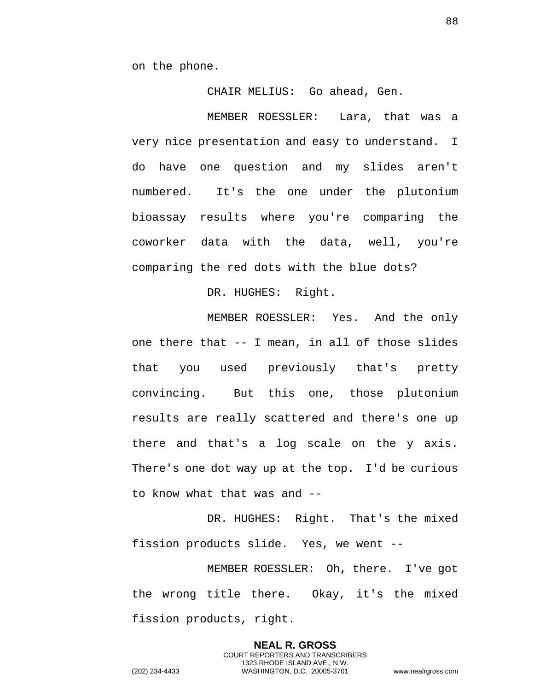on the phone.

CHAIR MELIUS: Go ahead, Gen.

MEMBER ROESSLER: Lara, that was a very nice presentation and easy to understand. I do have one question and my slides aren't numbered. It's the one under the plutonium bioassay results where you're comparing the coworker data with the data, well, you're comparing the red dots with the blue dots?

DR. HUGHES: Right.

MEMBER ROESSLER: Yes. And the only one there that -- I mean, in all of those slides that you used previously that's pretty convincing. But this one, those plutonium results are really scattered and there's one up there and that's a log scale on the y axis. There's one dot way up at the top. I'd be curious to know what that was and --

DR. HUGHES: Right. That's the mixed fission products slide. Yes, we went --

MEMBER ROESSLER: Oh, there. I've got the wrong title there. Okay, it's the mixed fission products, right.

> **NEAL R. GROSS** COURT REPORTERS AND TRANSCRIBERS 1323 RHODE ISLAND AVE., N.W.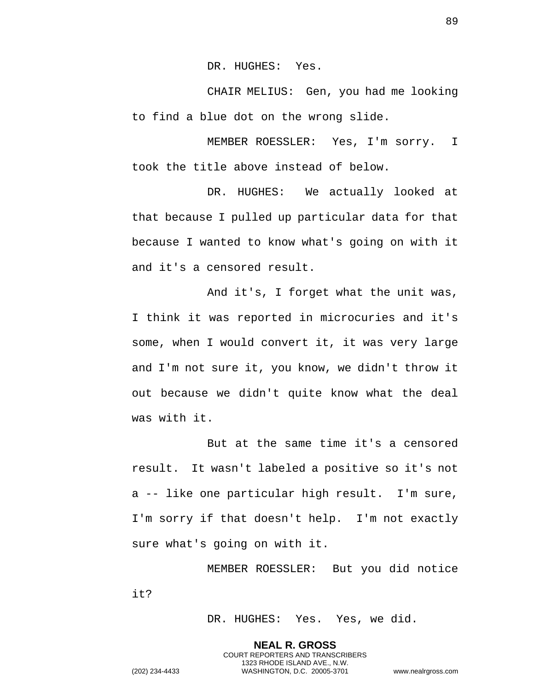DR. HUGHES: Yes.

CHAIR MELIUS: Gen, you had me looking to find a blue dot on the wrong slide.

MEMBER ROESSLER: Yes, I'm sorry. I took the title above instead of below.

DR. HUGHES: We actually looked at that because I pulled up particular data for that because I wanted to know what's going on with it and it's a censored result.

And it's, I forget what the unit was, I think it was reported in microcuries and it's some, when I would convert it, it was very large and I'm not sure it, you know, we didn't throw it out because we didn't quite know what the deal was with it.

But at the same time it's a censored result. It wasn't labeled a positive so it's not a -- like one particular high result. I'm sure, I'm sorry if that doesn't help. I'm not exactly sure what's going on with it.

MEMBER ROESSLER: But you did notice it?

> **NEAL R. GROSS** COURT REPORTERS AND TRANSCRIBERS 1323 RHODE ISLAND AVE., N.W.

DR. HUGHES: Yes. Yes, we did.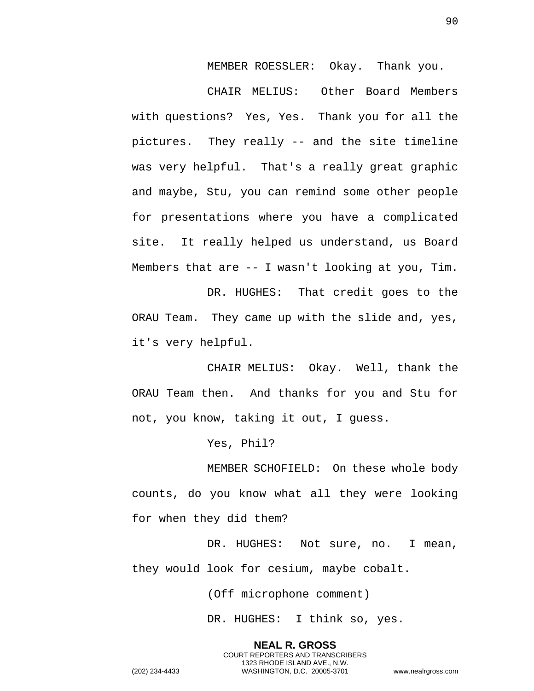MEMBER ROESSLER: Okay. Thank you.

CHAIR MELIUS: Other Board Members with questions? Yes, Yes. Thank you for all the pictures. They really -- and the site timeline was very helpful. That's a really great graphic and maybe, Stu, you can remind some other people for presentations where you have a complicated site. It really helped us understand, us Board Members that are -- I wasn't looking at you, Tim.

DR. HUGHES: That credit goes to the ORAU Team. They came up with the slide and, yes, it's very helpful.

CHAIR MELIUS: Okay. Well, thank the ORAU Team then. And thanks for you and Stu for not, you know, taking it out, I guess.

Yes, Phil?

MEMBER SCHOFIELD: On these whole body counts, do you know what all they were looking for when they did them?

DR. HUGHES: Not sure, no. I mean, they would look for cesium, maybe cobalt.

(Off microphone comment)

DR. HUGHES: I think so, yes.

**NEAL R. GROSS** COURT REPORTERS AND TRANSCRIBERS 1323 RHODE ISLAND AVE., N.W. (202) 234-4433 WASHINGTON, D.C. 20005-3701 www.nealrgross.com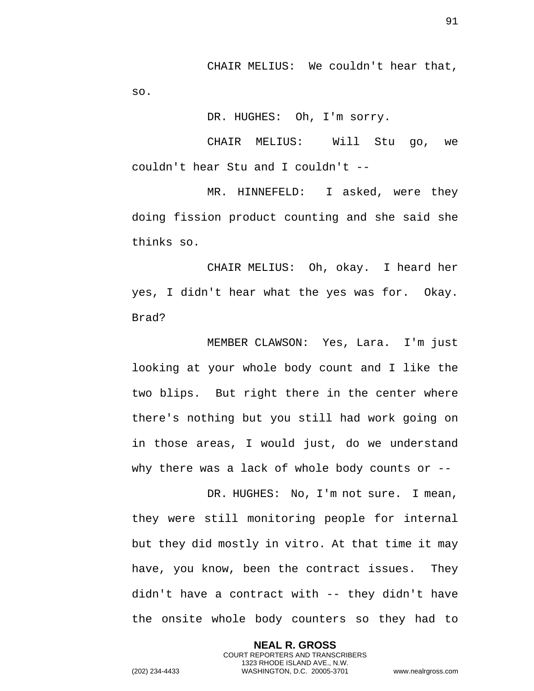CHAIR MELIUS: We couldn't hear that, so.

DR. HUGHES: Oh, I'm sorry.

CHAIR MELIUS: Will Stu go, we couldn't hear Stu and I couldn't --

MR. HINNEFELD: I asked, were they doing fission product counting and she said she thinks so.

CHAIR MELIUS: Oh, okay. I heard her yes, I didn't hear what the yes was for. Okay. Brad?

MEMBER CLAWSON: Yes, Lara. I'm just looking at your whole body count and I like the two blips. But right there in the center where there's nothing but you still had work going on in those areas, I would just, do we understand why there was a lack of whole body counts or --

DR. HUGHES: No, I'm not sure. I mean, they were still monitoring people for internal but they did mostly in vitro. At that time it may have, you know, been the contract issues. They didn't have a contract with -- they didn't have the onsite whole body counters so they had to

> **NEAL R. GROSS** COURT REPORTERS AND TRANSCRIBERS 1323 RHODE ISLAND AVE., N.W.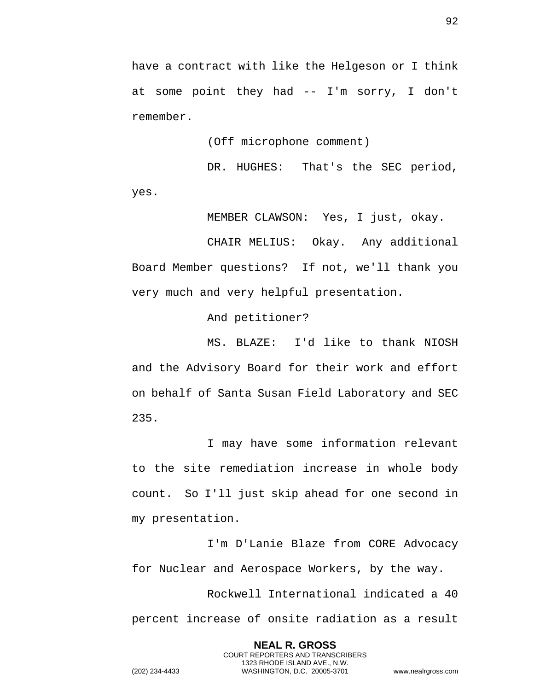have a contract with like the Helgeson or I think at some point they had -- I'm sorry, I don't remember.

(Off microphone comment)

DR. HUGHES: That's the SEC period, yes.

MEMBER CLAWSON: Yes, I just, okay.

CHAIR MELIUS: Okay. Any additional Board Member questions? If not, we'll thank you very much and very helpful presentation.

And petitioner?

MS. BLAZE: I'd like to thank NIOSH and the Advisory Board for their work and effort on behalf of Santa Susan Field Laboratory and SEC 235.

I may have some information relevant to the site remediation increase in whole body count. So I'll just skip ahead for one second in my presentation.

I'm D'Lanie Blaze from CORE Advocacy for Nuclear and Aerospace Workers, by the way.

Rockwell International indicated a 40 percent increase of onsite radiation as a result

> **NEAL R. GROSS** COURT REPORTERS AND TRANSCRIBERS 1323 RHODE ISLAND AVE., N.W.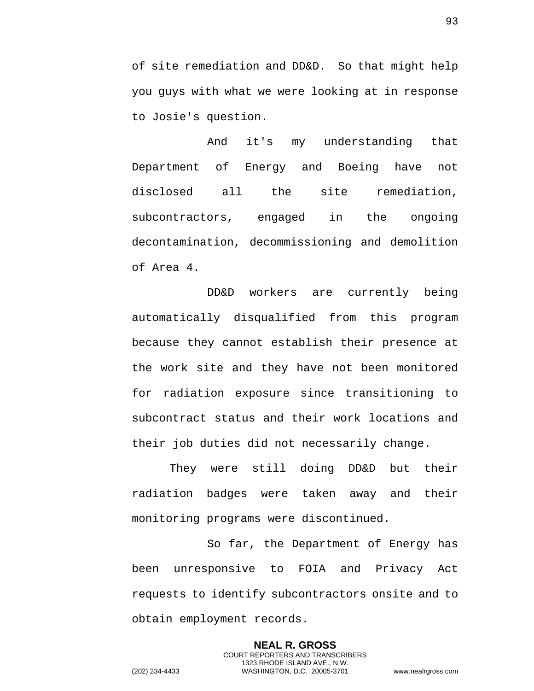of site remediation and DD&D. So that might help you guys with what we were looking at in response to Josie's question.

And it's my understanding that Department of Energy and Boeing have not disclosed all the site remediation, subcontractors, engaged in the ongoing decontamination, decommissioning and demolition of Area 4.

DD&D workers are currently being automatically disqualified from this program because they cannot establish their presence at the work site and they have not been monitored for radiation exposure since transitioning to subcontract status and their work locations and their job duties did not necessarily change.

They were still doing DD&D but their radiation badges were taken away and their monitoring programs were discontinued.

So far, the Department of Energy has been unresponsive to FOIA and Privacy Act requests to identify subcontractors onsite and to obtain employment records.

> **NEAL R. GROSS** COURT REPORTERS AND TRANSCRIBERS 1323 RHODE ISLAND AVE., N.W.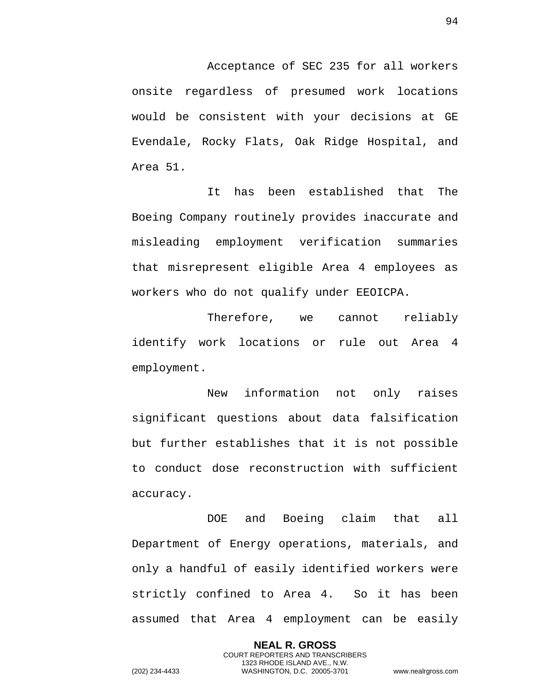Acceptance of SEC 235 for all workers onsite regardless of presumed work locations would be consistent with your decisions at GE Evendale, Rocky Flats, Oak Ridge Hospital, and Area 51.

It has been established that The Boeing Company routinely provides inaccurate and misleading employment verification summaries that misrepresent eligible Area 4 employees as workers who do not qualify under EEOICPA.

Therefore, we cannot reliably identify work locations or rule out Area 4 employment.

New information not only raises significant questions about data falsification but further establishes that it is not possible to conduct dose reconstruction with sufficient accuracy.

DOE and Boeing claim that all Department of Energy operations, materials, and only a handful of easily identified workers were strictly confined to Area 4. So it has been assumed that Area 4 employment can be easily

> **NEAL R. GROSS** COURT REPORTERS AND TRANSCRIBERS 1323 RHODE ISLAND AVE., N.W.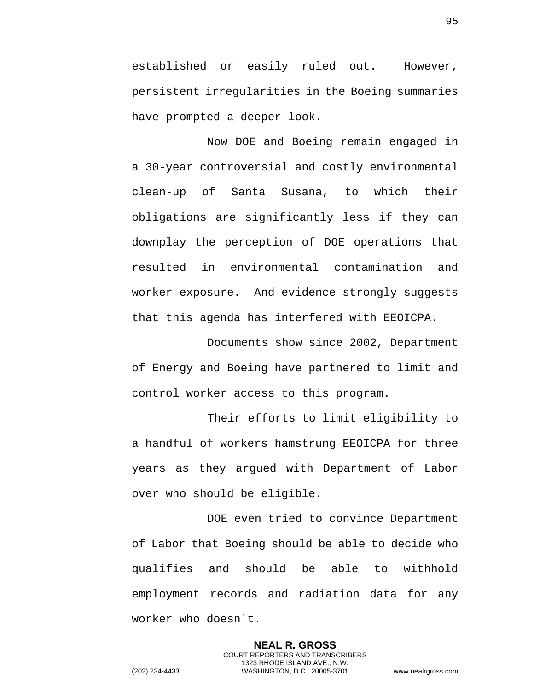established or easily ruled out. However, persistent irregularities in the Boeing summaries have prompted a deeper look.

Now DOE and Boeing remain engaged in a 30-year controversial and costly environmental clean-up of Santa Susana, to which their obligations are significantly less if they can downplay the perception of DOE operations that resulted in environmental contamination and worker exposure. And evidence strongly suggests that this agenda has interfered with EEOICPA.

Documents show since 2002, Department of Energy and Boeing have partnered to limit and control worker access to this program.

Their efforts to limit eligibility to a handful of workers hamstrung EEOICPA for three years as they argued with Department of Labor over who should be eligible.

DOE even tried to convince Department of Labor that Boeing should be able to decide who qualifies and should be able to withhold employment records and radiation data for any worker who doesn't.

> **NEAL R. GROSS** COURT REPORTERS AND TRANSCRIBERS 1323 RHODE ISLAND AVE., N.W.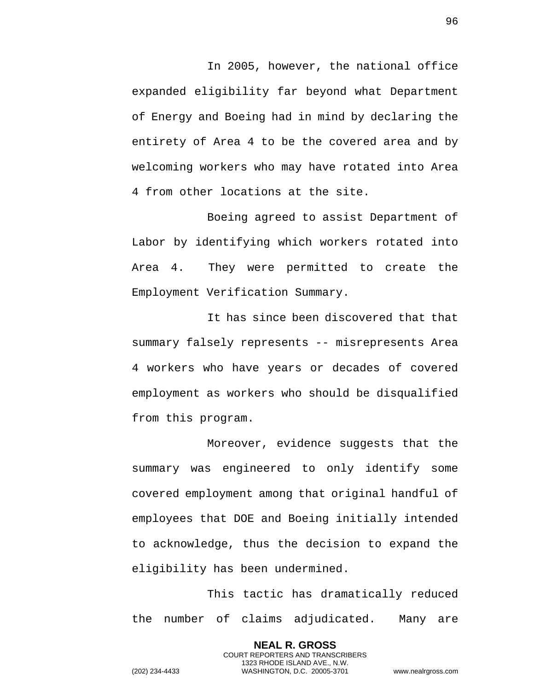In 2005, however, the national office expanded eligibility far beyond what Department of Energy and Boeing had in mind by declaring the entirety of Area 4 to be the covered area and by welcoming workers who may have rotated into Area 4 from other locations at the site.

Boeing agreed to assist Department of Labor by identifying which workers rotated into Area 4. They were permitted to create the Employment Verification Summary.

It has since been discovered that that summary falsely represents -- misrepresents Area 4 workers who have years or decades of covered employment as workers who should be disqualified from this program.

Moreover, evidence suggests that the summary was engineered to only identify some covered employment among that original handful of employees that DOE and Boeing initially intended to acknowledge, thus the decision to expand the eligibility has been undermined.

This tactic has dramatically reduced the number of claims adjudicated. Many are

> **NEAL R. GROSS** COURT REPORTERS AND TRANSCRIBERS 1323 RHODE ISLAND AVE., N.W.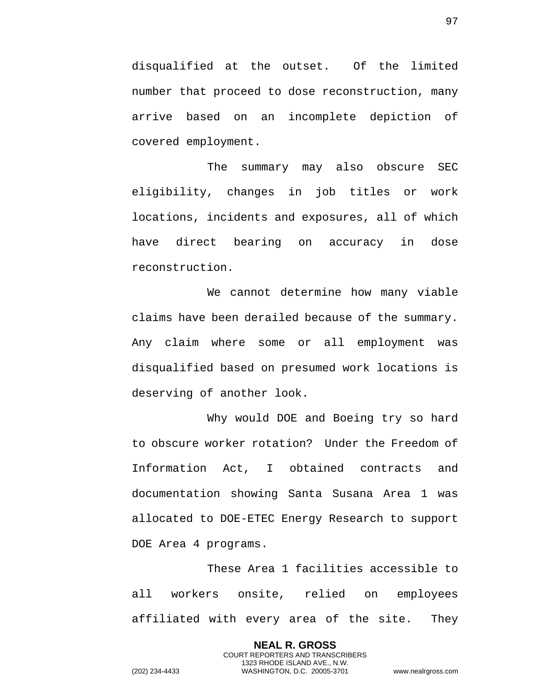disqualified at the outset. Of the limited number that proceed to dose reconstruction, many arrive based on an incomplete depiction of covered employment.

The summary may also obscure SEC eligibility, changes in job titles or work locations, incidents and exposures, all of which have direct bearing on accuracy in dose reconstruction.

We cannot determine how many viable claims have been derailed because of the summary. Any claim where some or all employment was disqualified based on presumed work locations is deserving of another look.

Why would DOE and Boeing try so hard to obscure worker rotation? Under the Freedom of Information Act, I obtained contracts and documentation showing Santa Susana Area 1 was allocated to DOE-ETEC Energy Research to support DOE Area 4 programs.

These Area 1 facilities accessible to all workers onsite, relied on employees affiliated with every area of the site. They

> **NEAL R. GROSS** COURT REPORTERS AND TRANSCRIBERS 1323 RHODE ISLAND AVE., N.W.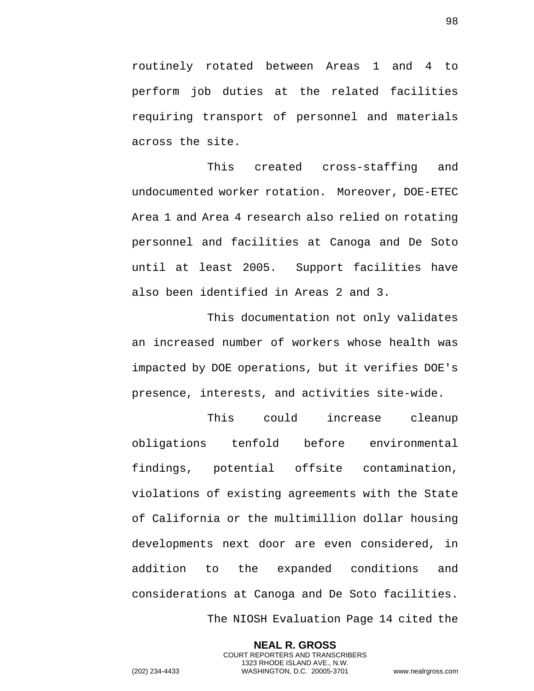routinely rotated between Areas 1 and 4 to perform job duties at the related facilities requiring transport of personnel and materials across the site.

This created cross-staffing and undocumented worker rotation. Moreover, DOE-ETEC Area 1 and Area 4 research also relied on rotating personnel and facilities at Canoga and De Soto until at least 2005. Support facilities have also been identified in Areas 2 and 3.

This documentation not only validates an increased number of workers whose health was impacted by DOE operations, but it verifies DOE's presence, interests, and activities site-wide.

This could increase cleanup obligations tenfold before environmental findings, potential offsite contamination, violations of existing agreements with the State of California or the multimillion dollar housing developments next door are even considered, in addition to the expanded conditions and considerations at Canoga and De Soto facilities. The NIOSH Evaluation Page 14 cited the

**NEAL R. GROSS** COURT REPORTERS AND TRANSCRIBERS 1323 RHODE ISLAND AVE., N.W. (202) 234-4433 WASHINGTON, D.C. 20005-3701 www.nealrgross.com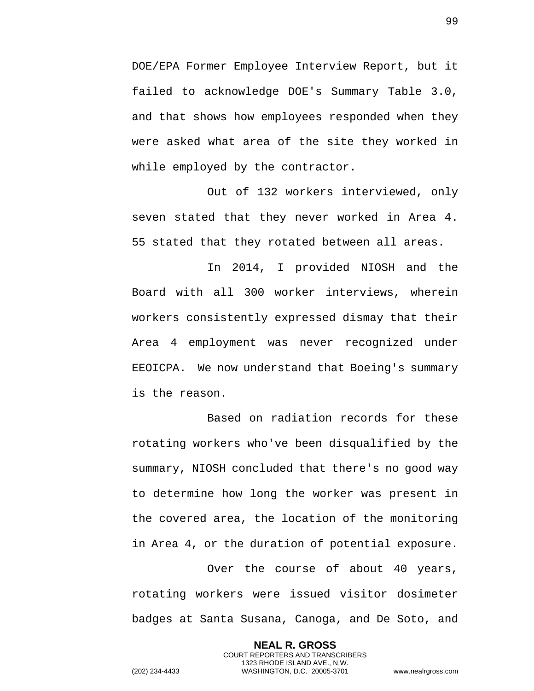DOE/EPA Former Employee Interview Report, but it failed to acknowledge DOE's Summary Table 3.0, and that shows how employees responded when they were asked what area of the site they worked in while employed by the contractor.

Out of 132 workers interviewed, only seven stated that they never worked in Area 4. 55 stated that they rotated between all areas.

In 2014, I provided NIOSH and the Board with all 300 worker interviews, wherein workers consistently expressed dismay that their Area 4 employment was never recognized under EEOICPA. We now understand that Boeing's summary is the reason.

Based on radiation records for these rotating workers who've been disqualified by the summary, NIOSH concluded that there's no good way to determine how long the worker was present in the covered area, the location of the monitoring in Area 4, or the duration of potential exposure.

Over the course of about 40 years, rotating workers were issued visitor dosimeter badges at Santa Susana, Canoga, and De Soto, and

> **NEAL R. GROSS** COURT REPORTERS AND TRANSCRIBERS 1323 RHODE ISLAND AVE., N.W.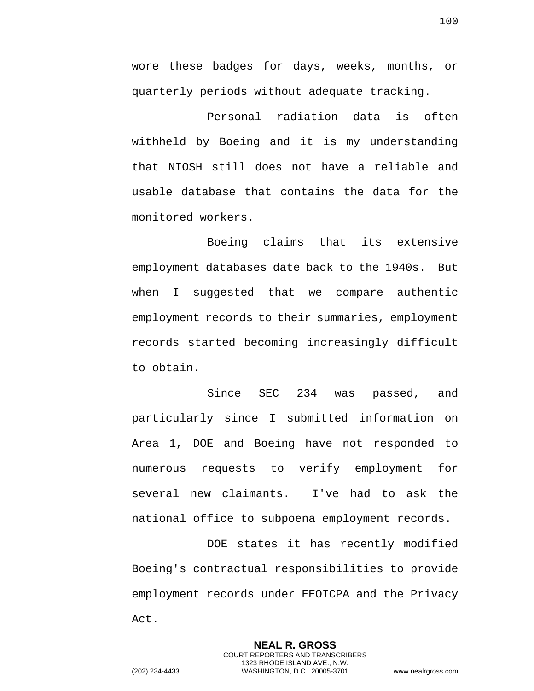wore these badges for days, weeks, months, or quarterly periods without adequate tracking.

Personal radiation data is often withheld by Boeing and it is my understanding that NIOSH still does not have a reliable and usable database that contains the data for the monitored workers.

Boeing claims that its extensive employment databases date back to the 1940s. But when I suggested that we compare authentic employment records to their summaries, employment records started becoming increasingly difficult to obtain.

Since SEC 234 was passed, and particularly since I submitted information on Area 1, DOE and Boeing have not responded to numerous requests to verify employment for several new claimants. I've had to ask the national office to subpoena employment records.

DOE states it has recently modified Boeing's contractual responsibilities to provide employment records under EEOICPA and the Privacy Act.

> **NEAL R. GROSS** COURT REPORTERS AND TRANSCRIBERS 1323 RHODE ISLAND AVE., N.W.

100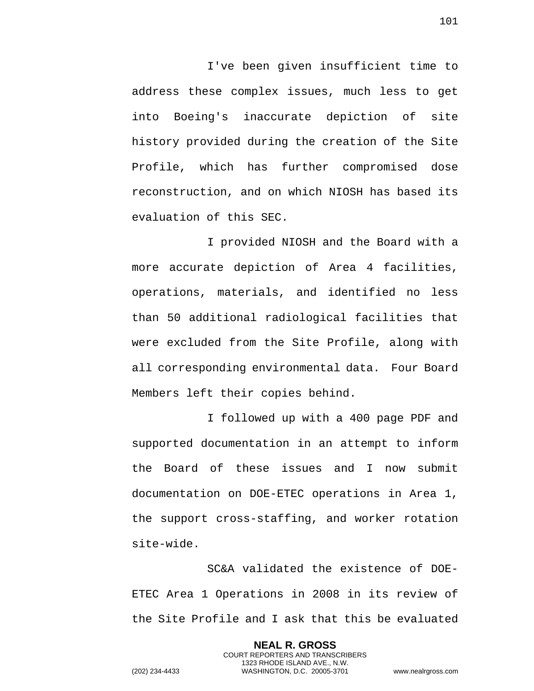I've been given insufficient time to address these complex issues, much less to get into Boeing's inaccurate depiction of site history provided during the creation of the Site Profile, which has further compromised dose reconstruction, and on which NIOSH has based its evaluation of this SEC.

I provided NIOSH and the Board with a more accurate depiction of Area 4 facilities, operations, materials, and identified no less than 50 additional radiological facilities that were excluded from the Site Profile, along with all corresponding environmental data. Four Board Members left their copies behind.

I followed up with a 400 page PDF and supported documentation in an attempt to inform the Board of these issues and I now submit documentation on DOE-ETEC operations in Area 1, the support cross-staffing, and worker rotation site-wide.

SC&A validated the existence of DOE-ETEC Area 1 Operations in 2008 in its review of the Site Profile and I ask that this be evaluated

> **NEAL R. GROSS** COURT REPORTERS AND TRANSCRIBERS 1323 RHODE ISLAND AVE., N.W.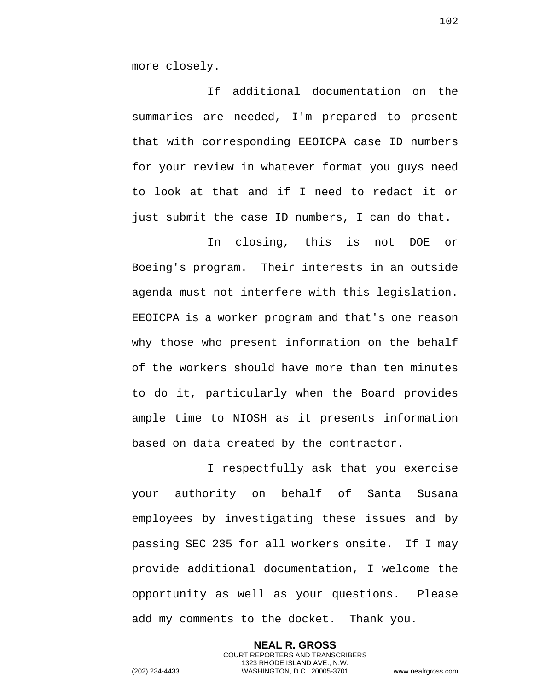more closely.

If additional documentation on the summaries are needed, I'm prepared to present that with corresponding EEOICPA case ID numbers for your review in whatever format you guys need to look at that and if I need to redact it or just submit the case ID numbers, I can do that.

In closing, this is not DOE or Boeing's program. Their interests in an outside agenda must not interfere with this legislation. EEOICPA is a worker program and that's one reason why those who present information on the behalf of the workers should have more than ten minutes to do it, particularly when the Board provides ample time to NIOSH as it presents information based on data created by the contractor.

I respectfully ask that you exercise your authority on behalf of Santa Susana employees by investigating these issues and by passing SEC 235 for all workers onsite. If I may provide additional documentation, I welcome the opportunity as well as your questions. Please add my comments to the docket. Thank you.

> **NEAL R. GROSS** COURT REPORTERS AND TRANSCRIBERS 1323 RHODE ISLAND AVE., N.W.

102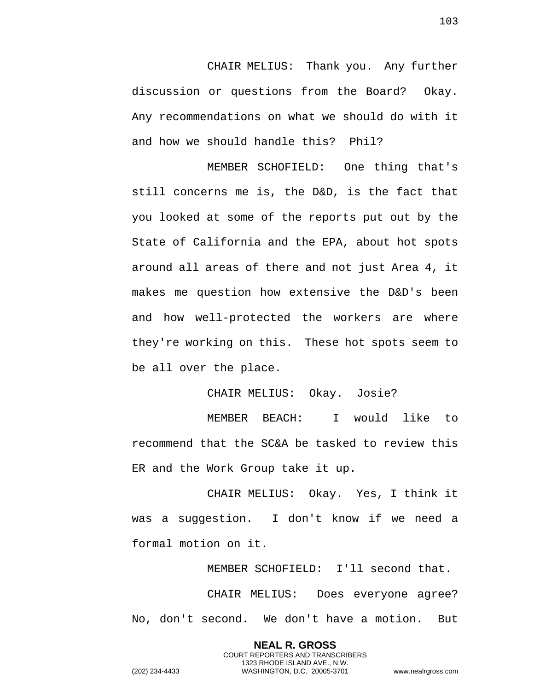CHAIR MELIUS: Thank you. Any further discussion or questions from the Board? Okay. Any recommendations on what we should do with it and how we should handle this? Phil?

MEMBER SCHOFIELD: One thing that's still concerns me is, the D&D, is the fact that you looked at some of the reports put out by the State of California and the EPA, about hot spots around all areas of there and not just Area 4, it makes me question how extensive the D&D's been and how well-protected the workers are where they're working on this. These hot spots seem to be all over the place.

CHAIR MELIUS: Okay. Josie?

MEMBER BEACH: I would like to recommend that the SC&A be tasked to review this ER and the Work Group take it up.

CHAIR MELIUS: Okay. Yes, I think it was a suggestion. I don't know if we need a formal motion on it.

MEMBER SCHOFIELD: I'll second that. CHAIR MELIUS: Does everyone agree? No, don't second. We don't have a motion. But

> **NEAL R. GROSS** COURT REPORTERS AND TRANSCRIBERS 1323 RHODE ISLAND AVE., N.W.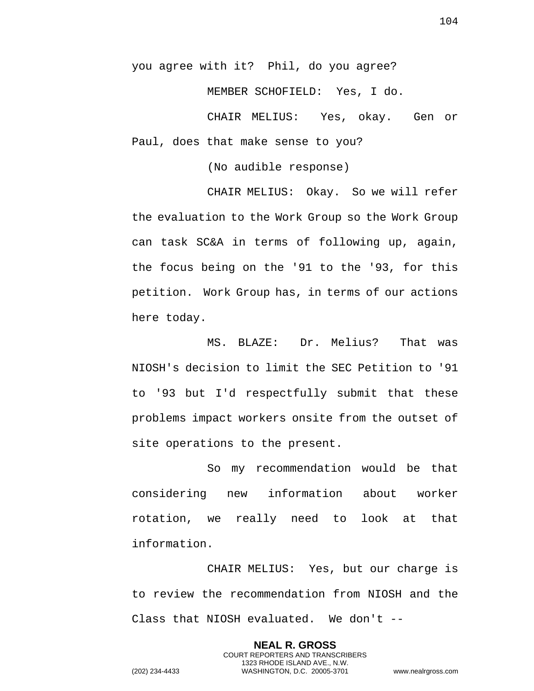you agree with it? Phil, do you agree?

MEMBER SCHOFIELD: Yes, I do.

CHAIR MELIUS: Yes, okay. Gen or Paul, does that make sense to you?

(No audible response)

CHAIR MELIUS: Okay. So we will refer the evaluation to the Work Group so the Work Group can task SC&A in terms of following up, again, the focus being on the '91 to the '93, for this petition. Work Group has, in terms of our actions here today.

MS. BLAZE: Dr. Melius? That was NIOSH's decision to limit the SEC Petition to '91 to '93 but I'd respectfully submit that these problems impact workers onsite from the outset of site operations to the present.

So my recommendation would be that considering new information about worker rotation, we really need to look at that information.

CHAIR MELIUS: Yes, but our charge is to review the recommendation from NIOSH and the Class that NIOSH evaluated. We don't --

> **NEAL R. GROSS** COURT REPORTERS AND TRANSCRIBERS 1323 RHODE ISLAND AVE., N.W.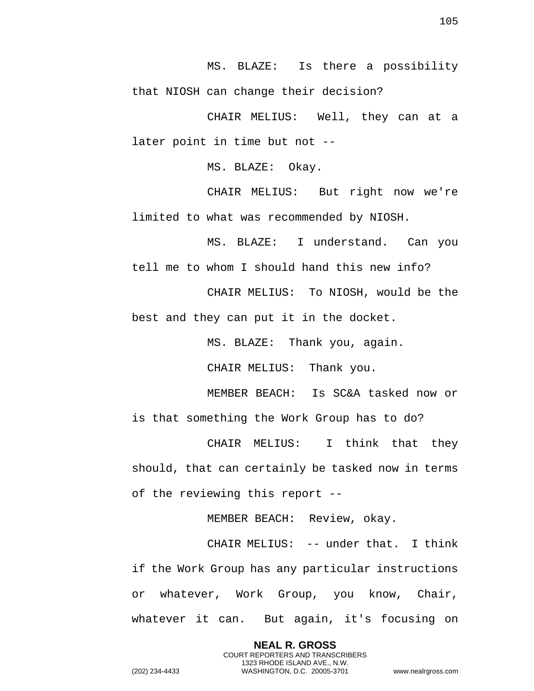MS. BLAZE: Is there a possibility that NIOSH can change their decision?

CHAIR MELIUS: Well, they can at a later point in time but not --

MS. BLAZE: Okay.

CHAIR MELIUS: But right now we're limited to what was recommended by NIOSH.

MS. BLAZE: I understand. Can you tell me to whom I should hand this new info?

CHAIR MELIUS: To NIOSH, would be the best and they can put it in the docket.

MS. BLAZE: Thank you, again.

CHAIR MELIUS: Thank you.

MEMBER BEACH: Is SC&A tasked now or is that something the Work Group has to do?

CHAIR MELIUS: I think that they should, that can certainly be tasked now in terms of the reviewing this report --

MEMBER BEACH: Review, okay.

CHAIR MELIUS: -- under that. I think if the Work Group has any particular instructions or whatever, Work Group, you know, Chair, whatever it can. But again, it's focusing on

> **NEAL R. GROSS** COURT REPORTERS AND TRANSCRIBERS 1323 RHODE ISLAND AVE., N.W.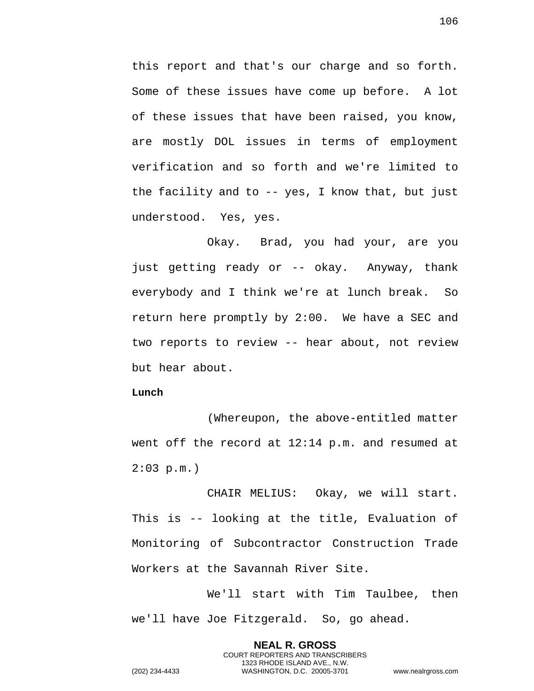this report and that's our charge and so forth. Some of these issues have come up before. A lot of these issues that have been raised, you know, are mostly DOL issues in terms of employment verification and so forth and we're limited to the facility and to -- yes, I know that, but just understood. Yes, yes.

Okay. Brad, you had your, are you just getting ready or -- okay. Anyway, thank everybody and I think we're at lunch break. So return here promptly by 2:00. We have a SEC and two reports to review -- hear about, not review but hear about.

## **Lunch**

(Whereupon, the above-entitled matter went off the record at 12:14 p.m. and resumed at  $2:03$  p.m.)

CHAIR MELIUS: Okay, we will start. This is -- looking at the title, Evaluation of Monitoring of Subcontractor Construction Trade Workers at the Savannah River Site.

We'll start with Tim Taulbee, then we'll have Joe Fitzgerald. So, go ahead.

> **NEAL R. GROSS** COURT REPORTERS AND TRANSCRIBERS 1323 RHODE ISLAND AVE., N.W.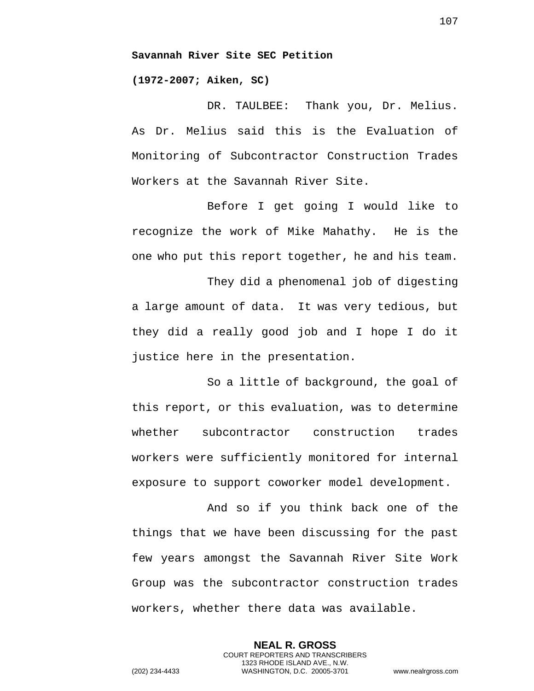**(1972-2007; Aiken, SC)** 

DR. TAULBEE: Thank you, Dr. Melius. As Dr. Melius said this is the Evaluation of Monitoring of Subcontractor Construction Trades Workers at the Savannah River Site.

Before I get going I would like to recognize the work of Mike Mahathy. He is the one who put this report together, he and his team.

They did a phenomenal job of digesting a large amount of data. It was very tedious, but they did a really good job and I hope I do it justice here in the presentation.

So a little of background, the goal of this report, or this evaluation, was to determine whether subcontractor construction trades workers were sufficiently monitored for internal exposure to support coworker model development.

And so if you think back one of the things that we have been discussing for the past few years amongst the Savannah River Site Work Group was the subcontractor construction trades workers, whether there data was available.

> **NEAL R. GROSS** COURT REPORTERS AND TRANSCRIBERS 1323 RHODE ISLAND AVE., N.W.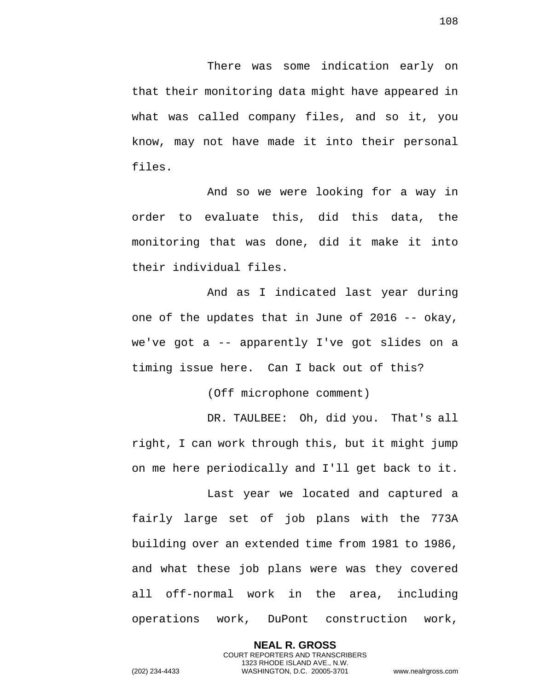There was some indication early on that their monitoring data might have appeared in what was called company files, and so it, you know, may not have made it into their personal files.

And so we were looking for a way in order to evaluate this, did this data, the monitoring that was done, did it make it into their individual files.

And as I indicated last year during one of the updates that in June of 2016 -- okay, we've got a -- apparently I've got slides on a timing issue here. Can I back out of this?

(Off microphone comment)

DR. TAULBEE: Oh, did you. That's all right, I can work through this, but it might jump on me here periodically and I'll get back to it.

Last year we located and captured a fairly large set of job plans with the 773A building over an extended time from 1981 to 1986, and what these job plans were was they covered all off-normal work in the area, including operations work, DuPont construction work,

> **NEAL R. GROSS** COURT REPORTERS AND TRANSCRIBERS 1323 RHODE ISLAND AVE., N.W.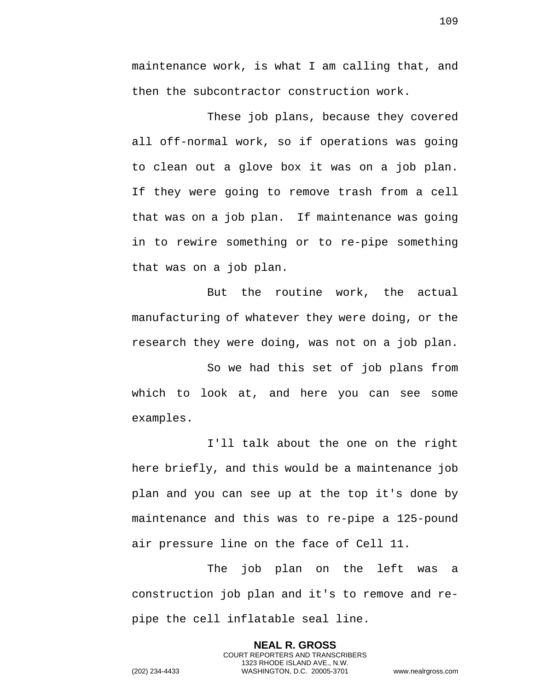maintenance work, is what I am calling that, and then the subcontractor construction work.

These job plans, because they covered all off-normal work, so if operations was going to clean out a glove box it was on a job plan. If they were going to remove trash from a cell that was on a job plan. If maintenance was going in to rewire something or to re-pipe something that was on a job plan.

But the routine work, the actual manufacturing of whatever they were doing, or the research they were doing, was not on a job plan.

So we had this set of job plans from which to look at, and here you can see some examples.

I'll talk about the one on the right here briefly, and this would be a maintenance job plan and you can see up at the top it's done by maintenance and this was to re-pipe a 125-pound air pressure line on the face of Cell 11.

The job plan on the left was a construction job plan and it's to remove and repipe the cell inflatable seal line.

> **NEAL R. GROSS** COURT REPORTERS AND TRANSCRIBERS 1323 RHODE ISLAND AVE., N.W.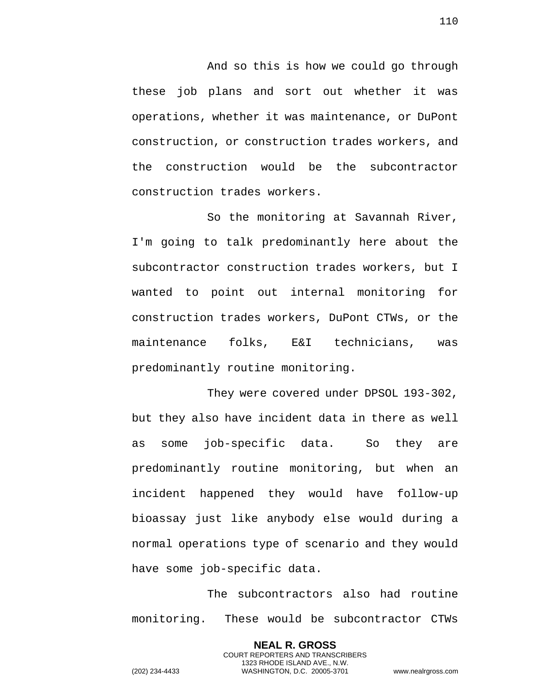And so this is how we could go through these job plans and sort out whether it was operations, whether it was maintenance, or DuPont construction, or construction trades workers, and the construction would be the subcontractor construction trades workers.

So the monitoring at Savannah River, I'm going to talk predominantly here about the subcontractor construction trades workers, but I wanted to point out internal monitoring for construction trades workers, DuPont CTWs, or the maintenance folks, E&I technicians, was predominantly routine monitoring.

They were covered under DPSOL 193-302, but they also have incident data in there as well as some job-specific data. So they are predominantly routine monitoring, but when an incident happened they would have follow-up bioassay just like anybody else would during a normal operations type of scenario and they would have some job-specific data.

The subcontractors also had routine monitoring. These would be subcontractor CTWs

> **NEAL R. GROSS** COURT REPORTERS AND TRANSCRIBERS 1323 RHODE ISLAND AVE., N.W.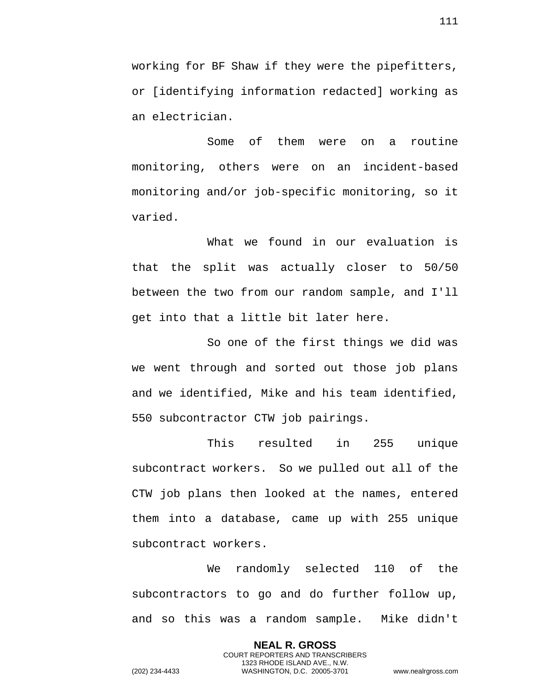working for BF Shaw if they were the pipefitters, or [identifying information redacted] working as an electrician.

Some of them were on a routine monitoring, others were on an incident-based monitoring and/or job-specific monitoring, so it varied.

What we found in our evaluation is that the split was actually closer to 50/50 between the two from our random sample, and I'll get into that a little bit later here.

So one of the first things we did was we went through and sorted out those job plans and we identified, Mike and his team identified, 550 subcontractor CTW job pairings.

This resulted in 255 unique subcontract workers. So we pulled out all of the CTW job plans then looked at the names, entered them into a database, came up with 255 unique subcontract workers.

We randomly selected 110 of the subcontractors to go and do further follow up, and so this was a random sample. Mike didn't

> **NEAL R. GROSS** COURT REPORTERS AND TRANSCRIBERS 1323 RHODE ISLAND AVE., N.W.

(202) 234-4433 WASHINGTON, D.C. 20005-3701 www.nealrgross.com

111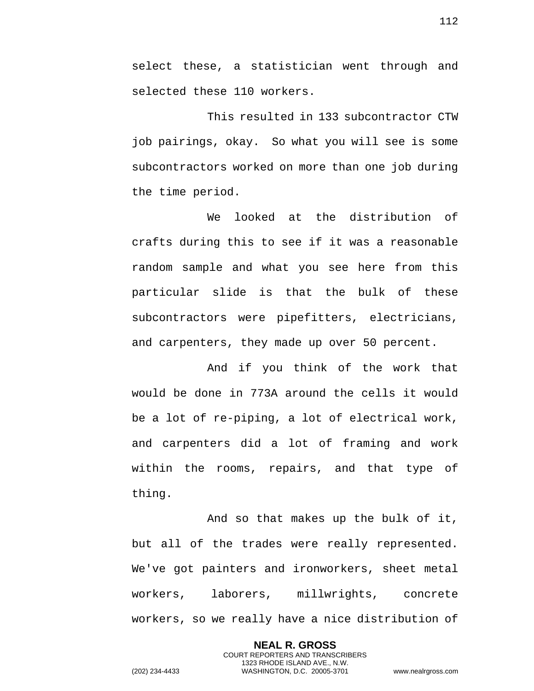select these, a statistician went through and selected these 110 workers.

This resulted in 133 subcontractor CTW job pairings, okay. So what you will see is some subcontractors worked on more than one job during the time period.

We looked at the distribution of crafts during this to see if it was a reasonable random sample and what you see here from this particular slide is that the bulk of these subcontractors were pipefitters, electricians, and carpenters, they made up over 50 percent.

And if you think of the work that would be done in 773A around the cells it would be a lot of re-piping, a lot of electrical work, and carpenters did a lot of framing and work within the rooms, repairs, and that type of thing.

And so that makes up the bulk of it, but all of the trades were really represented. We've got painters and ironworkers, sheet metal workers, laborers, millwrights, concrete workers, so we really have a nice distribution of

> **NEAL R. GROSS** COURT REPORTERS AND TRANSCRIBERS 1323 RHODE ISLAND AVE., N.W.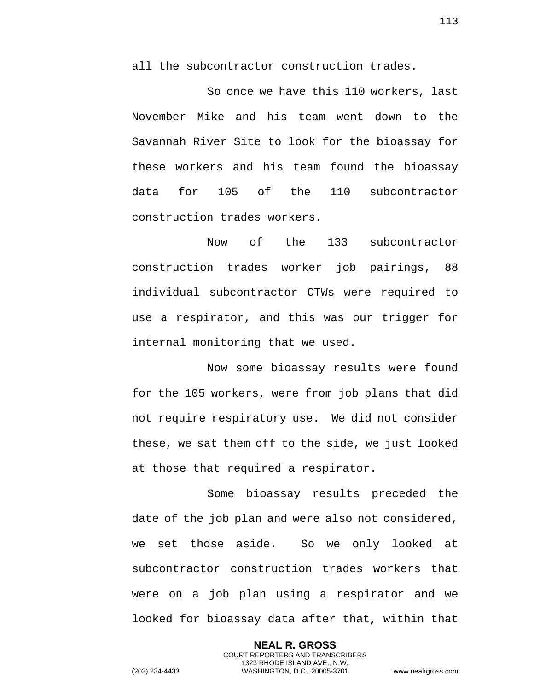all the subcontractor construction trades.

So once we have this 110 workers, last November Mike and his team went down to the Savannah River Site to look for the bioassay for these workers and his team found the bioassay data for 105 of the 110 subcontractor construction trades workers.

Now of the 133 subcontractor construction trades worker job pairings, 88 individual subcontractor CTWs were required to use a respirator, and this was our trigger for internal monitoring that we used.

Now some bioassay results were found for the 105 workers, were from job plans that did not require respiratory use. We did not consider these, we sat them off to the side, we just looked at those that required a respirator.

Some bioassay results preceded the date of the job plan and were also not considered, we set those aside. So we only looked at subcontractor construction trades workers that were on a job plan using a respirator and we looked for bioassay data after that, within that

> **NEAL R. GROSS** COURT REPORTERS AND TRANSCRIBERS 1323 RHODE ISLAND AVE., N.W.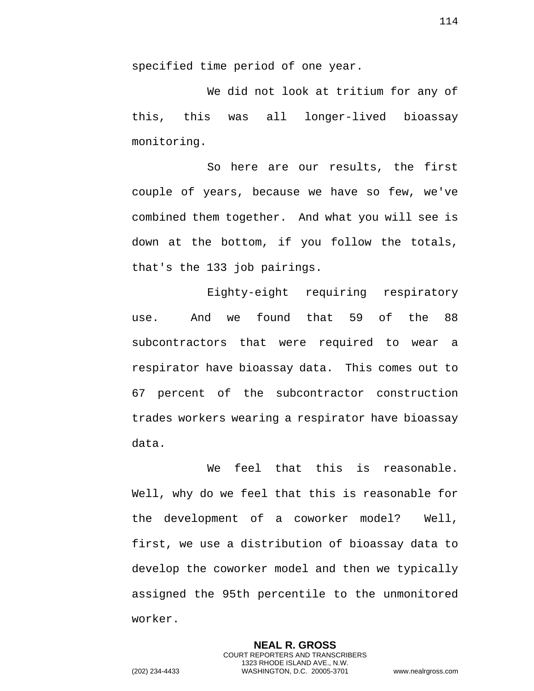specified time period of one year.

We did not look at tritium for any of this, this was all longer-lived bioassay monitoring.

So here are our results, the first couple of years, because we have so few, we've combined them together. And what you will see is down at the bottom, if you follow the totals, that's the 133 job pairings.

Eighty-eight requiring respiratory use. And we found that 59 of the 88 subcontractors that were required to wear a respirator have bioassay data. This comes out to 67 percent of the subcontractor construction trades workers wearing a respirator have bioassay data.

We feel that this is reasonable. Well, why do we feel that this is reasonable for the development of a coworker model? Well, first, we use a distribution of bioassay data to develop the coworker model and then we typically assigned the 95th percentile to the unmonitored worker.

> **NEAL R. GROSS** COURT REPORTERS AND TRANSCRIBERS 1323 RHODE ISLAND AVE., N.W.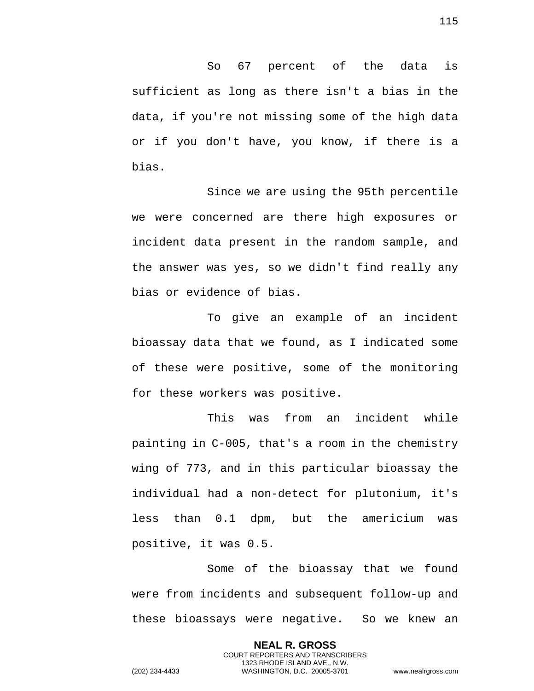So 67 percent of the data is sufficient as long as there isn't a bias in the data, if you're not missing some of the high data or if you don't have, you know, if there is a bias.

Since we are using the 95th percentile we were concerned are there high exposures or incident data present in the random sample, and the answer was yes, so we didn't find really any bias or evidence of bias.

To give an example of an incident bioassay data that we found, as I indicated some of these were positive, some of the monitoring for these workers was positive.

This was from an incident while painting in C-005, that's a room in the chemistry wing of 773, and in this particular bioassay the individual had a non-detect for plutonium, it's less than 0.1 dpm, but the americium was positive, it was 0.5.

Some of the bioassay that we found were from incidents and subsequent follow-up and these bioassays were negative. So we knew an

> **NEAL R. GROSS** COURT REPORTERS AND TRANSCRIBERS 1323 RHODE ISLAND AVE., N.W.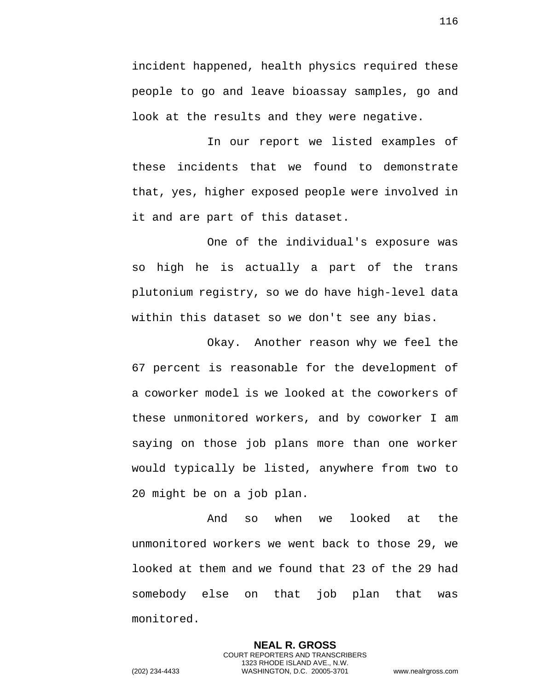incident happened, health physics required these people to go and leave bioassay samples, go and look at the results and they were negative.

In our report we listed examples of these incidents that we found to demonstrate that, yes, higher exposed people were involved in it and are part of this dataset.

One of the individual's exposure was so high he is actually a part of the trans plutonium registry, so we do have high-level data within this dataset so we don't see any bias.

Okay. Another reason why we feel the 67 percent is reasonable for the development of a coworker model is we looked at the coworkers of these unmonitored workers, and by coworker I am saying on those job plans more than one worker would typically be listed, anywhere from two to 20 might be on a job plan.

And so when we looked at the unmonitored workers we went back to those 29, we looked at them and we found that 23 of the 29 had somebody else on that job plan that was monitored.

> **NEAL R. GROSS** COURT REPORTERS AND TRANSCRIBERS 1323 RHODE ISLAND AVE., N.W.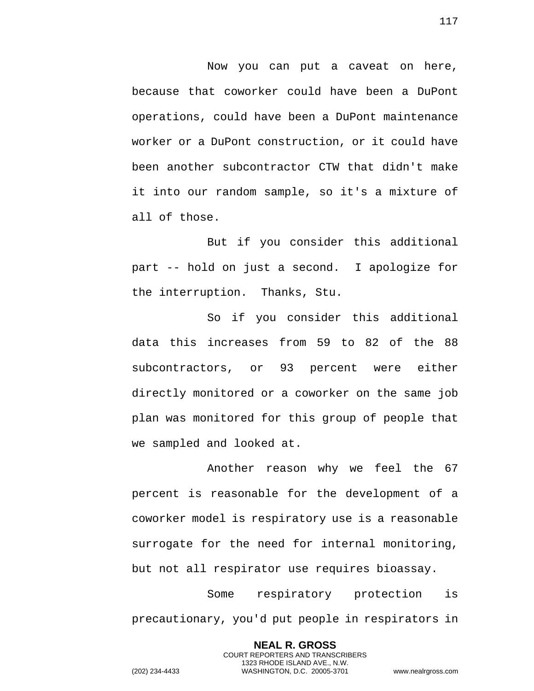Now you can put a caveat on here, because that coworker could have been a DuPont operations, could have been a DuPont maintenance worker or a DuPont construction, or it could have been another subcontractor CTW that didn't make it into our random sample, so it's a mixture of all of those.

But if you consider this additional part -- hold on just a second. I apologize for the interruption. Thanks, Stu.

So if you consider this additional data this increases from 59 to 82 of the 88 subcontractors, or 93 percent were either directly monitored or a coworker on the same job plan was monitored for this group of people that we sampled and looked at.

Another reason why we feel the 67 percent is reasonable for the development of a coworker model is respiratory use is a reasonable surrogate for the need for internal monitoring, but not all respirator use requires bioassay.

Some respiratory protection is precautionary, you'd put people in respirators in

> **NEAL R. GROSS** COURT REPORTERS AND TRANSCRIBERS 1323 RHODE ISLAND AVE., N.W.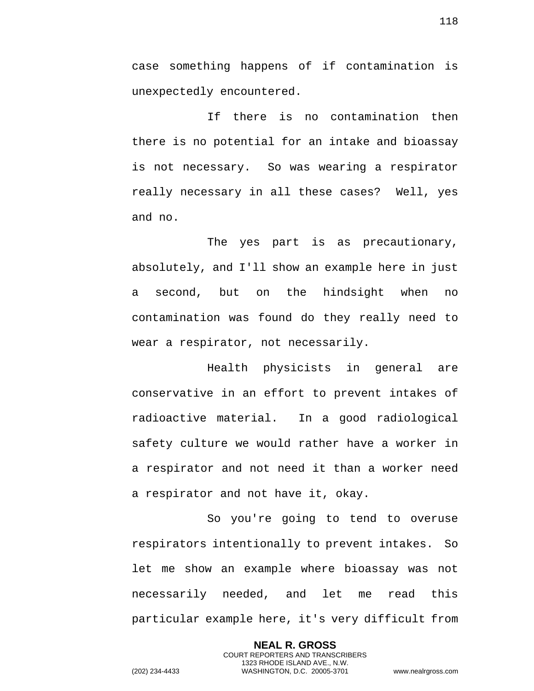case something happens of if contamination is unexpectedly encountered.

If there is no contamination then there is no potential for an intake and bioassay is not necessary. So was wearing a respirator really necessary in all these cases? Well, yes and no.

The yes part is as precautionary, absolutely, and I'll show an example here in just a second, but on the hindsight when no contamination was found do they really need to wear a respirator, not necessarily.

Health physicists in general are conservative in an effort to prevent intakes of radioactive material. In a good radiological safety culture we would rather have a worker in a respirator and not need it than a worker need a respirator and not have it, okay.

So you're going to tend to overuse respirators intentionally to prevent intakes. So let me show an example where bioassay was not necessarily needed, and let me read this particular example here, it's very difficult from

> **NEAL R. GROSS** COURT REPORTERS AND TRANSCRIBERS 1323 RHODE ISLAND AVE., N.W.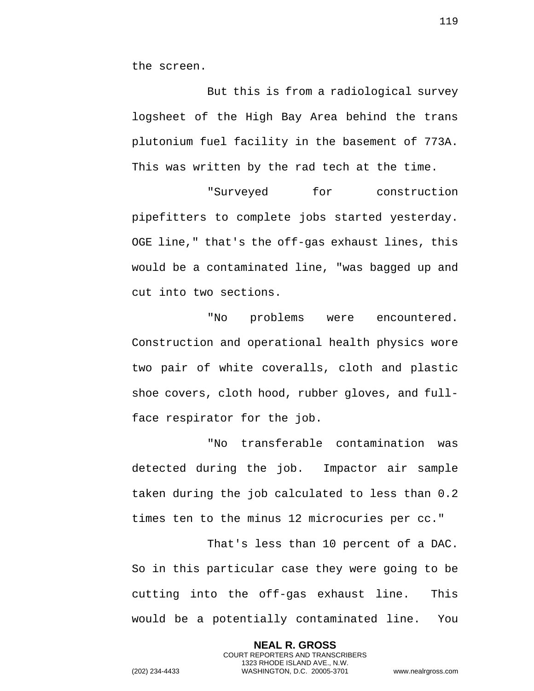the screen.

But this is from a radiological survey logsheet of the High Bay Area behind the trans plutonium fuel facility in the basement of 773A. This was written by the rad tech at the time.

"Surveyed for construction pipefitters to complete jobs started yesterday. OGE line," that's the off-gas exhaust lines, this would be a contaminated line, "was bagged up and cut into two sections.

"No problems were encountered. Construction and operational health physics wore two pair of white coveralls, cloth and plastic shoe covers, cloth hood, rubber gloves, and fullface respirator for the job.

"No transferable contamination was detected during the job. Impactor air sample taken during the job calculated to less than 0.2 times ten to the minus 12 microcuries per cc."

That's less than 10 percent of a DAC. So in this particular case they were going to be cutting into the off-gas exhaust line. This would be a potentially contaminated line. You

> **NEAL R. GROSS** COURT REPORTERS AND TRANSCRIBERS 1323 RHODE ISLAND AVE., N.W.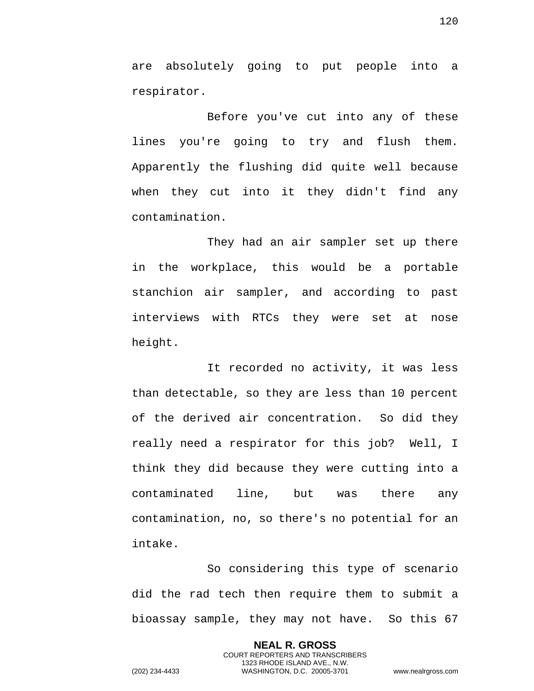are absolutely going to put people into a respirator.

Before you've cut into any of these lines you're going to try and flush them. Apparently the flushing did quite well because when they cut into it they didn't find any contamination.

They had an air sampler set up there in the workplace, this would be a portable stanchion air sampler, and according to past interviews with RTCs they were set at nose height.

It recorded no activity, it was less than detectable, so they are less than 10 percent of the derived air concentration. So did they really need a respirator for this job? Well, I think they did because they were cutting into a contaminated line, but was there any contamination, no, so there's no potential for an intake.

So considering this type of scenario did the rad tech then require them to submit a bioassay sample, they may not have. So this 67

> **NEAL R. GROSS** COURT REPORTERS AND TRANSCRIBERS 1323 RHODE ISLAND AVE., N.W.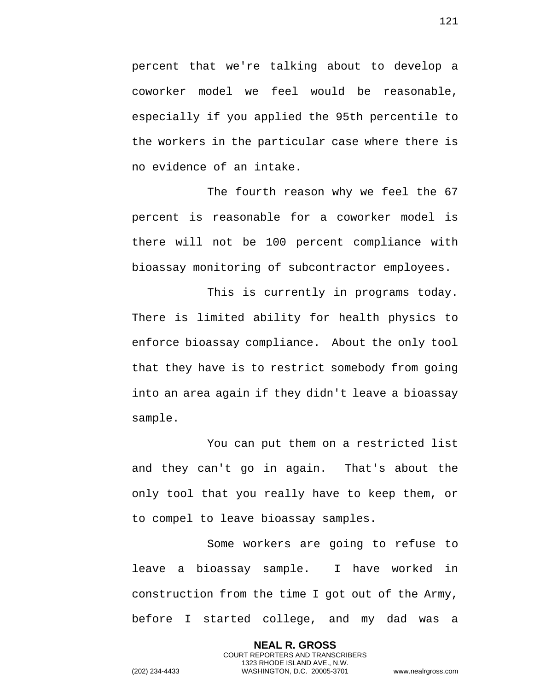percent that we're talking about to develop a coworker model we feel would be reasonable, especially if you applied the 95th percentile to the workers in the particular case where there is no evidence of an intake.

The fourth reason why we feel the 67 percent is reasonable for a coworker model is there will not be 100 percent compliance with bioassay monitoring of subcontractor employees.

This is currently in programs today. There is limited ability for health physics to enforce bioassay compliance. About the only tool that they have is to restrict somebody from going into an area again if they didn't leave a bioassay sample.

You can put them on a restricted list and they can't go in again. That's about the only tool that you really have to keep them, or to compel to leave bioassay samples.

Some workers are going to refuse to leave a bioassay sample. I have worked in construction from the time I got out of the Army, before I started college, and my dad was a

> **NEAL R. GROSS** COURT REPORTERS AND TRANSCRIBERS 1323 RHODE ISLAND AVE., N.W.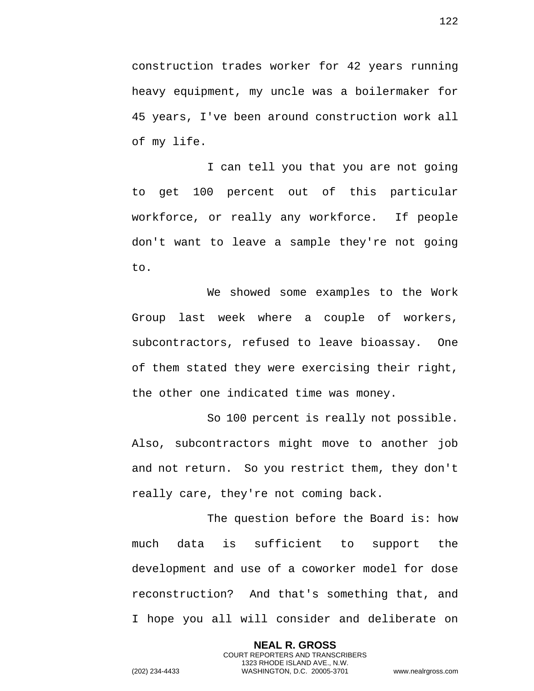construction trades worker for 42 years running heavy equipment, my uncle was a boilermaker for 45 years, I've been around construction work all of my life.

I can tell you that you are not going to get 100 percent out of this particular workforce, or really any workforce. If people don't want to leave a sample they're not going to.

We showed some examples to the Work Group last week where a couple of workers, subcontractors, refused to leave bioassay. One of them stated they were exercising their right, the other one indicated time was money.

So 100 percent is really not possible. Also, subcontractors might move to another job and not return. So you restrict them, they don't really care, they're not coming back.

The question before the Board is: how much data is sufficient to support the development and use of a coworker model for dose reconstruction? And that's something that, and I hope you all will consider and deliberate on

> **NEAL R. GROSS** COURT REPORTERS AND TRANSCRIBERS 1323 RHODE ISLAND AVE., N.W.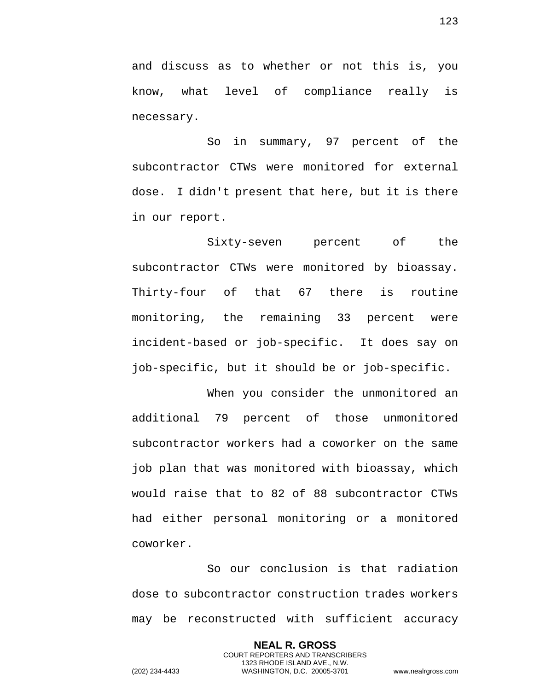and discuss as to whether or not this is, you know, what level of compliance really is necessary.

So in summary, 97 percent of the subcontractor CTWs were monitored for external dose. I didn't present that here, but it is there in our report.

Sixty-seven percent of the subcontractor CTWs were monitored by bioassay. Thirty-four of that 67 there is routine monitoring, the remaining 33 percent were incident-based or job-specific. It does say on job-specific, but it should be or job-specific.

When you consider the unmonitored an additional 79 percent of those unmonitored subcontractor workers had a coworker on the same job plan that was monitored with bioassay, which would raise that to 82 of 88 subcontractor CTWs had either personal monitoring or a monitored coworker.

So our conclusion is that radiation dose to subcontractor construction trades workers may be reconstructed with sufficient accuracy

> **NEAL R. GROSS** COURT REPORTERS AND TRANSCRIBERS 1323 RHODE ISLAND AVE., N.W.

123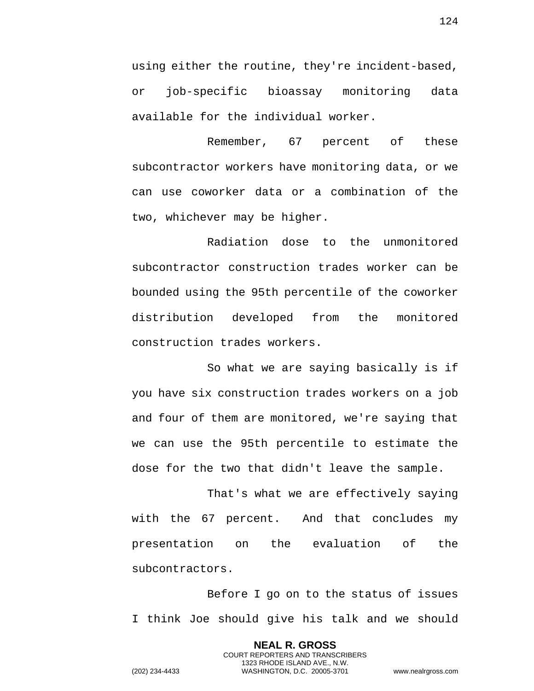using either the routine, they're incident-based, or job-specific bioassay monitoring data available for the individual worker.

Remember, 67 percent of these subcontractor workers have monitoring data, or we can use coworker data or a combination of the two, whichever may be higher.

Radiation dose to the unmonitored subcontractor construction trades worker can be bounded using the 95th percentile of the coworker distribution developed from the monitored construction trades workers.

So what we are saying basically is if you have six construction trades workers on a job and four of them are monitored, we're saying that we can use the 95th percentile to estimate the dose for the two that didn't leave the sample.

That's what we are effectively saying with the 67 percent. And that concludes my presentation on the evaluation of the subcontractors.

Before I go on to the status of issues I think Joe should give his talk and we should

> **NEAL R. GROSS** COURT REPORTERS AND TRANSCRIBERS 1323 RHODE ISLAND AVE., N.W.

124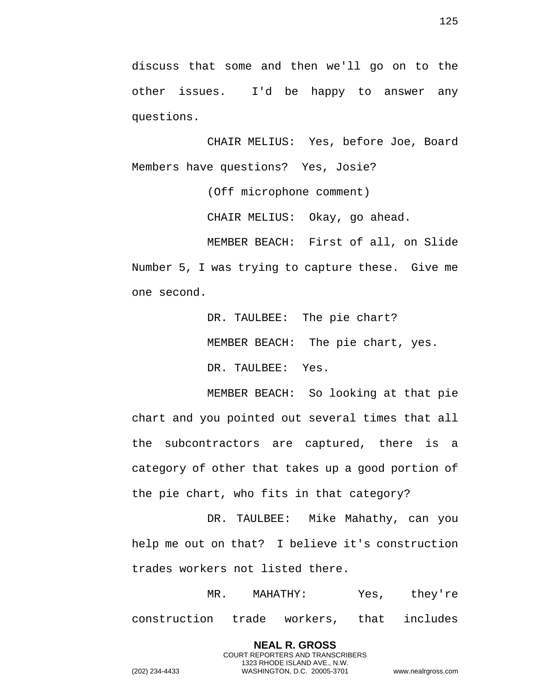discuss that some and then we'll go on to the other issues. I'd be happy to answer any questions.

CHAIR MELIUS: Yes, before Joe, Board Members have questions? Yes, Josie?

(Off microphone comment)

CHAIR MELIUS: Okay, go ahead.

MEMBER BEACH: First of all, on Slide Number 5, I was trying to capture these. Give me one second.

> DR. TAULBEE: The pie chart? MEMBER BEACH: The pie chart, yes. DR. TAULBEE: Yes.

MEMBER BEACH: So looking at that pie chart and you pointed out several times that all the subcontractors are captured, there is a category of other that takes up a good portion of the pie chart, who fits in that category?

DR. TAULBEE: Mike Mahathy, can you help me out on that? I believe it's construction trades workers not listed there.

MR. MAHATHY: Yes, they're construction trade workers, that includes

> **NEAL R. GROSS** COURT REPORTERS AND TRANSCRIBERS 1323 RHODE ISLAND AVE., N.W.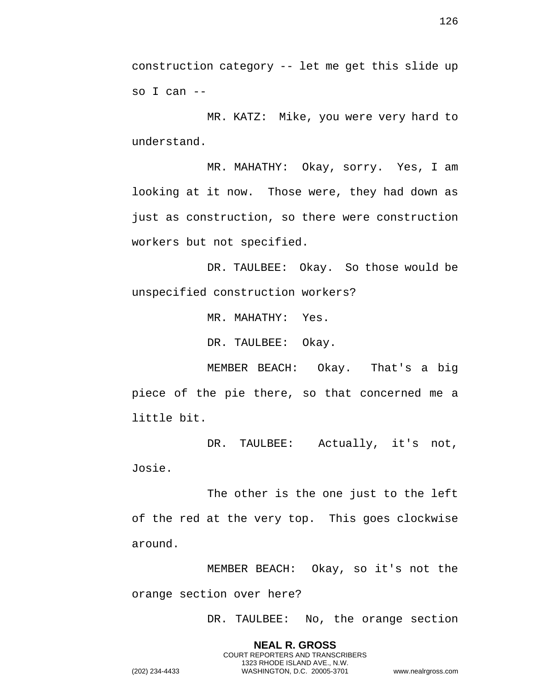construction category -- let me get this slide up so I can --

MR. KATZ: Mike, you were very hard to understand.

MR. MAHATHY: Okay, sorry. Yes, I am looking at it now. Those were, they had down as just as construction, so there were construction workers but not specified.

DR. TAULBEE: Okay. So those would be unspecified construction workers?

MR. MAHATHY: Yes.

DR. TAULBEE: Okay.

MEMBER BEACH: Okay. That's a big piece of the pie there, so that concerned me a little bit.

DR. TAULBEE: Actually, it's not, Josie.

The other is the one just to the left of the red at the very top. This goes clockwise around.

MEMBER BEACH: Okay, so it's not the orange section over here?

> **NEAL R. GROSS** COURT REPORTERS AND TRANSCRIBERS 1323 RHODE ISLAND AVE., N.W.

DR. TAULBEE: No, the orange section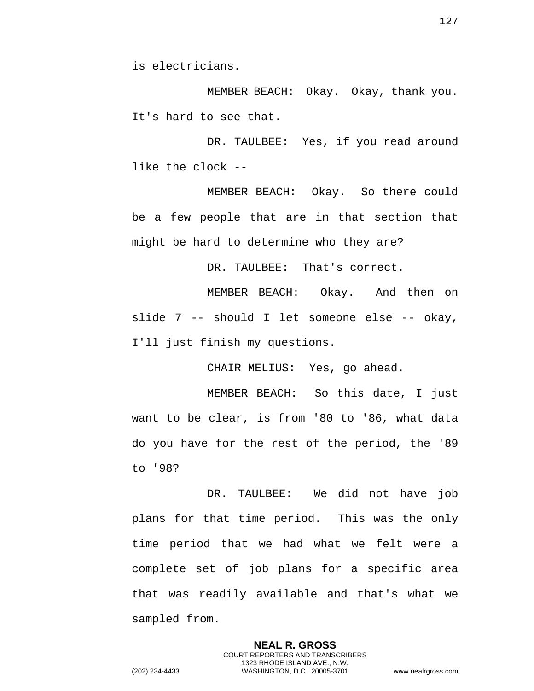is electricians.

MEMBER BEACH: Okay. Okay, thank you. It's hard to see that.

DR. TAULBEE: Yes, if you read around like the clock --

MEMBER BEACH: Okay. So there could be a few people that are in that section that might be hard to determine who they are?

DR. TAULBEE: That's correct.

MEMBER BEACH: Okay. And then on slide 7 -- should I let someone else -- okay, I'll just finish my questions.

CHAIR MELIUS: Yes, go ahead.

MEMBER BEACH: So this date, I just want to be clear, is from '80 to '86, what data do you have for the rest of the period, the '89 to '98?

DR. TAULBEE: We did not have job plans for that time period. This was the only time period that we had what we felt were a complete set of job plans for a specific area that was readily available and that's what we sampled from.

> **NEAL R. GROSS** COURT REPORTERS AND TRANSCRIBERS 1323 RHODE ISLAND AVE., N.W.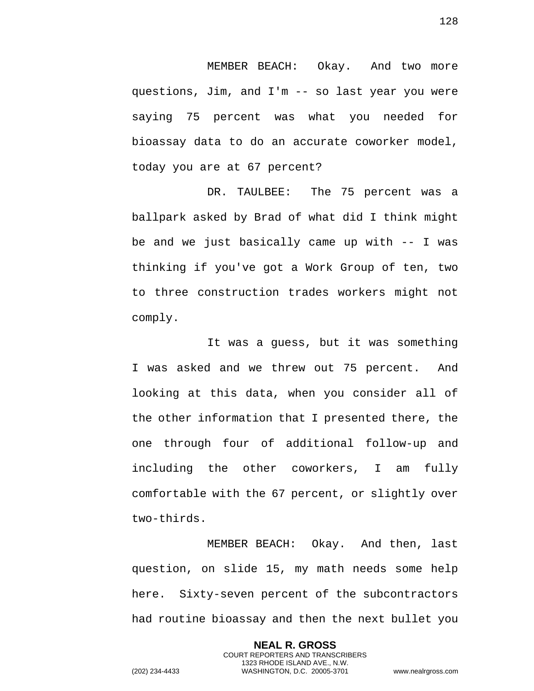MEMBER BEACH: Okay. And two more questions, Jim, and I'm -- so last year you were saying 75 percent was what you needed for bioassay data to do an accurate coworker model, today you are at 67 percent?

DR. TAULBEE: The 75 percent was a ballpark asked by Brad of what did I think might be and we just basically came up with -- I was thinking if you've got a Work Group of ten, two to three construction trades workers might not comply.

It was a guess, but it was something I was asked and we threw out 75 percent. And looking at this data, when you consider all of the other information that I presented there, the one through four of additional follow-up and including the other coworkers, I am fully comfortable with the 67 percent, or slightly over two-thirds.

MEMBER BEACH: Okay. And then, last question, on slide 15, my math needs some help here. Sixty-seven percent of the subcontractors had routine bioassay and then the next bullet you

> **NEAL R. GROSS** COURT REPORTERS AND TRANSCRIBERS 1323 RHODE ISLAND AVE., N.W.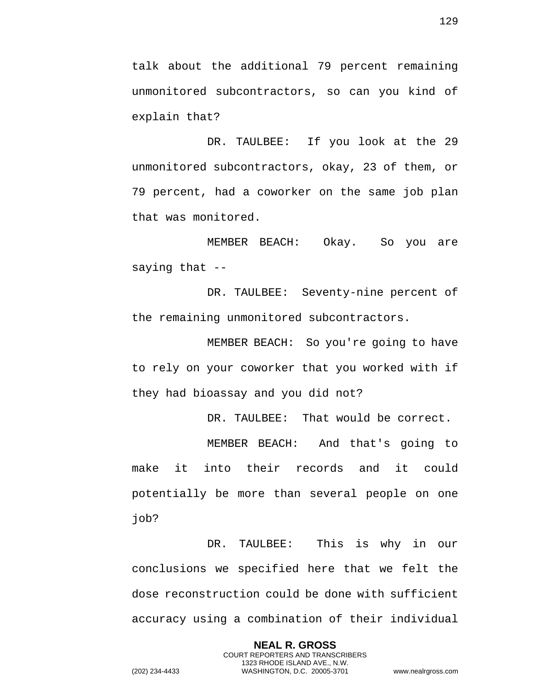talk about the additional 79 percent remaining unmonitored subcontractors, so can you kind of explain that?

DR. TAULBEE: If you look at the 29 unmonitored subcontractors, okay, 23 of them, or 79 percent, had a coworker on the same job plan that was monitored.

MEMBER BEACH: Okay. So you are saying that --

DR. TAULBEE: Seventy-nine percent of the remaining unmonitored subcontractors.

MEMBER BEACH: So you're going to have to rely on your coworker that you worked with if they had bioassay and you did not?

DR. TAULBEE: That would be correct.

MEMBER BEACH: And that's going to make it into their records and it could potentially be more than several people on one job?

DR. TAULBEE: This is why in our conclusions we specified here that we felt the dose reconstruction could be done with sufficient accuracy using a combination of their individual

> **NEAL R. GROSS** COURT REPORTERS AND TRANSCRIBERS 1323 RHODE ISLAND AVE., N.W.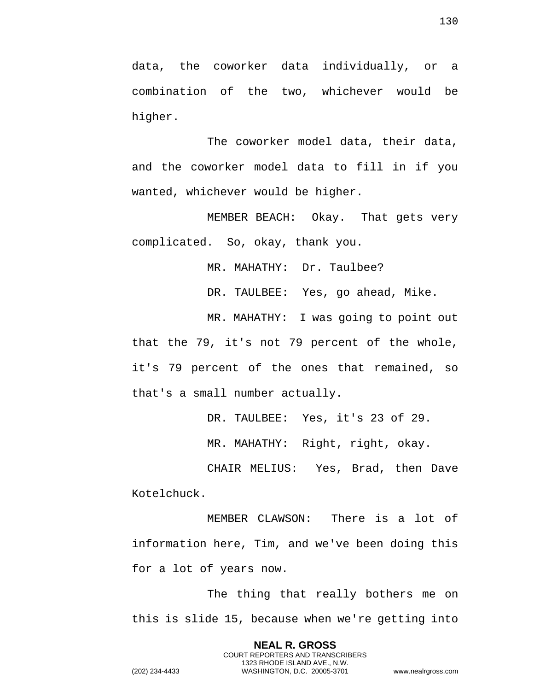data, the coworker data individually, or a combination of the two, whichever would be higher.

The coworker model data, their data, and the coworker model data to fill in if you wanted, whichever would be higher.

MEMBER BEACH: Okay. That gets very complicated. So, okay, thank you.

MR. MAHATHY: Dr. Taulbee?

DR. TAULBEE: Yes, go ahead, Mike.

MR. MAHATHY: I was going to point out that the 79, it's not 79 percent of the whole, it's 79 percent of the ones that remained, so that's a small number actually.

DR. TAULBEE: Yes, it's 23 of 29.

MR. MAHATHY: Right, right, okay.

CHAIR MELIUS: Yes, Brad, then Dave Kotelchuck.

MEMBER CLAWSON: There is a lot of information here, Tim, and we've been doing this for a lot of years now.

The thing that really bothers me on this is slide 15, because when we're getting into

> **NEAL R. GROSS** COURT REPORTERS AND TRANSCRIBERS 1323 RHODE ISLAND AVE., N.W.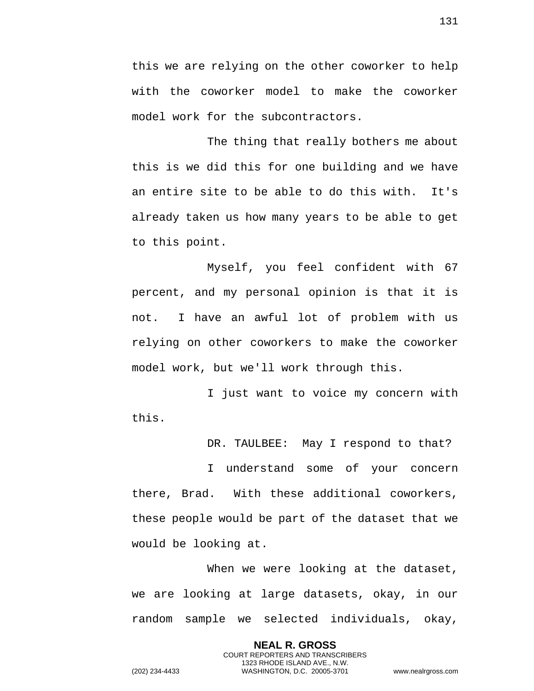this we are relying on the other coworker to help with the coworker model to make the coworker model work for the subcontractors.

The thing that really bothers me about this is we did this for one building and we have an entire site to be able to do this with. It's already taken us how many years to be able to get to this point.

Myself, you feel confident with 67 percent, and my personal opinion is that it is not. I have an awful lot of problem with us relying on other coworkers to make the coworker model work, but we'll work through this.

I just want to voice my concern with this.

DR. TAULBEE: May I respond to that?

I understand some of your concern there, Brad. With these additional coworkers, these people would be part of the dataset that we would be looking at.

When we were looking at the dataset, we are looking at large datasets, okay, in our random sample we selected individuals, okay,

> **NEAL R. GROSS** COURT REPORTERS AND TRANSCRIBERS 1323 RHODE ISLAND AVE., N.W.

131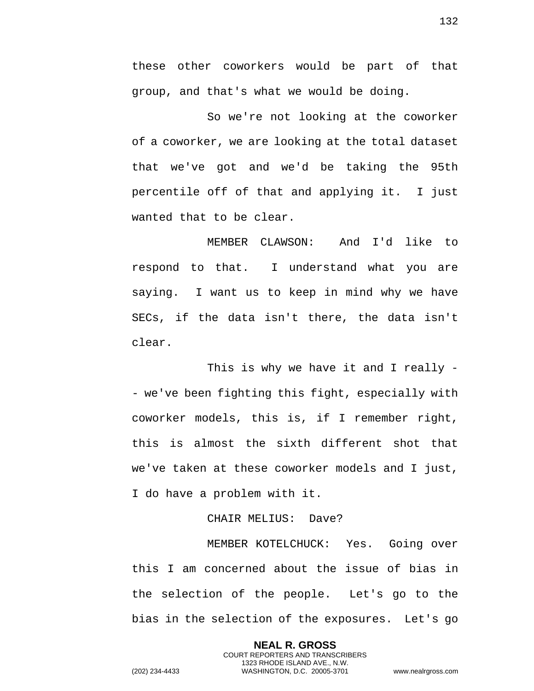these other coworkers would be part of that group, and that's what we would be doing.

So we're not looking at the coworker of a coworker, we are looking at the total dataset that we've got and we'd be taking the 95th percentile off of that and applying it. I just wanted that to be clear.

MEMBER CLAWSON: And I'd like to respond to that. I understand what you are saying. I want us to keep in mind why we have SECs, if the data isn't there, the data isn't clear.

This is why we have it and I really - - we've been fighting this fight, especially with coworker models, this is, if I remember right, this is almost the sixth different shot that we've taken at these coworker models and I just, I do have a problem with it.

## CHAIR MELIUS: Dave?

MEMBER KOTELCHUCK: Yes. Going over this I am concerned about the issue of bias in the selection of the people. Let's go to the bias in the selection of the exposures. Let's go

> **NEAL R. GROSS** COURT REPORTERS AND TRANSCRIBERS 1323 RHODE ISLAND AVE., N.W.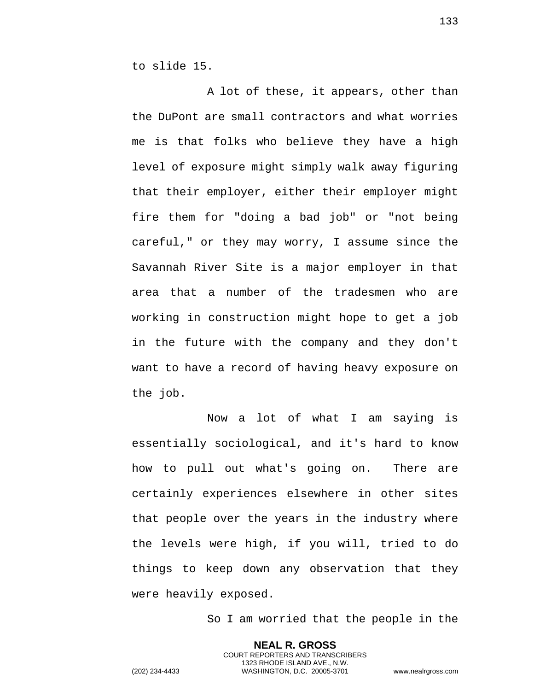to slide 15.

A lot of these, it appears, other than the DuPont are small contractors and what worries me is that folks who believe they have a high level of exposure might simply walk away figuring that their employer, either their employer might fire them for "doing a bad job" or "not being careful," or they may worry, I assume since the Savannah River Site is a major employer in that area that a number of the tradesmen who are working in construction might hope to get a job in the future with the company and they don't want to have a record of having heavy exposure on the job.

Now a lot of what I am saying is essentially sociological, and it's hard to know how to pull out what's going on. There are certainly experiences elsewhere in other sites that people over the years in the industry where the levels were high, if you will, tried to do things to keep down any observation that they were heavily exposed.

So I am worried that the people in the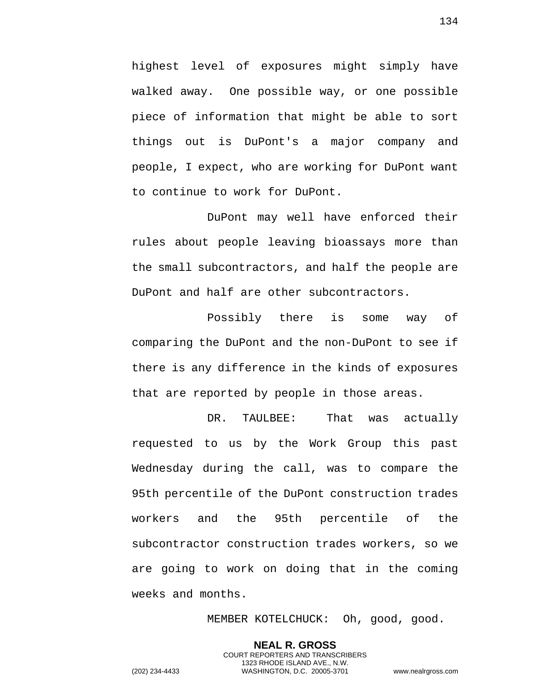highest level of exposures might simply have walked away. One possible way, or one possible piece of information that might be able to sort things out is DuPont's a major company and people, I expect, who are working for DuPont want to continue to work for DuPont.

DuPont may well have enforced their rules about people leaving bioassays more than the small subcontractors, and half the people are DuPont and half are other subcontractors.

Possibly there is some way of comparing the DuPont and the non-DuPont to see if there is any difference in the kinds of exposures that are reported by people in those areas.

DR. TAULBEE: That was actually requested to us by the Work Group this past Wednesday during the call, was to compare the 95th percentile of the DuPont construction trades workers and the 95th percentile of the subcontractor construction trades workers, so we are going to work on doing that in the coming weeks and months.

> **NEAL R. GROSS** COURT REPORTERS AND TRANSCRIBERS 1323 RHODE ISLAND AVE., N.W.

MEMBER KOTELCHUCK: Oh, good, good.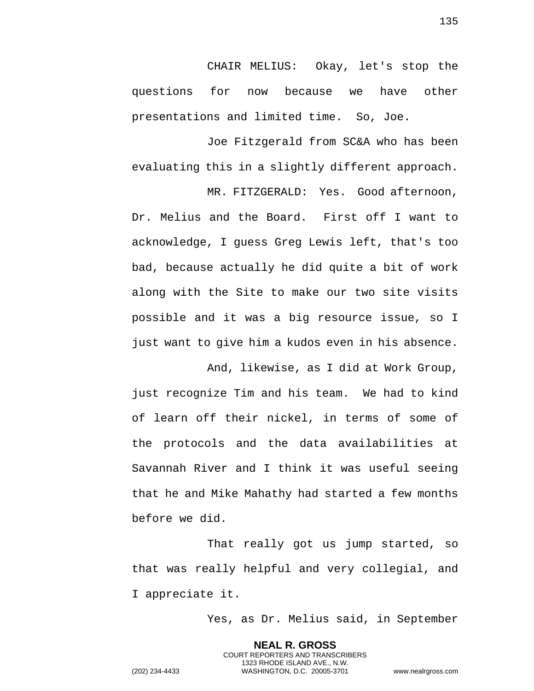CHAIR MELIUS: Okay, let's stop the questions for now because we have other presentations and limited time. So, Joe.

Joe Fitzgerald from SC&A who has been evaluating this in a slightly different approach.

MR. FITZGERALD: Yes. Good afternoon, Dr. Melius and the Board. First off I want to acknowledge, I guess Greg Lewis left, that's too bad, because actually he did quite a bit of work along with the Site to make our two site visits possible and it was a big resource issue, so I just want to give him a kudos even in his absence.

And, likewise, as I did at Work Group, just recognize Tim and his team. We had to kind of learn off their nickel, in terms of some of the protocols and the data availabilities at Savannah River and I think it was useful seeing that he and Mike Mahathy had started a few months before we did.

That really got us jump started, so that was really helpful and very collegial, and I appreciate it.

Yes, as Dr. Melius said, in September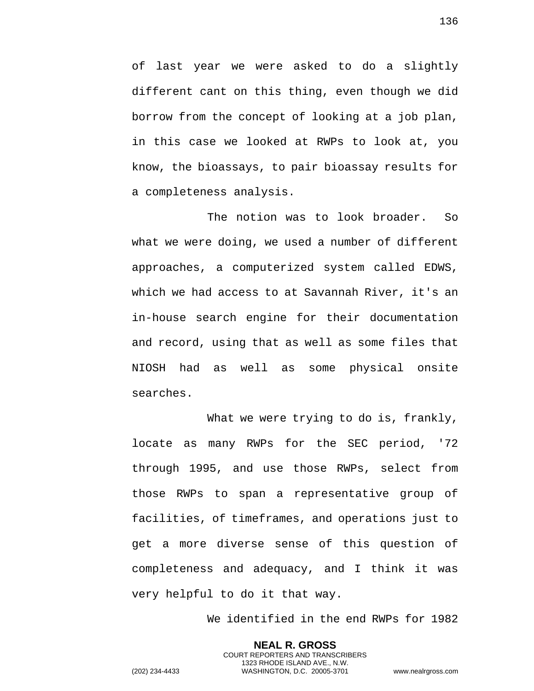of last year we were asked to do a slightly different cant on this thing, even though we did borrow from the concept of looking at a job plan, in this case we looked at RWPs to look at, you know, the bioassays, to pair bioassay results for a completeness analysis.

The notion was to look broader. So what we were doing, we used a number of different approaches, a computerized system called EDWS, which we had access to at Savannah River, it's an in-house search engine for their documentation and record, using that as well as some files that NIOSH had as well as some physical onsite searches.

What we were trying to do is, frankly, locate as many RWPs for the SEC period, '72 through 1995, and use those RWPs, select from those RWPs to span a representative group of facilities, of timeframes, and operations just to get a more diverse sense of this question of completeness and adequacy, and I think it was very helpful to do it that way.

We identified in the end RWPs for 1982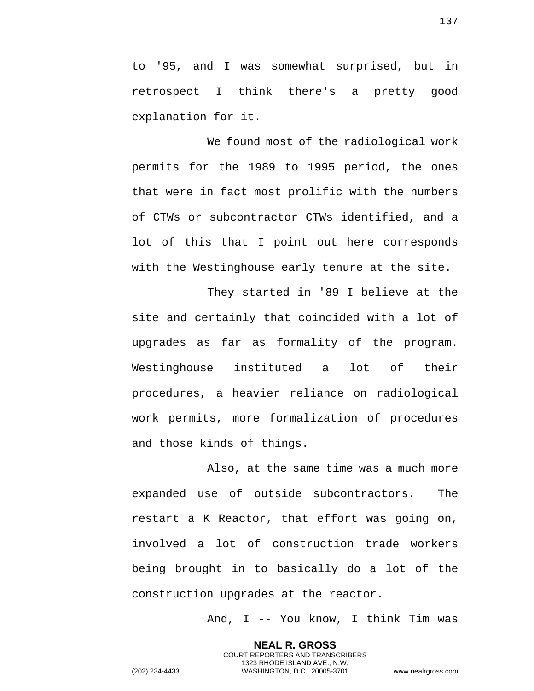to '95, and I was somewhat surprised, but in retrospect I think there's a pretty good explanation for it.

We found most of the radiological work permits for the 1989 to 1995 period, the ones that were in fact most prolific with the numbers of CTWs or subcontractor CTWs identified, and a lot of this that I point out here corresponds with the Westinghouse early tenure at the site.

They started in '89 I believe at the site and certainly that coincided with a lot of upgrades as far as formality of the program. Westinghouse instituted a lot of their procedures, a heavier reliance on radiological work permits, more formalization of procedures and those kinds of things.

Also, at the same time was a much more expanded use of outside subcontractors. The restart a K Reactor, that effort was going on, involved a lot of construction trade workers being brought in to basically do a lot of the construction upgrades at the reactor.

> **NEAL R. GROSS** COURT REPORTERS AND TRANSCRIBERS 1323 RHODE ISLAND AVE., N.W.

And, I -- You know, I think Tim was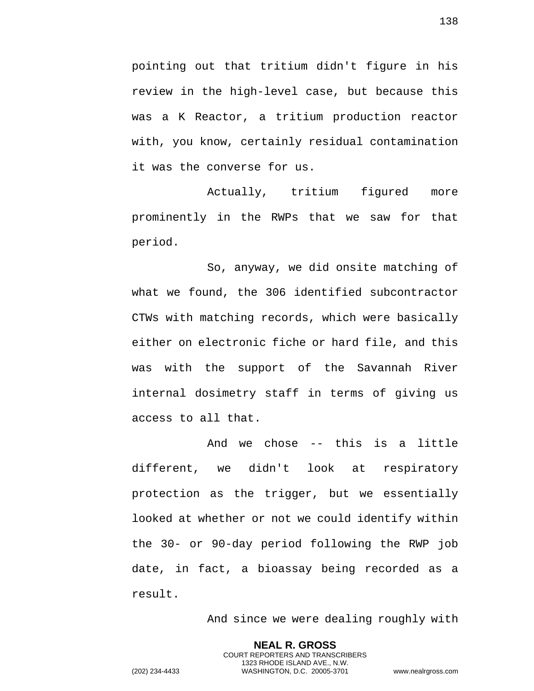pointing out that tritium didn't figure in his review in the high-level case, but because this was a K Reactor, a tritium production reactor with, you know, certainly residual contamination it was the converse for us.

Actually, tritium figured more prominently in the RWPs that we saw for that period.

So, anyway, we did onsite matching of what we found, the 306 identified subcontractor CTWs with matching records, which were basically either on electronic fiche or hard file, and this was with the support of the Savannah River internal dosimetry staff in terms of giving us access to all that.

And we chose -- this is a little different, we didn't look at respiratory protection as the trigger, but we essentially looked at whether or not we could identify within the 30- or 90-day period following the RWP job date, in fact, a bioassay being recorded as a result.

> **NEAL R. GROSS** COURT REPORTERS AND TRANSCRIBERS 1323 RHODE ISLAND AVE., N.W.

And since we were dealing roughly with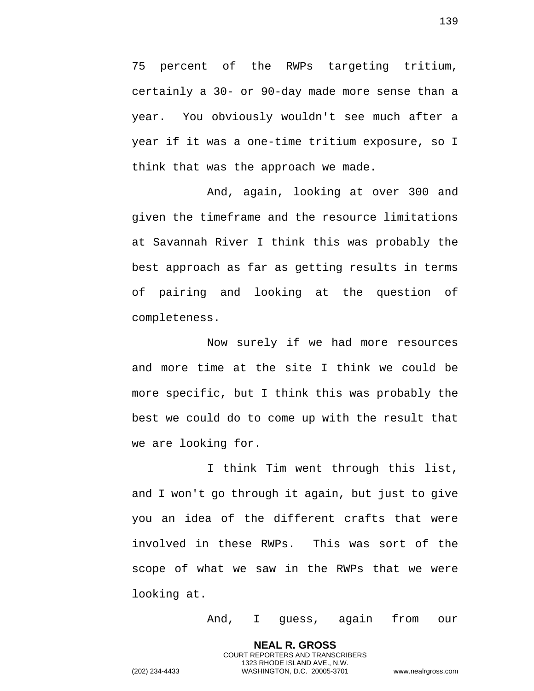75 percent of the RWPs targeting tritium, certainly a 30- or 90-day made more sense than a year. You obviously wouldn't see much after a year if it was a one-time tritium exposure, so I think that was the approach we made.

And, again, looking at over 300 and given the timeframe and the resource limitations at Savannah River I think this was probably the best approach as far as getting results in terms of pairing and looking at the question of completeness.

Now surely if we had more resources and more time at the site I think we could be more specific, but I think this was probably the best we could do to come up with the result that we are looking for.

I think Tim went through this list, and I won't go through it again, but just to give you an idea of the different crafts that were involved in these RWPs. This was sort of the scope of what we saw in the RWPs that we were looking at.

> **NEAL R. GROSS** COURT REPORTERS AND TRANSCRIBERS

And, I guess, again from our

1323 RHODE ISLAND AVE., N.W. (202) 234-4433 WASHINGTON, D.C. 20005-3701 www.nealrgross.com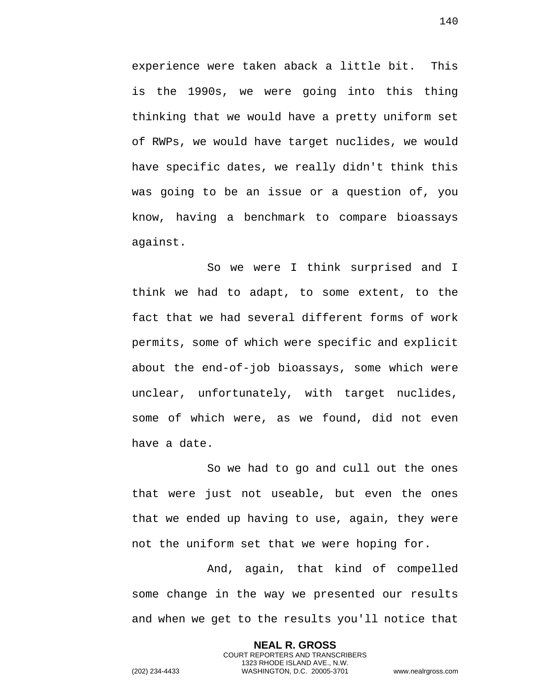experience were taken aback a little bit. This is the 1990s, we were going into this thing thinking that we would have a pretty uniform set of RWPs, we would have target nuclides, we would have specific dates, we really didn't think this was going to be an issue or a question of, you know, having a benchmark to compare bioassays against.

So we were I think surprised and I think we had to adapt, to some extent, to the fact that we had several different forms of work permits, some of which were specific and explicit about the end-of-job bioassays, some which were unclear, unfortunately, with target nuclides, some of which were, as we found, did not even have a date.

So we had to go and cull out the ones that were just not useable, but even the ones that we ended up having to use, again, they were not the uniform set that we were hoping for.

And, again, that kind of compelled some change in the way we presented our results and when we get to the results you'll notice that

> **NEAL R. GROSS** COURT REPORTERS AND TRANSCRIBERS 1323 RHODE ISLAND AVE., N.W.

140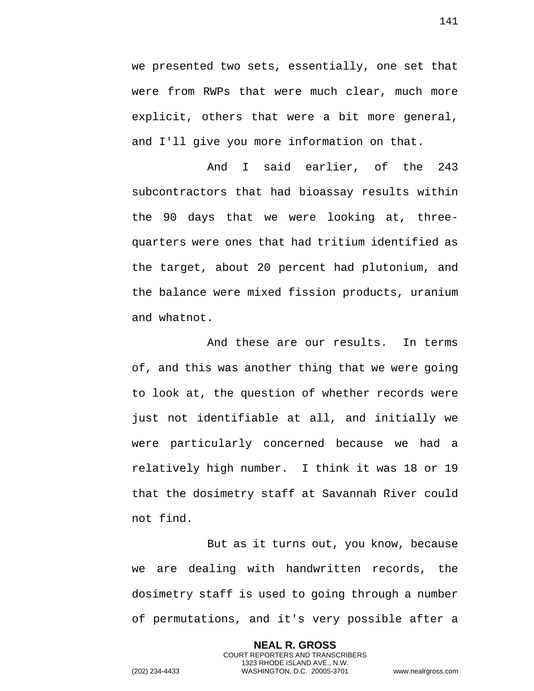we presented two sets, essentially, one set that were from RWPs that were much clear, much more explicit, others that were a bit more general, and I'll give you more information on that.

And I said earlier, of the 243 subcontractors that had bioassay results within the 90 days that we were looking at, threequarters were ones that had tritium identified as the target, about 20 percent had plutonium, and the balance were mixed fission products, uranium and whatnot.

And these are our results. In terms of, and this was another thing that we were going to look at, the question of whether records were just not identifiable at all, and initially we were particularly concerned because we had a relatively high number. I think it was 18 or 19 that the dosimetry staff at Savannah River could not find.

But as it turns out, you know, because we are dealing with handwritten records, the dosimetry staff is used to going through a number of permutations, and it's very possible after a

> **NEAL R. GROSS** COURT REPORTERS AND TRANSCRIBERS 1323 RHODE ISLAND AVE., N.W.

141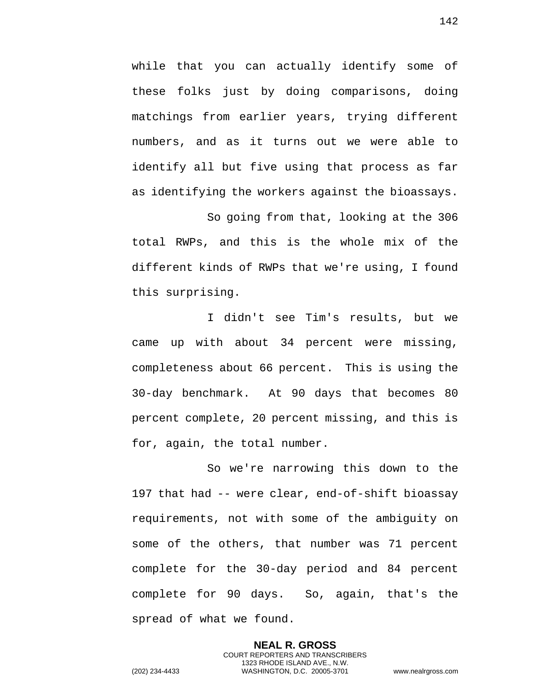while that you can actually identify some of these folks just by doing comparisons, doing matchings from earlier years, trying different numbers, and as it turns out we were able to identify all but five using that process as far as identifying the workers against the bioassays.

So going from that, looking at the 306 total RWPs, and this is the whole mix of the different kinds of RWPs that we're using, I found this surprising.

I didn't see Tim's results, but we came up with about 34 percent were missing, completeness about 66 percent. This is using the 30-day benchmark. At 90 days that becomes 80 percent complete, 20 percent missing, and this is for, again, the total number.

So we're narrowing this down to the 197 that had -- were clear, end-of-shift bioassay requirements, not with some of the ambiguity on some of the others, that number was 71 percent complete for the 30-day period and 84 percent complete for 90 days. So, again, that's the spread of what we found.

> **NEAL R. GROSS** COURT REPORTERS AND TRANSCRIBERS 1323 RHODE ISLAND AVE., N.W.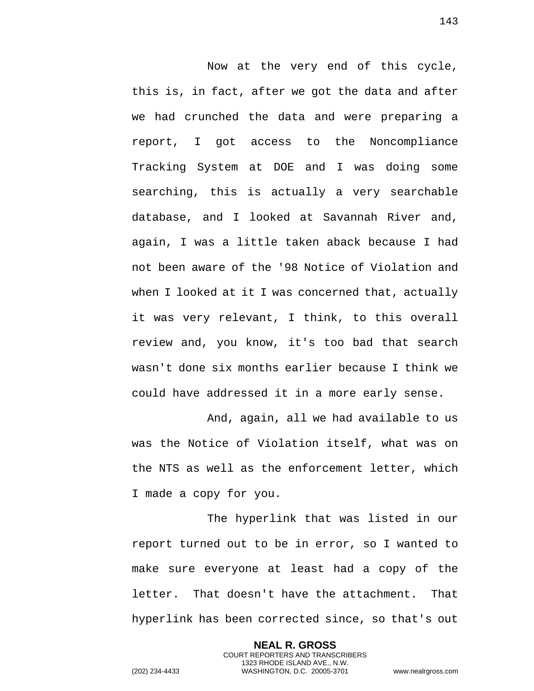Now at the very end of this cycle, this is, in fact, after we got the data and after we had crunched the data and were preparing a report, I got access to the Noncompliance Tracking System at DOE and I was doing some searching, this is actually a very searchable database, and I looked at Savannah River and, again, I was a little taken aback because I had not been aware of the '98 Notice of Violation and when I looked at it I was concerned that, actually it was very relevant, I think, to this overall review and, you know, it's too bad that search wasn't done six months earlier because I think we could have addressed it in a more early sense.

And, again, all we had available to us was the Notice of Violation itself, what was on the NTS as well as the enforcement letter, which I made a copy for you.

The hyperlink that was listed in our report turned out to be in error, so I wanted to make sure everyone at least had a copy of the letter. That doesn't have the attachment. That hyperlink has been corrected since, so that's out

> **NEAL R. GROSS** COURT REPORTERS AND TRANSCRIBERS 1323 RHODE ISLAND AVE., N.W.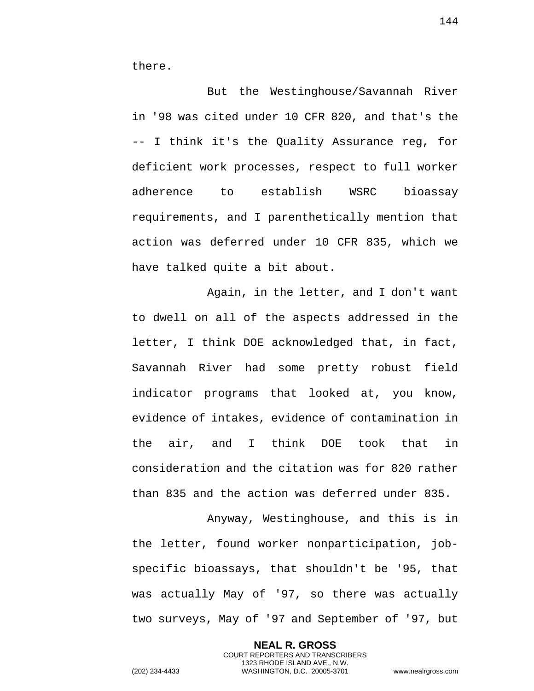there.

But the Westinghouse/Savannah River in '98 was cited under 10 CFR 820, and that's the -- I think it's the Quality Assurance reg, for deficient work processes, respect to full worker adherence to establish WSRC bioassay requirements, and I parenthetically mention that action was deferred under 10 CFR 835, which we have talked quite a bit about.

Again, in the letter, and I don't want to dwell on all of the aspects addressed in the letter, I think DOE acknowledged that, in fact, Savannah River had some pretty robust field indicator programs that looked at, you know, evidence of intakes, evidence of contamination in the air, and I think DOE took that in consideration and the citation was for 820 rather than 835 and the action was deferred under 835.

Anyway, Westinghouse, and this is in the letter, found worker nonparticipation, jobspecific bioassays, that shouldn't be '95, that was actually May of '97, so there was actually two surveys, May of '97 and September of '97, but

> **NEAL R. GROSS** COURT REPORTERS AND TRANSCRIBERS 1323 RHODE ISLAND AVE., N.W.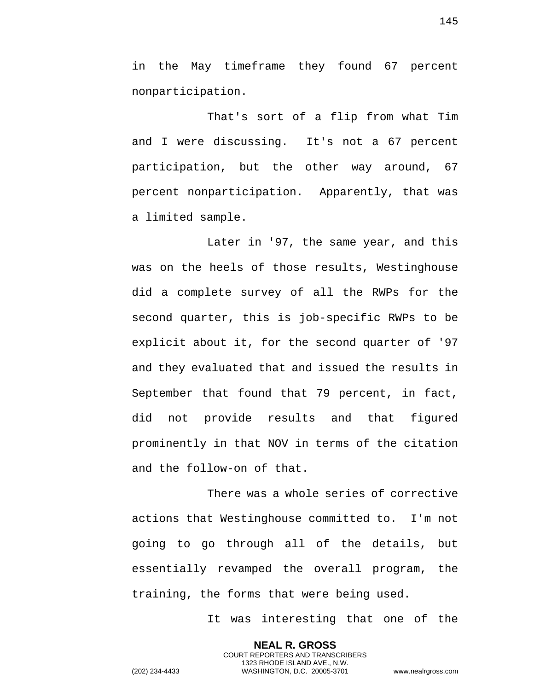in the May timeframe they found 67 percent nonparticipation.

That's sort of a flip from what Tim and I were discussing. It's not a 67 percent participation, but the other way around, 67 percent nonparticipation. Apparently, that was a limited sample.

Later in '97, the same year, and this was on the heels of those results, Westinghouse did a complete survey of all the RWPs for the second quarter, this is job-specific RWPs to be explicit about it, for the second quarter of '97 and they evaluated that and issued the results in September that found that 79 percent, in fact, did not provide results and that figured prominently in that NOV in terms of the citation and the follow-on of that.

There was a whole series of corrective actions that Westinghouse committed to. I'm not going to go through all of the details, but essentially revamped the overall program, the training, the forms that were being used.

> **NEAL R. GROSS** COURT REPORTERS AND TRANSCRIBERS 1323 RHODE ISLAND AVE., N.W.

It was interesting that one of the

145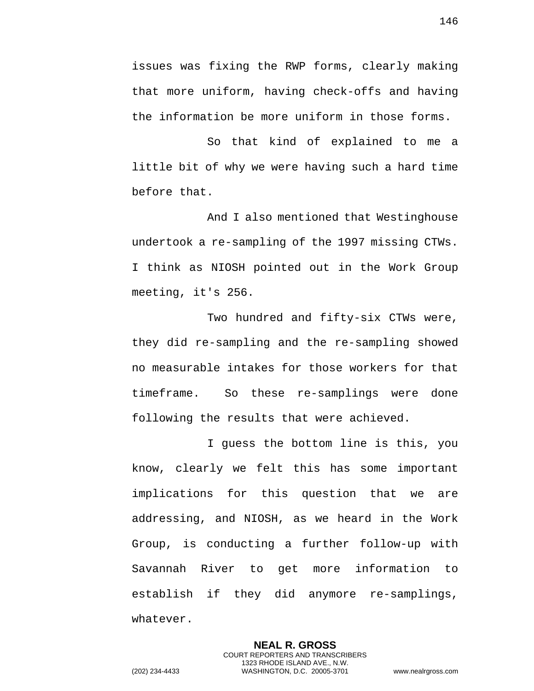issues was fixing the RWP forms, clearly making that more uniform, having check-offs and having the information be more uniform in those forms.

So that kind of explained to me a little bit of why we were having such a hard time before that.

And I also mentioned that Westinghouse undertook a re-sampling of the 1997 missing CTWs. I think as NIOSH pointed out in the Work Group meeting, it's 256.

Two hundred and fifty-six CTWs were, they did re-sampling and the re-sampling showed no measurable intakes for those workers for that timeframe. So these re-samplings were done following the results that were achieved.

I guess the bottom line is this, you know, clearly we felt this has some important implications for this question that we are addressing, and NIOSH, as we heard in the Work Group, is conducting a further follow-up with Savannah River to get more information to establish if they did anymore re-samplings, whatever.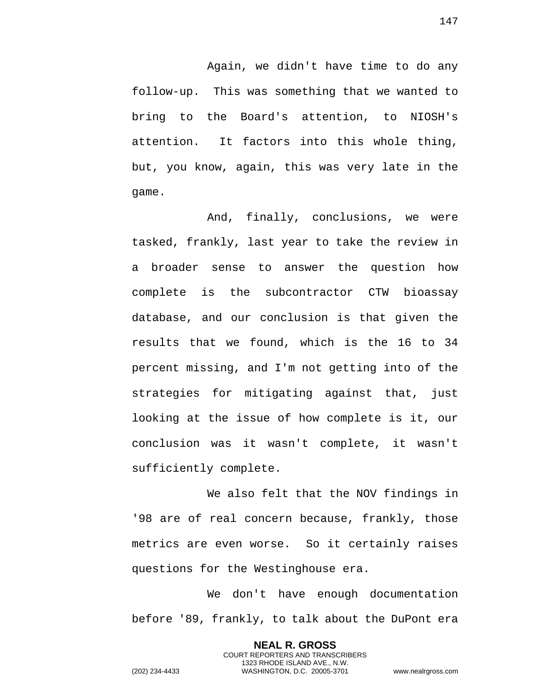Again, we didn't have time to do any follow-up. This was something that we wanted to bring to the Board's attention, to NIOSH's attention. It factors into this whole thing, but, you know, again, this was very late in the game.

And, finally, conclusions, we were tasked, frankly, last year to take the review in a broader sense to answer the question how complete is the subcontractor CTW bioassay database, and our conclusion is that given the results that we found, which is the 16 to 34 percent missing, and I'm not getting into of the strategies for mitigating against that, just looking at the issue of how complete is it, our conclusion was it wasn't complete, it wasn't sufficiently complete.

We also felt that the NOV findings in '98 are of real concern because, frankly, those metrics are even worse. So it certainly raises questions for the Westinghouse era.

We don't have enough documentation before '89, frankly, to talk about the DuPont era

> **NEAL R. GROSS** COURT REPORTERS AND TRANSCRIBERS 1323 RHODE ISLAND AVE., N.W.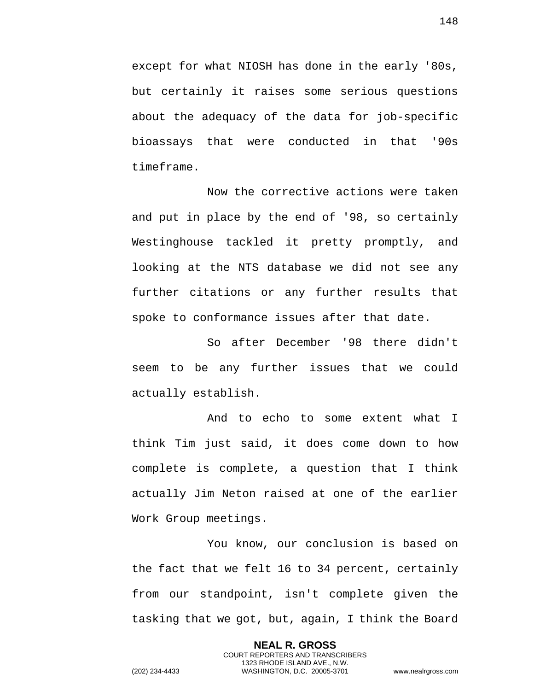except for what NIOSH has done in the early '80s, but certainly it raises some serious questions about the adequacy of the data for job-specific bioassays that were conducted in that '90s timeframe.

Now the corrective actions were taken and put in place by the end of '98, so certainly Westinghouse tackled it pretty promptly, and looking at the NTS database we did not see any further citations or any further results that spoke to conformance issues after that date.

So after December '98 there didn't seem to be any further issues that we could actually establish.

And to echo to some extent what I think Tim just said, it does come down to how complete is complete, a question that I think actually Jim Neton raised at one of the earlier Work Group meetings.

You know, our conclusion is based on the fact that we felt 16 to 34 percent, certainly from our standpoint, isn't complete given the tasking that we got, but, again, I think the Board

> **NEAL R. GROSS** COURT REPORTERS AND TRANSCRIBERS 1323 RHODE ISLAND AVE., N.W.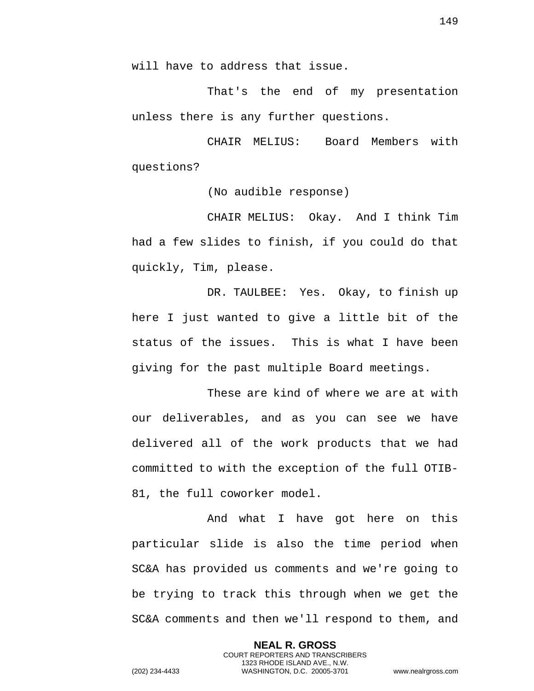will have to address that issue.

That's the end of my presentation unless there is any further questions.

CHAIR MELIUS: Board Members with questions?

(No audible response)

CHAIR MELIUS: Okay. And I think Tim had a few slides to finish, if you could do that quickly, Tim, please.

DR. TAULBEE: Yes. Okay, to finish up here I just wanted to give a little bit of the status of the issues. This is what I have been giving for the past multiple Board meetings.

These are kind of where we are at with our deliverables, and as you can see we have delivered all of the work products that we had committed to with the exception of the full OTIB-81, the full coworker model.

And what I have got here on this particular slide is also the time period when SC&A has provided us comments and we're going to be trying to track this through when we get the SC&A comments and then we'll respond to them, and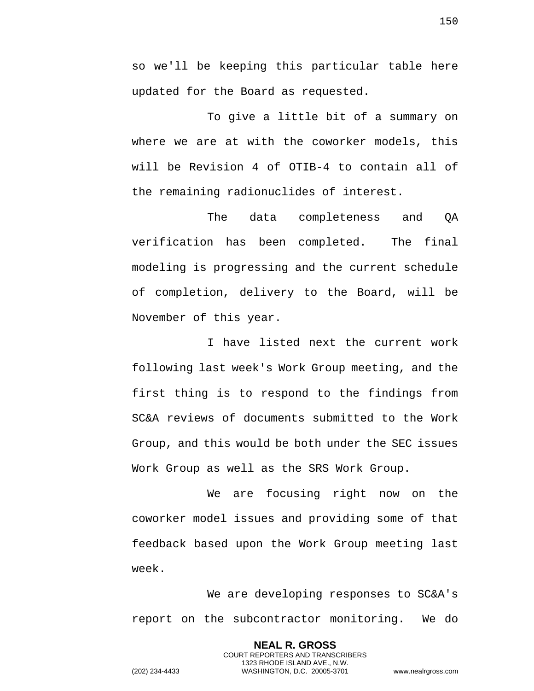so we'll be keeping this particular table here updated for the Board as requested.

To give a little bit of a summary on where we are at with the coworker models, this will be Revision 4 of OTIB-4 to contain all of the remaining radionuclides of interest.

The data completeness and QA verification has been completed. The final modeling is progressing and the current schedule of completion, delivery to the Board, will be November of this year.

I have listed next the current work following last week's Work Group meeting, and the first thing is to respond to the findings from SC&A reviews of documents submitted to the Work Group, and this would be both under the SEC issues Work Group as well as the SRS Work Group.

We are focusing right now on the coworker model issues and providing some of that feedback based upon the Work Group meeting last week.

We are developing responses to SC&A's report on the subcontractor monitoring. We do

> **NEAL R. GROSS** COURT REPORTERS AND TRANSCRIBERS 1323 RHODE ISLAND AVE., N.W.

150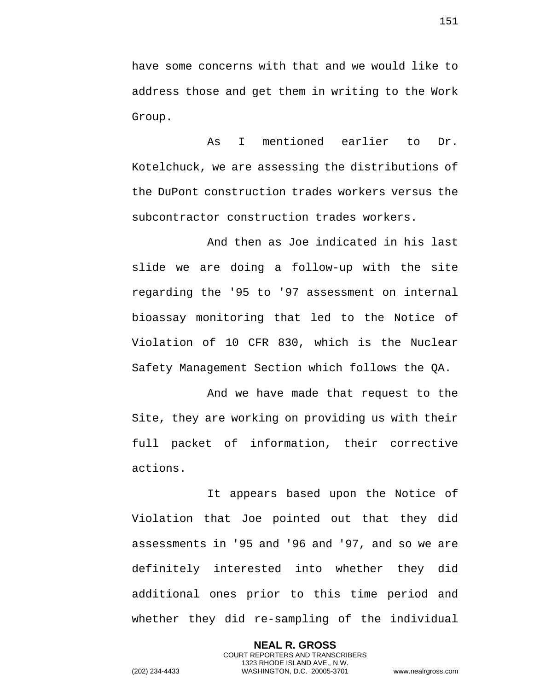have some concerns with that and we would like to address those and get them in writing to the Work Group.

As I mentioned earlier to Dr. Kotelchuck, we are assessing the distributions of the DuPont construction trades workers versus the subcontractor construction trades workers.

And then as Joe indicated in his last slide we are doing a follow-up with the site regarding the '95 to '97 assessment on internal bioassay monitoring that led to the Notice of Violation of 10 CFR 830, which is the Nuclear Safety Management Section which follows the QA.

And we have made that request to the Site, they are working on providing us with their full packet of information, their corrective actions.

It appears based upon the Notice of Violation that Joe pointed out that they did assessments in '95 and '96 and '97, and so we are definitely interested into whether they did additional ones prior to this time period and whether they did re-sampling of the individual

> **NEAL R. GROSS** COURT REPORTERS AND TRANSCRIBERS 1323 RHODE ISLAND AVE., N.W.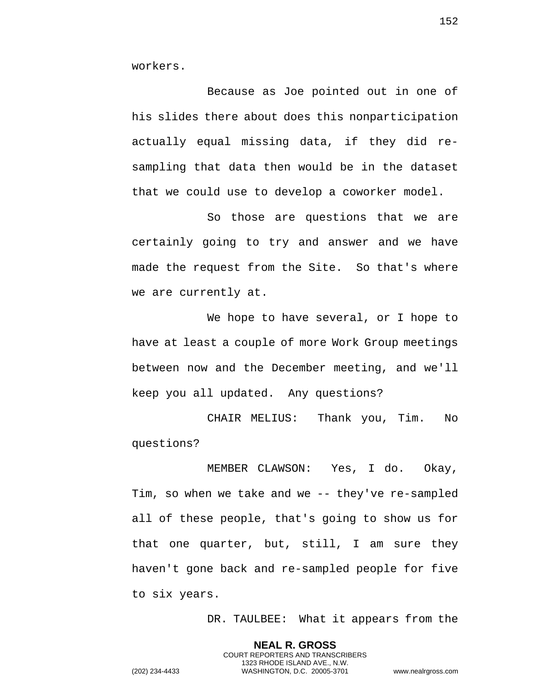workers.

Because as Joe pointed out in one of his slides there about does this nonparticipation actually equal missing data, if they did resampling that data then would be in the dataset that we could use to develop a coworker model.

So those are questions that we are certainly going to try and answer and we have made the request from the Site. So that's where we are currently at.

We hope to have several, or I hope to have at least a couple of more Work Group meetings between now and the December meeting, and we'll keep you all updated. Any questions?

CHAIR MELIUS: Thank you, Tim. No questions?

MEMBER CLAWSON: Yes, I do. Okay, Tim, so when we take and we -- they've re-sampled all of these people, that's going to show us for that one quarter, but, still, I am sure they haven't gone back and re-sampled people for five to six years.

> **NEAL R. GROSS** COURT REPORTERS AND TRANSCRIBERS 1323 RHODE ISLAND AVE., N.W.

DR. TAULBEE: What it appears from the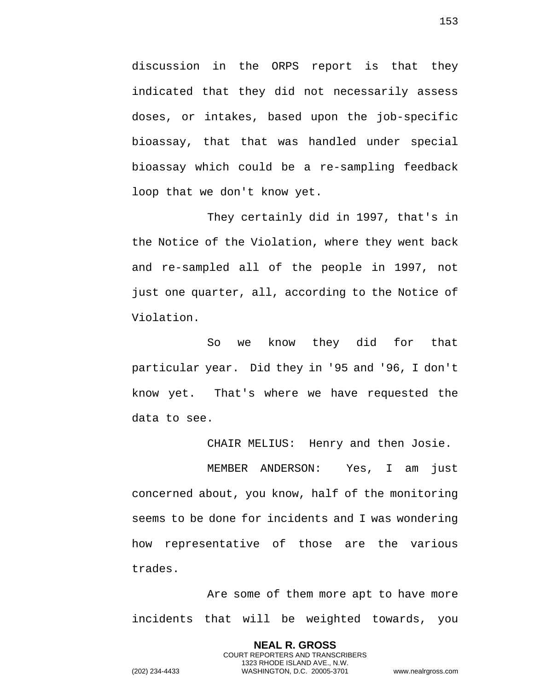discussion in the ORPS report is that they indicated that they did not necessarily assess doses, or intakes, based upon the job-specific bioassay, that that was handled under special bioassay which could be a re-sampling feedback loop that we don't know yet.

They certainly did in 1997, that's in the Notice of the Violation, where they went back and re-sampled all of the people in 1997, not just one quarter, all, according to the Notice of Violation.

So we know they did for that particular year. Did they in '95 and '96, I don't know yet. That's where we have requested the data to see.

CHAIR MELIUS: Henry and then Josie.

MEMBER ANDERSON: Yes, I am just concerned about, you know, half of the monitoring seems to be done for incidents and I was wondering how representative of those are the various trades.

Are some of them more apt to have more incidents that will be weighted towards, you

> **NEAL R. GROSS** COURT REPORTERS AND TRANSCRIBERS 1323 RHODE ISLAND AVE., N.W.

153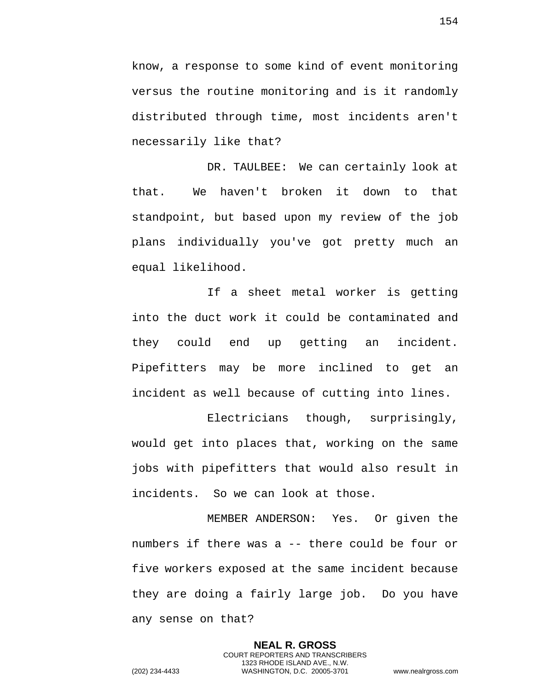know, a response to some kind of event monitoring versus the routine monitoring and is it randomly distributed through time, most incidents aren't necessarily like that?

DR. TAULBEE: We can certainly look at that. We haven't broken it down to that standpoint, but based upon my review of the job plans individually you've got pretty much an equal likelihood.

If a sheet metal worker is getting into the duct work it could be contaminated and they could end up getting an incident. Pipefitters may be more inclined to get an incident as well because of cutting into lines.

Electricians though, surprisingly, would get into places that, working on the same jobs with pipefitters that would also result in incidents. So we can look at those.

MEMBER ANDERSON: Yes. Or given the numbers if there was a -- there could be four or five workers exposed at the same incident because they are doing a fairly large job. Do you have any sense on that?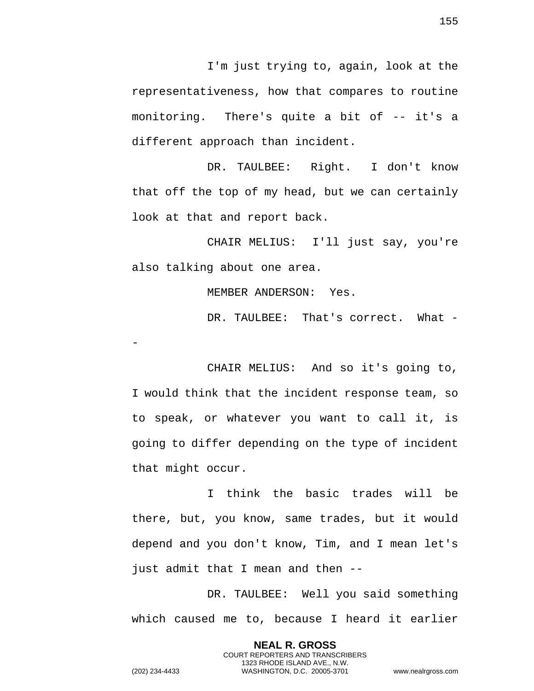I'm just trying to, again, look at the representativeness, how that compares to routine monitoring. There's quite a bit of -- it's a different approach than incident.

DR. TAULBEE: Right. I don't know that off the top of my head, but we can certainly look at that and report back.

CHAIR MELIUS: I'll just say, you're also talking about one area.

MEMBER ANDERSON: Yes.

DR. TAULBEE: That's correct. What -

CHAIR MELIUS: And so it's going to, I would think that the incident response team, so to speak, or whatever you want to call it, is going to differ depending on the type of incident that might occur.

I think the basic trades will be there, but, you know, same trades, but it would depend and you don't know, Tim, and I mean let's just admit that I mean and then --

DR. TAULBEE: Well you said something which caused me to, because I heard it earlier

> **NEAL R. GROSS** COURT REPORTERS AND TRANSCRIBERS 1323 RHODE ISLAND AVE., N.W.

155

-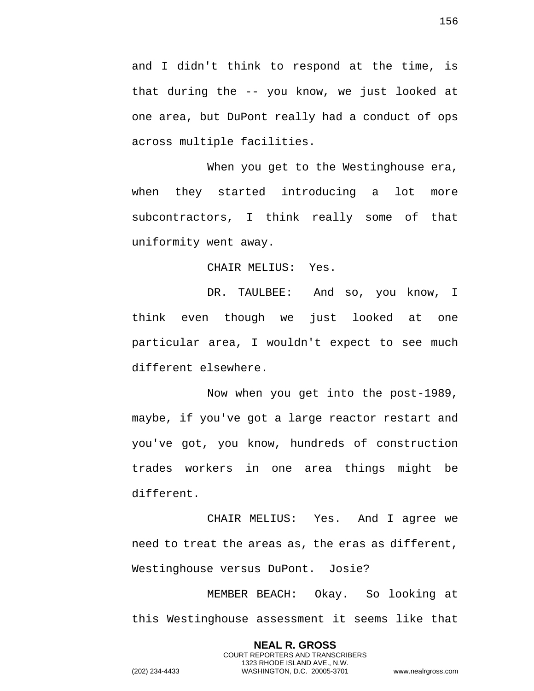and I didn't think to respond at the time, is that during the -- you know, we just looked at one area, but DuPont really had a conduct of ops across multiple facilities.

When you get to the Westinghouse era, when they started introducing a lot more subcontractors, I think really some of that uniformity went away.

CHAIR MELIUS: Yes.

DR. TAULBEE: And so, you know, I think even though we just looked at one particular area, I wouldn't expect to see much different elsewhere.

Now when you get into the post-1989, maybe, if you've got a large reactor restart and you've got, you know, hundreds of construction trades workers in one area things might be different.

CHAIR MELIUS: Yes. And I agree we need to treat the areas as, the eras as different, Westinghouse versus DuPont. Josie?

MEMBER BEACH: Okay. So looking at this Westinghouse assessment it seems like that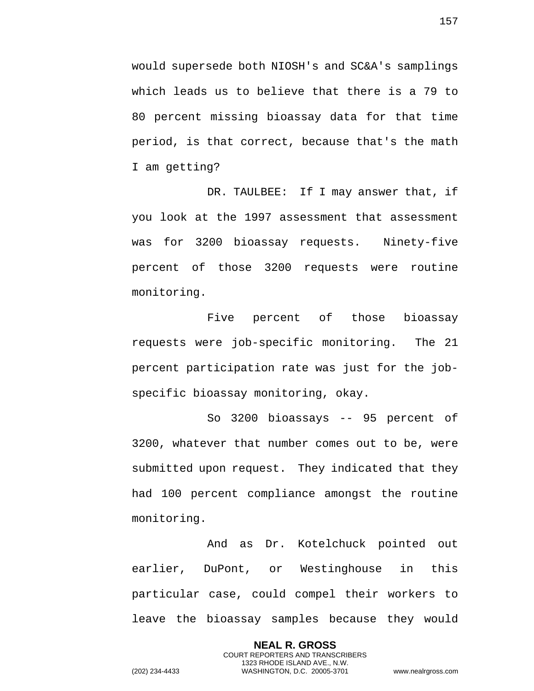would supersede both NIOSH's and SC&A's samplings which leads us to believe that there is a 79 to 80 percent missing bioassay data for that time period, is that correct, because that's the math I am getting?

DR. TAULBEE: If I may answer that, if you look at the 1997 assessment that assessment was for 3200 bioassay requests. Ninety-five percent of those 3200 requests were routine monitoring.

Five percent of those bioassay requests were job-specific monitoring. The 21 percent participation rate was just for the jobspecific bioassay monitoring, okay.

So 3200 bioassays -- 95 percent of 3200, whatever that number comes out to be, were submitted upon request. They indicated that they had 100 percent compliance amongst the routine monitoring.

And as Dr. Kotelchuck pointed out earlier, DuPont, or Westinghouse in this particular case, could compel their workers to leave the bioassay samples because they would

> **NEAL R. GROSS** COURT REPORTERS AND TRANSCRIBERS 1323 RHODE ISLAND AVE., N.W.

157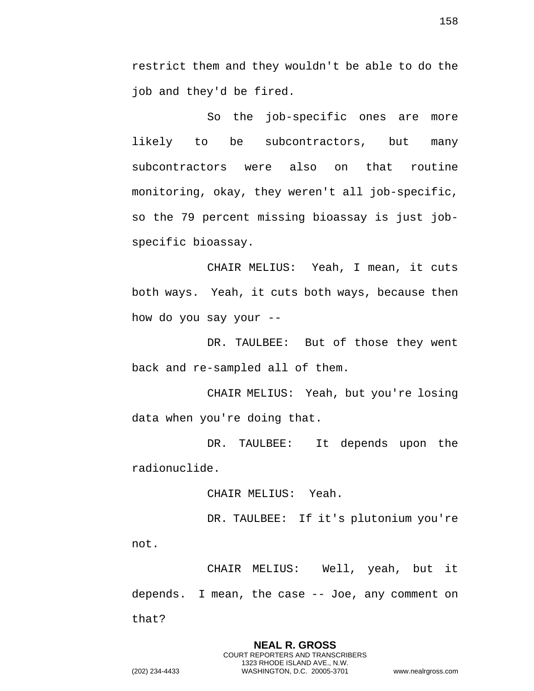restrict them and they wouldn't be able to do the job and they'd be fired.

So the job-specific ones are more likely to be subcontractors, but many subcontractors were also on that routine monitoring, okay, they weren't all job-specific, so the 79 percent missing bioassay is just jobspecific bioassay.

CHAIR MELIUS: Yeah, I mean, it cuts both ways. Yeah, it cuts both ways, because then how do you say your --

DR. TAULBEE: But of those they went back and re-sampled all of them.

CHAIR MELIUS: Yeah, but you're losing data when you're doing that.

DR. TAULBEE: It depends upon the radionuclide.

CHAIR MELIUS: Yeah.

DR. TAULBEE: If it's plutonium you're not.

CHAIR MELIUS: Well, yeah, but it depends. I mean, the case -- Joe, any comment on that?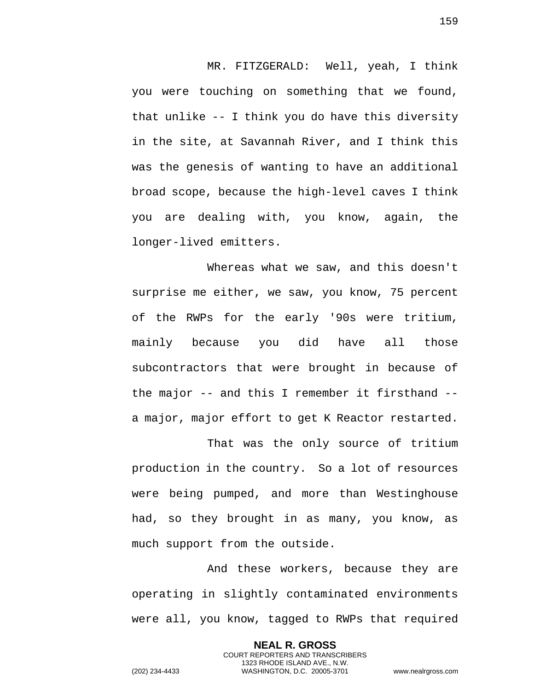MR. FITZGERALD: Well, yeah, I think you were touching on something that we found, that unlike -- I think you do have this diversity in the site, at Savannah River, and I think this was the genesis of wanting to have an additional broad scope, because the high-level caves I think you are dealing with, you know, again, the longer-lived emitters.

Whereas what we saw, and this doesn't surprise me either, we saw, you know, 75 percent of the RWPs for the early '90s were tritium, mainly because you did have all those subcontractors that were brought in because of the major -- and this I remember it firsthand - a major, major effort to get K Reactor restarted.

That was the only source of tritium production in the country. So a lot of resources were being pumped, and more than Westinghouse had, so they brought in as many, you know, as much support from the outside.

And these workers, because they are operating in slightly contaminated environments were all, you know, tagged to RWPs that required

> **NEAL R. GROSS** COURT REPORTERS AND TRANSCRIBERS 1323 RHODE ISLAND AVE., N.W.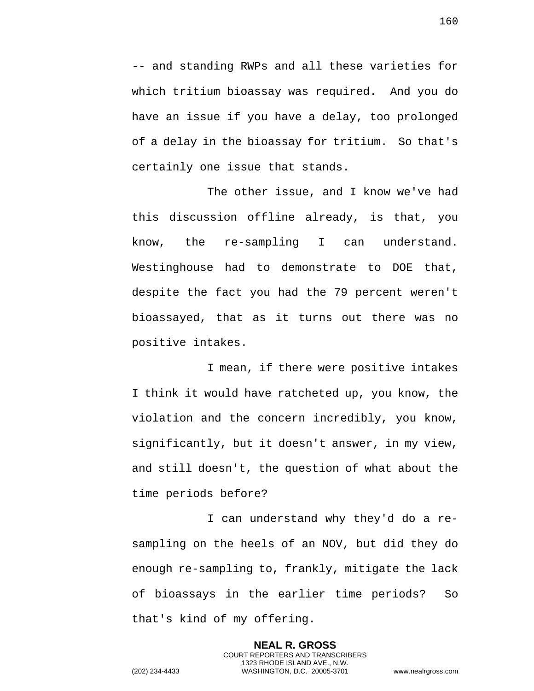-- and standing RWPs and all these varieties for which tritium bioassay was required. And you do have an issue if you have a delay, too prolonged of a delay in the bioassay for tritium. So that's certainly one issue that stands.

The other issue, and I know we've had this discussion offline already, is that, you know, the re-sampling I can understand. Westinghouse had to demonstrate to DOE that, despite the fact you had the 79 percent weren't bioassayed, that as it turns out there was no positive intakes.

I mean, if there were positive intakes I think it would have ratcheted up, you know, the violation and the concern incredibly, you know, significantly, but it doesn't answer, in my view, and still doesn't, the question of what about the time periods before?

I can understand why they'd do a resampling on the heels of an NOV, but did they do enough re-sampling to, frankly, mitigate the lack of bioassays in the earlier time periods? So that's kind of my offering.

> **NEAL R. GROSS** COURT REPORTERS AND TRANSCRIBERS 1323 RHODE ISLAND AVE., N.W.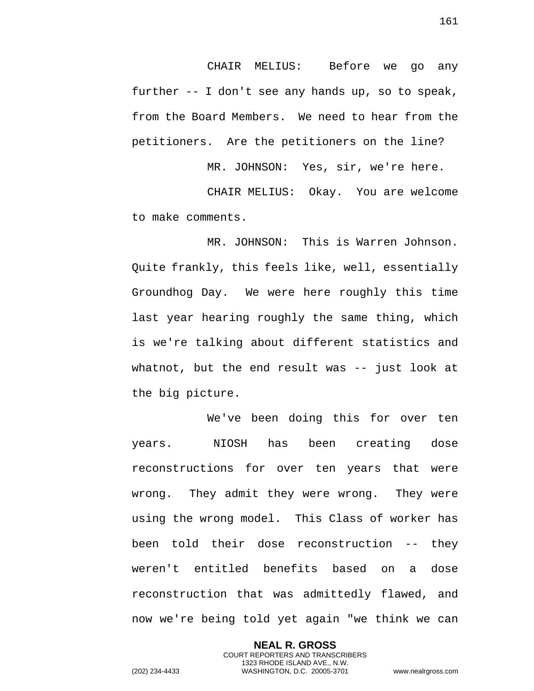CHAIR MELIUS: Before we go any further -- I don't see any hands up, so to speak, from the Board Members. We need to hear from the petitioners. Are the petitioners on the line?

MR. JOHNSON: Yes, sir, we're here.

CHAIR MELIUS: Okay. You are welcome to make comments.

MR. JOHNSON: This is Warren Johnson. Quite frankly, this feels like, well, essentially Groundhog Day. We were here roughly this time last year hearing roughly the same thing, which is we're talking about different statistics and whatnot, but the end result was -- just look at the big picture.

We've been doing this for over ten years. NIOSH has been creating dose reconstructions for over ten years that were wrong. They admit they were wrong. They were using the wrong model. This Class of worker has been told their dose reconstruction -- they weren't entitled benefits based on a dose reconstruction that was admittedly flawed, and now we're being told yet again "we think we can

> **NEAL R. GROSS** COURT REPORTERS AND TRANSCRIBERS 1323 RHODE ISLAND AVE., N.W.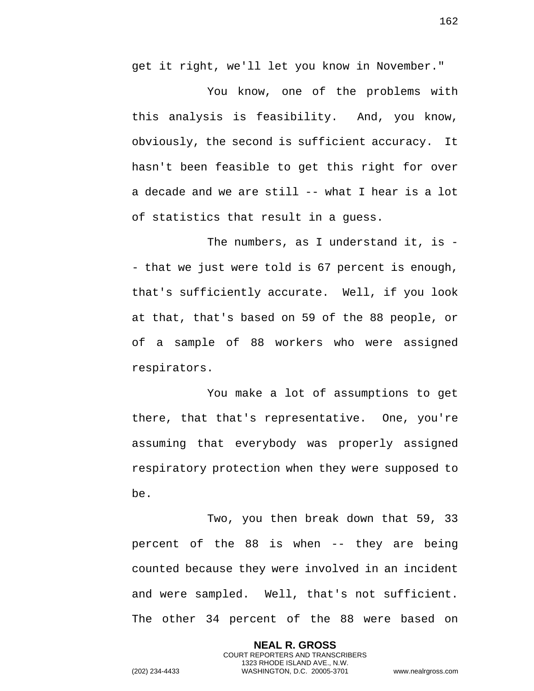get it right, we'll let you know in November."

You know, one of the problems with this analysis is feasibility. And, you know, obviously, the second is sufficient accuracy. It hasn't been feasible to get this right for over a decade and we are still -- what I hear is a lot of statistics that result in a guess.

The numbers, as I understand it, is - - that we just were told is 67 percent is enough, that's sufficiently accurate. Well, if you look at that, that's based on 59 of the 88 people, or of a sample of 88 workers who were assigned respirators.

You make a lot of assumptions to get there, that that's representative. One, you're assuming that everybody was properly assigned respiratory protection when they were supposed to be.

Two, you then break down that 59, 33 percent of the 88 is when -- they are being counted because they were involved in an incident and were sampled. Well, that's not sufficient. The other 34 percent of the 88 were based on

> **NEAL R. GROSS** COURT REPORTERS AND TRANSCRIBERS 1323 RHODE ISLAND AVE., N.W.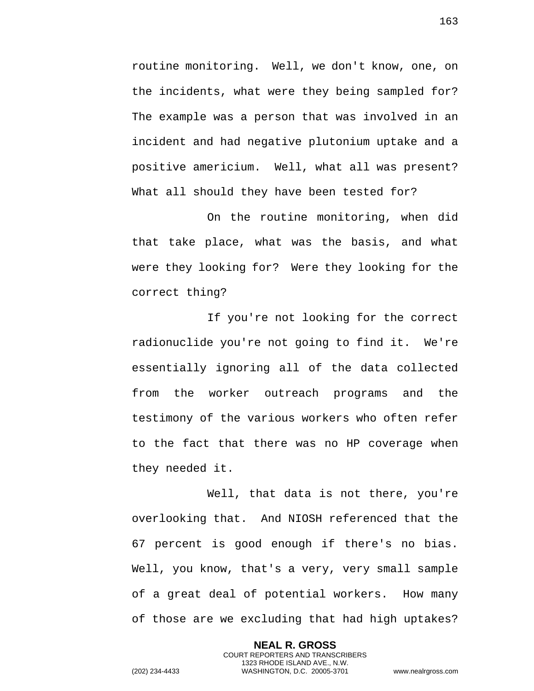routine monitoring. Well, we don't know, one, on the incidents, what were they being sampled for? The example was a person that was involved in an incident and had negative plutonium uptake and a positive americium. Well, what all was present? What all should they have been tested for?

On the routine monitoring, when did that take place, what was the basis, and what were they looking for? Were they looking for the correct thing?

If you're not looking for the correct radionuclide you're not going to find it. We're essentially ignoring all of the data collected from the worker outreach programs and the testimony of the various workers who often refer to the fact that there was no HP coverage when they needed it.

Well, that data is not there, you're overlooking that. And NIOSH referenced that the 67 percent is good enough if there's no bias. Well, you know, that's a very, very small sample of a great deal of potential workers. How many of those are we excluding that had high uptakes?

> **NEAL R. GROSS** COURT REPORTERS AND TRANSCRIBERS 1323 RHODE ISLAND AVE., N.W.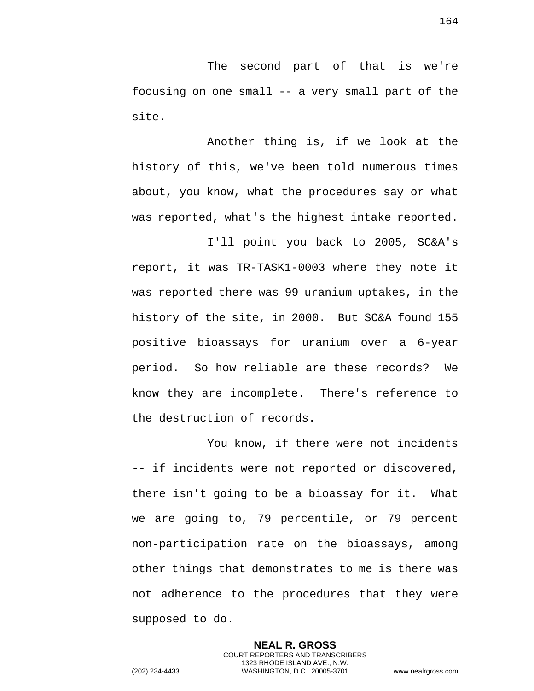The second part of that is we're focusing on one small -- a very small part of the site.

Another thing is, if we look at the history of this, we've been told numerous times about, you know, what the procedures say or what was reported, what's the highest intake reported.

I'll point you back to 2005, SC&A's report, it was TR-TASK1-0003 where they note it was reported there was 99 uranium uptakes, in the history of the site, in 2000. But SC&A found 155 positive bioassays for uranium over a 6-year period. So how reliable are these records? We know they are incomplete. There's reference to the destruction of records.

You know, if there were not incidents -- if incidents were not reported or discovered, there isn't going to be a bioassay for it. What we are going to, 79 percentile, or 79 percent non-participation rate on the bioassays, among other things that demonstrates to me is there was not adherence to the procedures that they were supposed to do.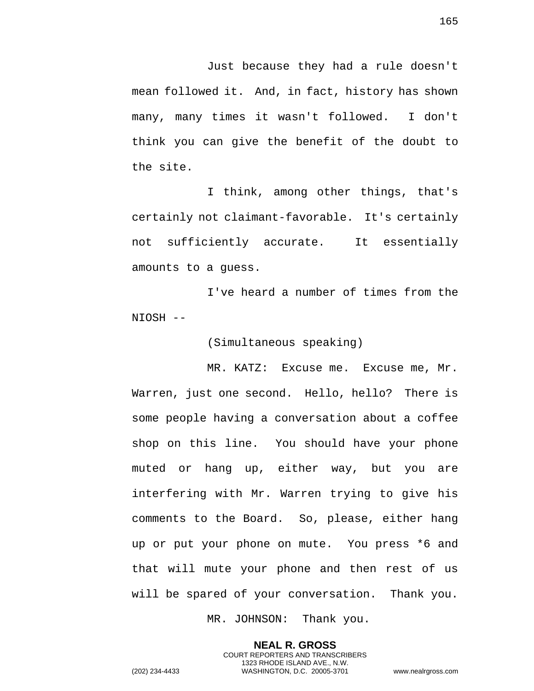Just because they had a rule doesn't mean followed it. And, in fact, history has shown many, many times it wasn't followed. I don't think you can give the benefit of the doubt to the site.

I think, among other things, that's certainly not claimant-favorable. It's certainly not sufficiently accurate. It essentially amounts to a guess.

I've heard a number of times from the NIOSH --

(Simultaneous speaking)

MR. KATZ: Excuse me. Excuse me, Mr. Warren, just one second. Hello, hello? There is some people having a conversation about a coffee shop on this line. You should have your phone muted or hang up, either way, but you are interfering with Mr. Warren trying to give his comments to the Board. So, please, either hang up or put your phone on mute. You press \*6 and that will mute your phone and then rest of us will be spared of your conversation. Thank you.

MR. JOHNSON: Thank you.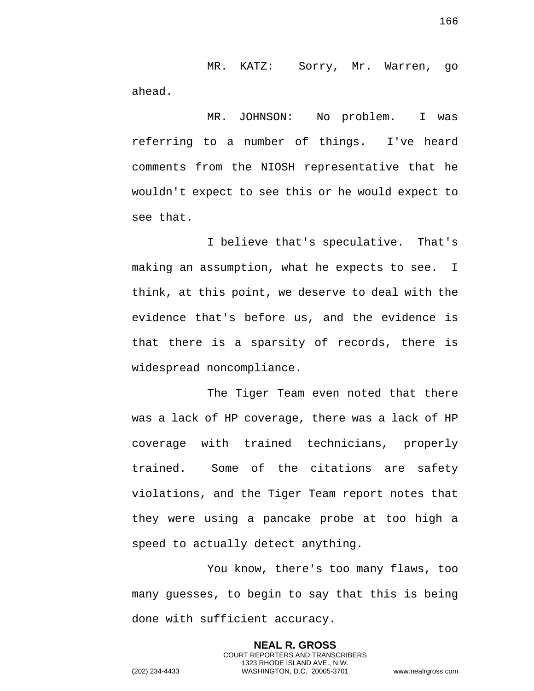MR. KATZ: Sorry, Mr. Warren, go ahead.

MR. JOHNSON: No problem. I was referring to a number of things. I've heard comments from the NIOSH representative that he wouldn't expect to see this or he would expect to see that.

I believe that's speculative. That's making an assumption, what he expects to see. I think, at this point, we deserve to deal with the evidence that's before us, and the evidence is that there is a sparsity of records, there is widespread noncompliance.

The Tiger Team even noted that there was a lack of HP coverage, there was a lack of HP coverage with trained technicians, properly trained. Some of the citations are safety violations, and the Tiger Team report notes that they were using a pancake probe at too high a speed to actually detect anything.

You know, there's too many flaws, too many guesses, to begin to say that this is being done with sufficient accuracy.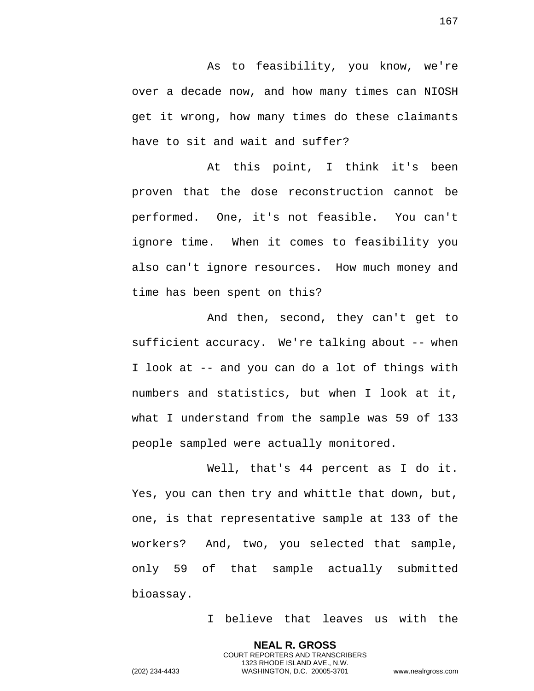As to feasibility, you know, we're over a decade now, and how many times can NIOSH get it wrong, how many times do these claimants have to sit and wait and suffer?

At this point, I think it's been proven that the dose reconstruction cannot be performed. One, it's not feasible. You can't ignore time. When it comes to feasibility you also can't ignore resources. How much money and time has been spent on this?

And then, second, they can't get to sufficient accuracy. We're talking about -- when I look at -- and you can do a lot of things with numbers and statistics, but when I look at it, what I understand from the sample was 59 of 133 people sampled were actually monitored.

Well, that's 44 percent as I do it. Yes, you can then try and whittle that down, but, one, is that representative sample at 133 of the workers? And, two, you selected that sample, only 59 of that sample actually submitted bioassay.

> **NEAL R. GROSS** COURT REPORTERS AND TRANSCRIBERS 1323 RHODE ISLAND AVE., N.W.

I believe that leaves us with the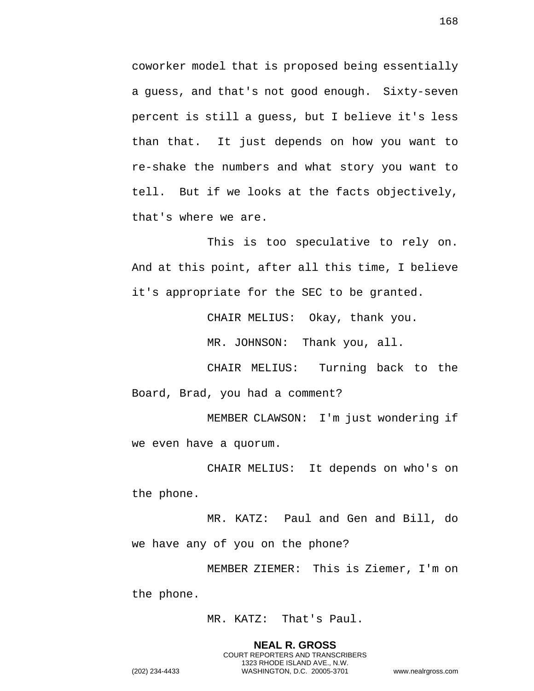coworker model that is proposed being essentially a guess, and that's not good enough. Sixty-seven percent is still a guess, but I believe it's less than that. It just depends on how you want to re-shake the numbers and what story you want to tell. But if we looks at the facts objectively, that's where we are.

This is too speculative to rely on. And at this point, after all this time, I believe it's appropriate for the SEC to be granted.

CHAIR MELIUS: Okay, thank you.

MR. JOHNSON: Thank you, all.

CHAIR MELIUS: Turning back to the Board, Brad, you had a comment?

MEMBER CLAWSON: I'm just wondering if we even have a quorum.

CHAIR MELIUS: It depends on who's on the phone.

MR. KATZ: Paul and Gen and Bill, do we have any of you on the phone?

MEMBER ZIEMER: This is Ziemer, I'm on the phone.

MR. KATZ: That's Paul.

**NEAL R. GROSS** COURT REPORTERS AND TRANSCRIBERS 1323 RHODE ISLAND AVE., N.W. (202) 234-4433 WASHINGTON, D.C. 20005-3701 www.nealrgross.com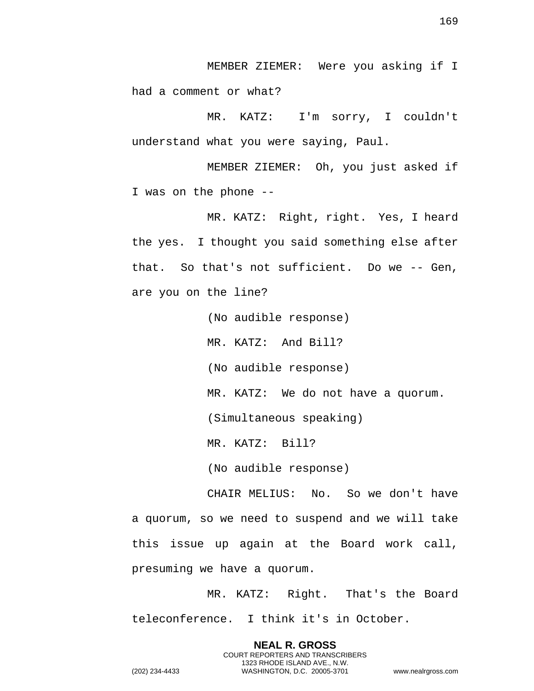MEMBER ZIEMER: Were you asking if I had a comment or what?

MR. KATZ: I'm sorry, I couldn't understand what you were saying, Paul.

MEMBER ZIEMER: Oh, you just asked if I was on the phone --

MR. KATZ: Right, right. Yes, I heard the yes. I thought you said something else after that. So that's not sufficient. Do we -- Gen, are you on the line?

> (No audible response) MR. KATZ: And Bill? (No audible response) MR. KATZ: We do not have a quorum. (Simultaneous speaking) MR. KATZ: Bill?

(No audible response)

CHAIR MELIUS: No. So we don't have a quorum, so we need to suspend and we will take this issue up again at the Board work call, presuming we have a quorum.

MR. KATZ: Right. That's the Board teleconference. I think it's in October.